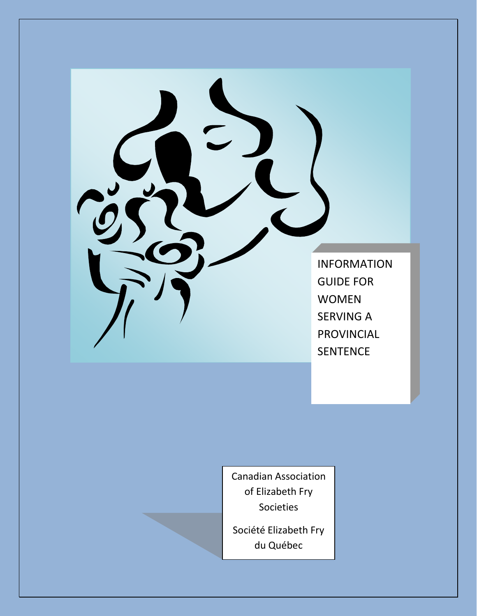

Canadian Association of Elizabeth Fry Societies

Société Elizabeth Fry du Québec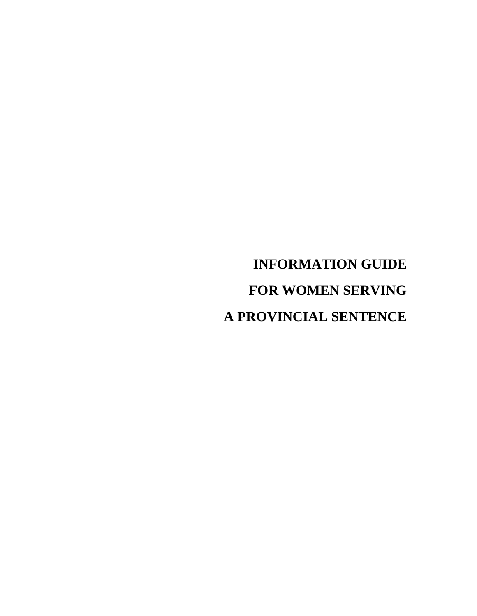**INFORMATION GUIDE FOR WOMEN SERVING A PROVINCIAL SENTENCE**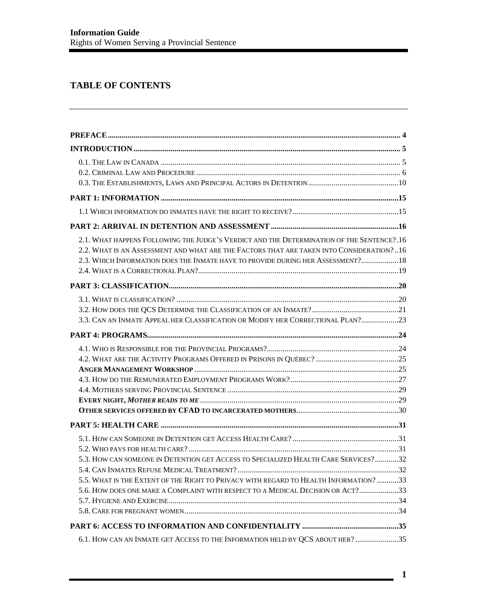# **TABLE OF CONTENTS**

| 2.1. WHAT HAPPENS FOLLOWING THE JUDGE'S VERDICT AND THE DETERMINATION OF THE SENTENCE?.16<br>2.2. WHAT IS AN ASSESSMENT AND WHAT ARE THE FACTORS THAT ARE TAKEN INTO CONSIDERATION?16<br>2.3. WHICH INFORMATION DOES THE INMATE HAVE TO PROVIDE DURING HER ASSESSMENT? 18 |  |
|---------------------------------------------------------------------------------------------------------------------------------------------------------------------------------------------------------------------------------------------------------------------------|--|
|                                                                                                                                                                                                                                                                           |  |
| 3.3. CAN AN INMATE APPEAL HER CLASSIFICATION OR MODIFY HER CORRECTIONAL PLAN?23                                                                                                                                                                                           |  |
|                                                                                                                                                                                                                                                                           |  |
|                                                                                                                                                                                                                                                                           |  |
|                                                                                                                                                                                                                                                                           |  |
| 5.3. HOW CAN SOMEONE IN DETENTION GET ACCESS TO SPECIALIZED HEALTH CARE SERVICES?32<br>5.5. WHAT IS THE EXTENT OF THE RIGHT TO PRIVACY WITH REGARD TO HEALTH INFORMATION? 33<br>5.6. HOW DOES ONE MAKE A COMPLAINT WITH RESPECT TO A MEDICAL DECISION OR ACT?33           |  |
|                                                                                                                                                                                                                                                                           |  |
| 6.1. HOW CAN AN INMATE GET ACCESS TO THE INFORMATION HELD BY QCS ABOUT HER? 35                                                                                                                                                                                            |  |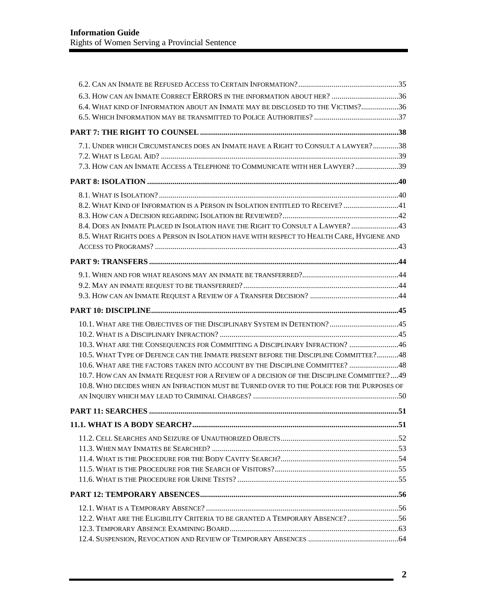| 6.4. WHAT KIND OF INFORMATION ABOUT AN INMATE MAY BE DISCLOSED TO THE VICTIMS?36            |  |
|---------------------------------------------------------------------------------------------|--|
|                                                                                             |  |
|                                                                                             |  |
| 7.1. UNDER WHICH CIRCUMSTANCES DOES AN INMATE HAVE A RIGHT TO CONSULT A LAWYER?38           |  |
|                                                                                             |  |
| 7.3. HOW CAN AN INMATE ACCESS A TELEPHONE TO COMMUNICATE WITH HER LAWYER?39                 |  |
|                                                                                             |  |
|                                                                                             |  |
| 8.2. WHAT KIND OF INFORMATION IS A PERSON IN ISOLATION ENTITLED TO RECEIVE? 41              |  |
|                                                                                             |  |
| 8.4. DOES AN INMATE PLACED IN ISOLATION HAVE THE RIGHT TO CONSULT A LAWYER?  43             |  |
| 8.5. WHAT RIGHTS DOES A PERSON IN ISOLATION HAVE WITH RESPECT TO HEALTH CARE, HYGIENE AND   |  |
|                                                                                             |  |
|                                                                                             |  |
|                                                                                             |  |
|                                                                                             |  |
|                                                                                             |  |
|                                                                                             |  |
| 10.1. WHAT ARE THE OBJECTIVES OF THE DISCIPLINARY SYSTEM IN DETENTION? 45                   |  |
|                                                                                             |  |
| 10.3. WHAT ARE THE CONSEQUENCES FOR COMMITTING A DISCIPLINARY INFRACTION? 46                |  |
| 10.5. WHAT TYPE OF DEFENCE CAN THE INMATE PRESENT BEFORE THE DISCIPLINE COMMITTEE?48        |  |
| 10.6. WHAT ARE THE FACTORS TAKEN INTO ACCOUNT BY THE DISCIPLINE COMMITTEE?  48              |  |
| 10.7. HOW CAN AN INMATE REQUEST FOR A REVIEW OF A DECISION OF THE DISCIPLINE COMMITTEE?  49 |  |
| 10.8. WHO DECIDES WHEN AN INFRACTION MUST BE TURNED OVER TO THE POLICE FOR THE PURPOSES OF  |  |
|                                                                                             |  |
|                                                                                             |  |
|                                                                                             |  |
|                                                                                             |  |
|                                                                                             |  |
|                                                                                             |  |
|                                                                                             |  |
|                                                                                             |  |
|                                                                                             |  |
|                                                                                             |  |
|                                                                                             |  |
| 12.2. WHAT ARE THE ELIGIBILITY CRITERIA TO BE GRANTED A TEMPORARY ABSENCE?56                |  |
|                                                                                             |  |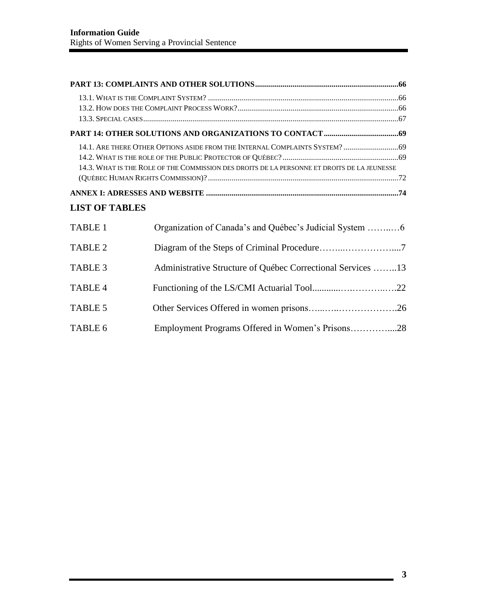|                       | 14.1. ARE THERE OTHER OPTIONS ASIDE FROM THE INTERNAL COMPLAINTS SYSTEM?  69<br>14.3. WHAT IS THE ROLE OF THE COMMISSION DES DROITS DE LA PERSONNE ET DROITS DE LA JEUNESSE |  |  |  |
|-----------------------|-----------------------------------------------------------------------------------------------------------------------------------------------------------------------------|--|--|--|
|                       |                                                                                                                                                                             |  |  |  |
| <b>LIST OF TABLES</b> |                                                                                                                                                                             |  |  |  |
| <b>TABLE 1</b>        |                                                                                                                                                                             |  |  |  |
| <b>TABLE 2</b>        |                                                                                                                                                                             |  |  |  |
| TABLE 3               | Administrative Structure of Québec Correctional Services 13                                                                                                                 |  |  |  |
| <b>TABLE 4</b>        |                                                                                                                                                                             |  |  |  |
| <b>TABLE 5</b>        |                                                                                                                                                                             |  |  |  |
| TABLE 6               | Employment Programs Offered in Women's Prisons28                                                                                                                            |  |  |  |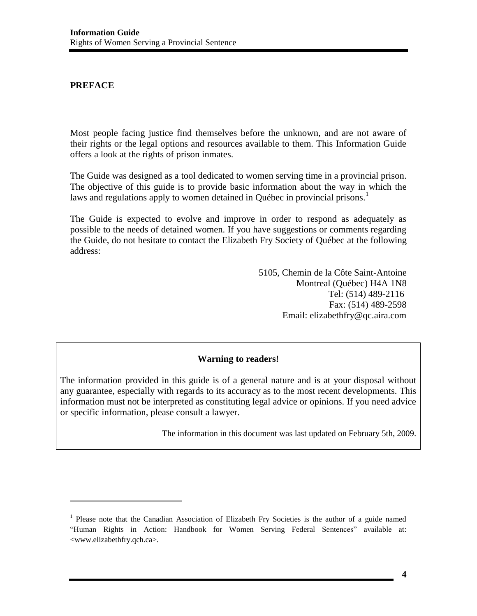### <span id="page-5-0"></span>**PREFACE**

 $\overline{\phantom{a}}$ 

Most people facing justice find themselves before the unknown, and are not aware of their rights or the legal options and resources available to them. This Information Guide offers a look at the rights of prison inmates.

The Guide was designed as a tool dedicated to women serving time in a provincial prison. The objective of this guide is to provide basic information about the way in which the laws and regulations apply to women detained in Québec in provincial prisons.<sup>1</sup>

The Guide is expected to evolve and improve in order to respond as adequately as possible to the needs of detained women. If you have suggestions or comments regarding the Guide, do not hesitate to contact the Elizabeth Fry Society of Québec at the following address:

> 5105, Chemin de la Côte Saint-Antoine Montreal (Québec) H4A 1N8 Tel: (514) 489-2116 Fax: (514) 489-2598 Email: [elizabethfry@qc.aira.com](mailto:elizabethfry@qc.aira.com)

#### **Warning to readers!**

The information provided in this guide is of a general nature and is at your disposal without any guarantee, especially with regards to its accuracy as to the most recent developments. This information must not be interpreted as constituting legal advice or opinions. If you need advice or specific information, please consult a lawyer.

The information in this document was last updated on February 5th, 2009.

<sup>&</sup>lt;sup>1</sup> Please note that the Canadian Association of Elizabeth Fry Societies is the author of a guide named "Human Rights in Action: Handbook for Women Serving Federal Sentences" available at: <www.elizabethfry.qch.ca>.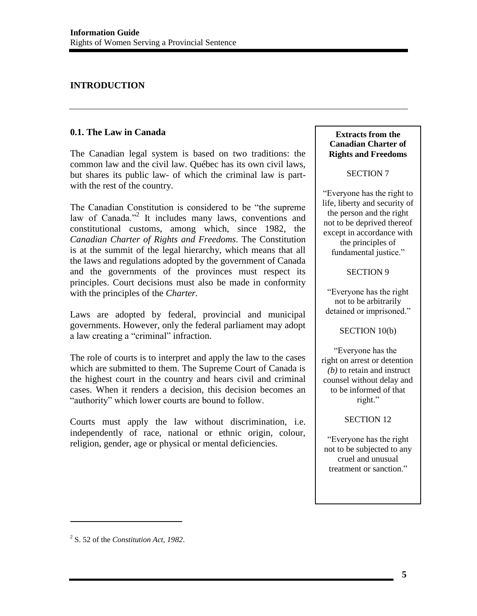# <span id="page-6-0"></span>**INTRODUCTION**

### <span id="page-6-1"></span>**0.1. The Law in Canada**

The Canadian legal system is based on two traditions: the common law and the civil law. Québec has its own civil laws, but shares its public law- of which the criminal law is partwith the rest of the country.

The Canadian Constitution is considered to be "the supreme law of Canada."<sup>2</sup> It includes many laws, conventions and constitutional customs, among which, since 1982, the *Canadian Charter of Rights and Freedoms*. The Constitution is at the summit of the legal hierarchy, which means that all the laws and regulations adopted by the government of Canada and the governments of the provinces must respect its principles. Court decisions must also be made in conformity with the principles of the *Charter.*

Laws are adopted by federal, provincial and municipal governments. However, only the federal parliament may adopt a law creating a "criminal" infraction.

The role of courts is to interpret and apply the law to the cases which are submitted to them. The Supreme Court of Canada is the highest court in the country and hears civil and criminal cases. When it renders a decision, this decision becomes an "authority" which lower courts are bound to follow.

Courts must apply the law without discrimination, i.e. independently of race, national or ethnic origin, colour, religion, gender, age or physical or mental deficiencies.

#### **Extracts from the Canadian Charter of Rights and Freedoms**

#### SECTION 7

"Everyone has the right to life, liberty and security of the person and the right not to be deprived thereof except in accordance with the principles of fundamental justice."

#### SECTION 9

"Everyone has the right not to be arbitrarily detained or imprisoned."

#### SECTION 10(b)

"Everyone has the right on arrest or detention  *(b)* to retain and instruct counsel without delay and to be informed of that right."

# SECTION 12

"Everyone has the right not to be subjected to any cruel and unusual treatment or sanction."

<sup>2</sup> S. 52 of the *Constitution Act, 1982*.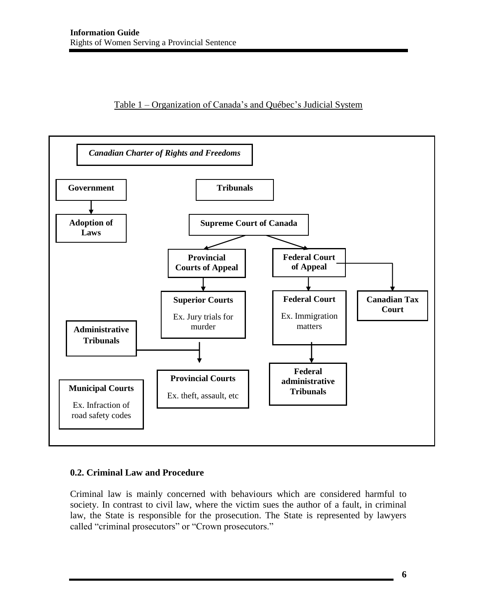# Table 1 – Organization of Canada's and Québec's Judicial System



# <span id="page-7-0"></span>**0.2. Criminal Law and Procedure**

Criminal law is mainly concerned with behaviours which are considered harmful to society. In contrast to civil law, where the victim sues the author of a fault, in criminal law, the State is responsible for the prosecution. The State is represented by lawyers called "criminal prosecutors" or "Crown prosecutors."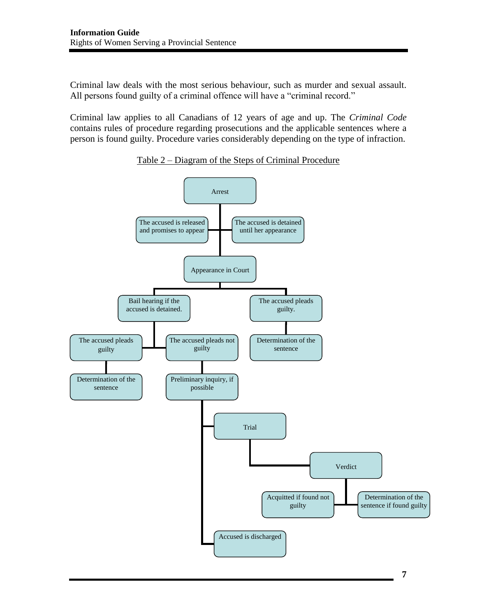Criminal law deals with the most serious behaviour, such as murder and sexual assault. All persons found guilty of a criminal offence will have a "criminal record."

Criminal law applies to all Canadians of 12 years of age and up. The *Criminal Code* contains rules of procedure regarding prosecutions and the applicable sentences where a person is found guilty. Procedure varies considerably depending on the type of infraction.



Table 2 – Diagram of the Steps of Criminal Procedure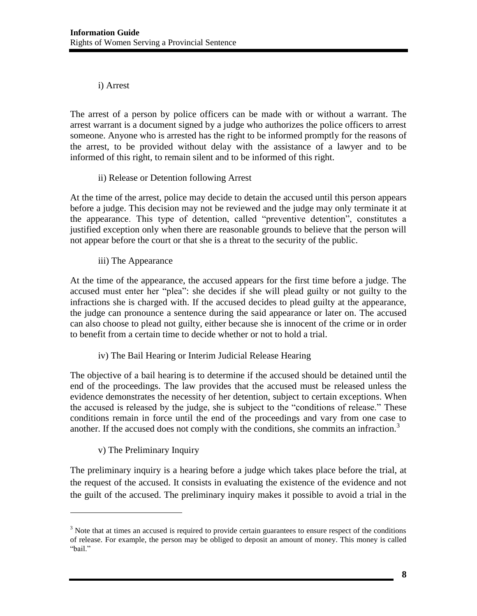# i) Arrest

The arrest of a person by police officers can be made with or without a warrant. The arrest warrant is a document signed by a judge who authorizes the police officers to arrest someone. Anyone who is arrested has the right to be informed promptly for the reasons of the arrest, to be provided without delay with the assistance of a lawyer and to be informed of this right, to remain silent and to be informed of this right.

# ii) Release or Detention following Arrest

At the time of the arrest, police may decide to detain the accused until this person appears before a judge. This decision may not be reviewed and the judge may only terminate it at the appearance. This type of detention, called "preventive detention", constitutes a justified exception only when there are reasonable grounds to believe that the person will not appear before the court or that she is a threat to the security of the public.

# iii) The Appearance

At the time of the appearance, the accused appears for the first time before a judge. The accused must enter her "plea": she decides if she will plead guilty or not guilty to the infractions she is charged with. If the accused decides to plead guilty at the appearance, the judge can pronounce a sentence during the said appearance or later on. The accused can also choose to plead not guilty, either because she is innocent of the crime or in order to benefit from a certain time to decide whether or not to hold a trial.

# iv) The Bail Hearing or Interim Judicial Release Hearing

The objective of a bail hearing is to determine if the accused should be detained until the end of the proceedings. The law provides that the accused must be released unless the evidence demonstrates the necessity of her detention, subject to certain exceptions. When the accused is released by the judge, she is subject to the "conditions of release." These conditions remain in force until the end of the proceedings and vary from one case to another. If the accused does not comply with the conditions, she commits an infraction.<sup>3</sup>

# v) The Preliminary Inquiry

 $\overline{\phantom{a}}$ 

The preliminary inquiry is a hearing before a judge which takes place before the trial, at the request of the accused. It consists in evaluating the existence of the evidence and not the guilt of the accused. The preliminary inquiry makes it possible to avoid a trial in the

 $3$  Note that at times an accused is required to provide certain guarantees to ensure respect of the conditions of release. For example, the person may be obliged to deposit an amount of money. This money is called "bail."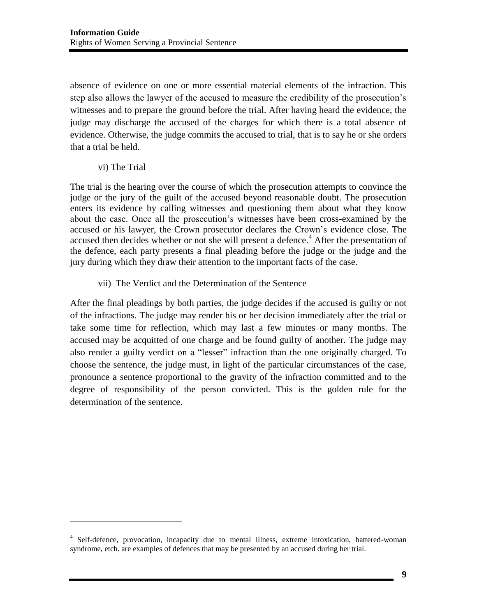absence of evidence on one or more essential material elements of the infraction. This step also allows the lawyer of the accused to measure the credibility of the prosecution's witnesses and to prepare the ground before the trial. After having heard the evidence, the judge may discharge the accused of the charges for which there is a total absence of evidence. Otherwise, the judge commits the accused to trial, that is to say he or she orders that a trial be held.

vi) The Trial

 $\overline{\phantom{a}}$ 

The trial is the hearing over the course of which the prosecution attempts to convince the judge or the jury of the guilt of the accused beyond reasonable doubt. The prosecution enters its evidence by calling witnesses and questioning them about what they know about the case. Once all the prosecution's witnesses have been cross-examined by the accused or his lawyer, the Crown prosecutor declares the Crown's evidence close. The accused then decides whether or not she will present a defence.<sup>4</sup> After the presentation of the defence, each party presents a final pleading before the judge or the judge and the jury during which they draw their attention to the important facts of the case.

vii) The Verdict and the Determination of the Sentence

After the final pleadings by both parties, the judge decides if the accused is guilty or not of the infractions. The judge may render his or her decision immediately after the trial or take some time for reflection, which may last a few minutes or many months. The accused may be acquitted of one charge and be found guilty of another. The judge may also render a guilty verdict on a "lesser" infraction than the one originally charged. To choose the sentence, the judge must, in light of the particular circumstances of the case, pronounce a sentence proportional to the gravity of the infraction committed and to the degree of responsibility of the person convicted. This is the golden rule for the determination of the sentence.

<sup>&</sup>lt;sup>4</sup> Self-defence, provocation, incapacity due to mental illness, extreme intoxication, battered-woman syndrome, etch. are examples of defences that may be presented by an accused during her trial.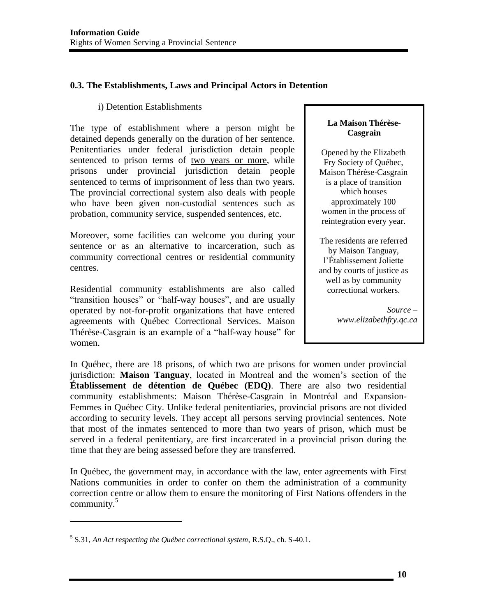# <span id="page-11-0"></span>**0.3. The Establishments, Laws and Principal Actors in Detention**

### i) Detention Establishments

The type of establishment where a person might be detained depends generally on the duration of her sentence. Penitentiaries under federal jurisdiction detain people sentenced to prison terms of two years or more, while prisons under provincial jurisdiction detain people sentenced to terms of imprisonment of less than two years. The provincial correctional system also deals with people who have been given non-custodial sentences such as probation, community service, suspended sentences, etc.

Moreover, some facilities can welcome you during your sentence or as an alternative to incarceration, such as community correctional centres or residential community centres.

Residential community establishments are also called "transition houses" or "half-way houses", and are usually operated by not-for-profit organizations that have entered agreements with Québec Correctional Services. Maison Thérèse-Casgrain is an example of a "half-way house" for women.

#### **La Maison Thérèse-Casgrain**

Opened by the Elizabeth Fry Society of Québec, Maison Thérèse-Casgrain is a place of transition which houses approximately 100 women in the process of reintegration every year.

The residents are referred by Maison Tanguay, l'Établissement Joliette and by courts of justice as well as by community correctional workers.

> *Source – www.elizabethfry.qc.ca*

In Québec, there are 18 prisons, of which two are prisons for women under provincial jurisdiction: **Maison Tanguay**, located in Montreal and the women's section of the **Établissement de détention de Québec (EDQ)**. There are also two residential community establishments: Maison Thérèse-Casgrain in Montréal and Expansion-Femmes in Québec City. Unlike federal penitentiaries, provincial prisons are not divided according to security levels. They accept all persons serving provincial sentences. Note that most of the inmates sentenced to more than two years of prison, which must be served in a federal penitentiary, are first incarcerated in a provincial prison during the time that they are being assessed before they are transferred.

In Québec, the government may, in accordance with the law, enter agreements with First Nations communities in order to confer on them the administration of a community correction centre or allow them to ensure the monitoring of First Nations offenders in the community.<sup>5</sup>

<sup>5</sup> S.31, *An Act respecting the Québec correctional system,* R.S.Q., ch. S-40.1.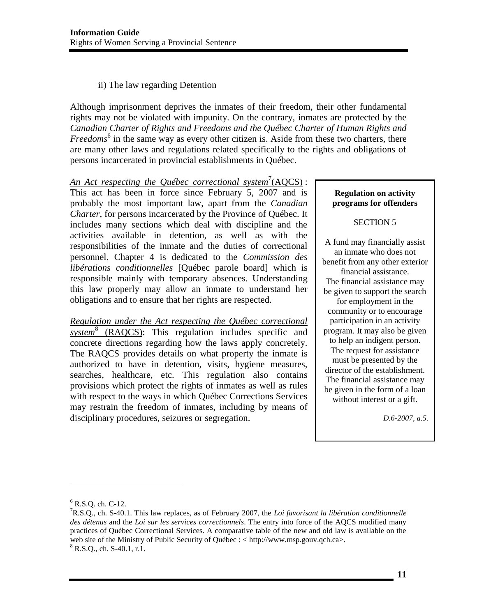### ii) The law regarding Detention

Although imprisonment deprives the inmates of their freedom, their other fundamental rights may not be violated with impunity. On the contrary, inmates are protected by the *Canadian Charter of Rights and Freedoms and the Québec Charter of Human Rights and*  Freedoms<sup>6</sup> in the same way as every other citizen is. Aside from these two charters, there are many other laws and regulations related specifically to the rights and obligations of persons incarcerated in provincial establishments in Québec.

An Act respecting the Québec correctional system<sup>7</sup>(AQCS): This act has been in force since February 5, 2007 and is probably the most important law, apart from the *Canadian Charter*, for persons incarcerated by the Province of Québec. It includes many sections which deal with discipline and the activities available in detention, as well as with the responsibilities of the inmate and the duties of correctional personnel. Chapter 4 is dedicated to the *Commission des libérations conditionnelles* [Québec parole board] which is responsible mainly with temporary absences. Understanding this law properly may allow an inmate to understand her obligations and to ensure that her rights are respected.

*Regulation under the Act respecting the Québec correctional system*<sup>8</sup> (RAQCS): This regulation includes specific and concrete directions regarding how the laws apply concretely. The RAQCS provides details on what property the inmate is authorized to have in detention, visits, hygiene measures, searches, healthcare, etc. This regulation also contains provisions which protect the rights of inmates as well as rules with respect to the ways in which Québec Corrections Services may restrain the freedom of inmates, including by means of disciplinary procedures, seizures or segregation.

#### **Regulation on activity programs for offenders**

#### SECTION 5

A fund may financially assist an inmate who does not benefit from any other exterior financial assistance. The financial assistance may be given to support the search for employment in the community or to encourage participation in an activity program. It may also be given to help an indigent person. The request for assistance must be presented by the director of the establishment. The financial assistance may be given in the form of a loan without interest or a gift.

*D.6-2007, a.5.* 

 $^{6}$  R.S.Q. ch. C-12.<br><sup>7</sup>P S.O. ch. S. 40.

R.S.Q., ch. S-40.1. This law replaces, as of February 2007, the *Loi favorisant la libération conditionnelle des détenus* and the *Loi sur les services correctionnels*. The entry into force of the AQCS modified many practices of Québec Correctional Services. A comparative table of the new and old law is available on the web site of the Ministry of Public Security of Québec : < http://www.msp.gouv.qch.ca>.  $8$  R.S.Q., ch. S-40.1, r.1.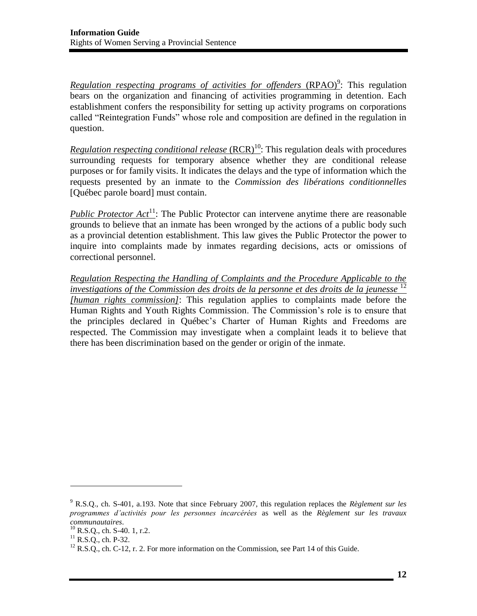*Regulation respecting programs of activities for offenders (RPAO)<sup>9</sup>: This regulation* bears on the organization and financing of activities programming in detention. Each establishment confers the responsibility for setting up activity programs on corporations called "Reintegration Funds" whose role and composition are defined in the regulation in question.

*Regulation respecting conditional release* (RCR)<sup>10</sup>: This regulation deals with procedures surrounding requests for temporary absence whether they are conditional release purposes or for family visits. It indicates the delays and the type of information which the requests presented by an inmate to the *Commission des libérations conditionnelles*  [Québec parole board] must contain.

*Public Protector Act*<sup>11</sup>: The Public Protector can intervene anytime there are reasonable grounds to believe that an inmate has been wronged by the actions of a public body such as a provincial detention establishment. This law gives the Public Protector the power to inquire into complaints made by inmates regarding decisions, acts or omissions of correctional personnel.

*Regulation Respecting the Handling of Complaints and the Procedure Applicable to the investigations of the Commission des droits de la personne et des droits de la jeunesse* <sup>12</sup> *[human rights commission]*: This regulation applies to complaints made before the Human Rights and Youth Rights Commission. The Commission's role is to ensure that the principles declared in Québec's Charter of Human Rights and Freedoms are respected. The Commission may investigate when a complaint leads it to believe that there has been discrimination based on the gender or origin of the inmate.

<sup>9</sup> R.S.Q., ch. S-401, a.193. Note that since February 2007, this regulation replaces the *Règlement sur les programmes d'activités pour les personnes incarcérées* as well as the *Règlement sur les travaux* 

<sup>&</sup>lt;sup>11</sup> R.S.Q., ch. P-32. <sup>12</sup> R.S.Q., ch. C-12, r. 2. For more information on the Commission, see Part 14 of this Guide.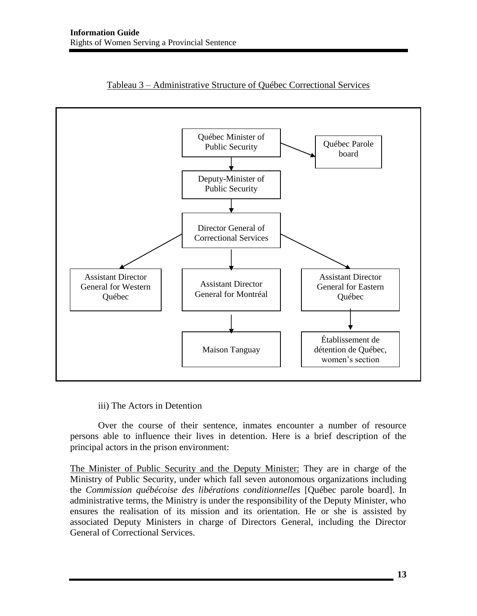



#### iii) The Actors in Detention

 Over the course of their sentence, inmates encounter a number of resource persons able to influence their lives in detention. Here is a brief description of the principal actors in the prison environment:

The Minister of Public Security and the Deputy Minister: They are in charge of the Ministry of Public Security, under which fall seven autonomous organizations including the *Commission québécoise des libérations conditionnelles* [Québec parole board]. In administrative terms, the Ministry is under the responsibility of the Deputy Minister, who ensures the realisation of its mission and its orientation. He or she is assisted by associated Deputy Ministers in charge of Directors General, including the Director General of Correctional Services.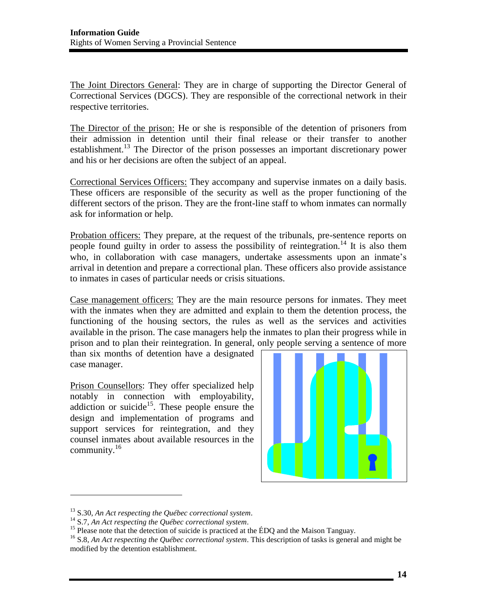The Joint Directors General: They are in charge of supporting the Director General of Correctional Services (DGCS). They are responsible of the correctional network in their respective territories.

The Director of the prison: He or she is responsible of the detention of prisoners from their admission in detention until their final release or their transfer to another establishment.<sup>13</sup> The Director of the prison possesses an important discretionary power and his or her decisions are often the subject of an appeal.

Correctional Services Officers: They accompany and supervise inmates on a daily basis. These officers are responsible of the security as well as the proper functioning of the different sectors of the prison. They are the front-line staff to whom inmates can normally ask for information or help.

Probation officers: They prepare, at the request of the tribunals, pre-sentence reports on people found guilty in order to assess the possibility of reintegration.<sup>14</sup> It is also them who, in collaboration with case managers, undertake assessments upon an inmate's arrival in detention and prepare a correctional plan. These officers also provide assistance to inmates in cases of particular needs or crisis situations.

Case management officers: They are the main resource persons for inmates. They meet with the inmates when they are admitted and explain to them the detention process, the functioning of the housing sectors, the rules as well as the services and activities available in the prison. The case managers help the inmates to plan their progress while in prison and to plan their reintegration. In general, only people serving a sentence of more

than six months of detention have a designated case manager.

Prison Counsellors: They offer specialized help notably in connection with employability, addiction or suicide<sup>15</sup>. These people ensure the design and implementation of programs and support services for reintegration, and they counsel inmates about available resources in the community. $16$ 



<sup>&</sup>lt;sup>13</sup> S.30, *An Act respecting the Québec correctional system*.<br><sup>14</sup> S.7, *An Act respecting the Québec correctional system*.<br><sup>15</sup> Please note that the detection of suicide is practiced at the ÉDQ and the Maison Tanguay.

<sup>16</sup> S.8, *An Act respecting the Québec correctional system*. This description of tasks is general and might be modified by the detention establishment.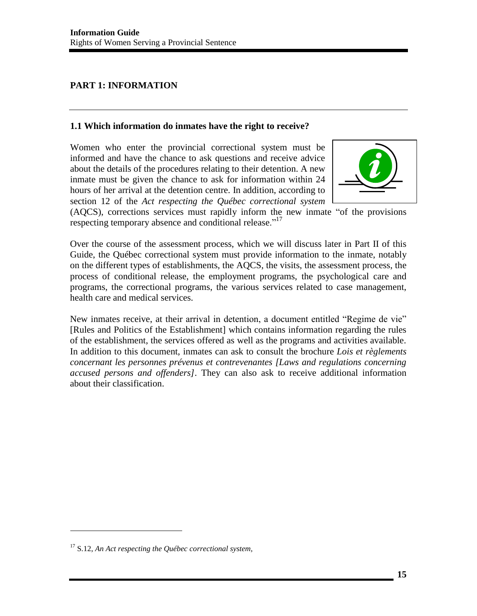# <span id="page-16-0"></span>**PART 1: INFORMATION**

### <span id="page-16-1"></span>**1.1 Which information do inmates have the right to receive?**

Women who enter the provincial correctional system must be informed and have the chance to ask questions and receive advice about the details of the procedures relating to their detention. A new inmate must be given the chance to ask for information within 24 hours of her arrival at the detention centre. In addition, according to section 12 of the *Act respecting the Québec correctional system* 



(AQCS), corrections services must rapidly inform the new inmate "of the provisions respecting temporary absence and conditional release."<sup>17</sup>

Over the course of the assessment process, which we will discuss later in Part II of this Guide, the Québec correctional system must provide information to the inmate, notably on the different types of establishments, the AQCS, the visits, the assessment process, the process of conditional release, the employment programs, the psychological care and programs, the correctional programs, the various services related to case management, health care and medical services.

New inmates receive, at their arrival in detention, a document entitled "Regime de vie" [Rules and Politics of the Establishment] which contains information regarding the rules of the establishment, the services offered as well as the programs and activities available. In addition to this document, inmates can ask to consult the brochure *Lois et règlements concernant les personnes prévenus et contrevenantes [Laws and regulations concerning accused persons and offenders]*. They can also ask to receive additional information about their classification.

 $\overline{a}$ 

<sup>17</sup> S.12, *An Act respecting the Québec correctional system,*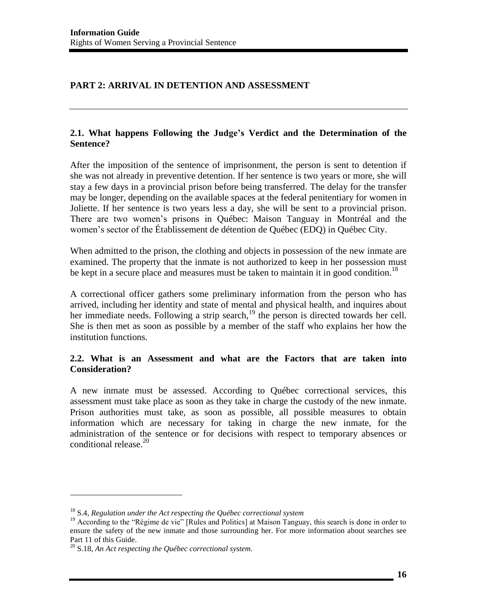# <span id="page-17-0"></span>**PART 2: ARRIVAL IN DETENTION AND ASSESSMENT**

### <span id="page-17-1"></span>**2.1. What happens Following the Judge's Verdict and the Determination of the Sentence?**

After the imposition of the sentence of imprisonment, the person is sent to detention if she was not already in preventive detention. If her sentence is two years or more, she will stay a few days in a provincial prison before being transferred. The delay for the transfer may be longer, depending on the available spaces at the federal penitentiary for women in Joliette. If her sentence is two years less a day, she will be sent to a provincial prison. There are two women's prisons in Québec: Maison Tanguay in Montréal and the women's sector of the Établissement de détention de Québec (EDQ) in Québec City.

When admitted to the prison, the clothing and objects in possession of the new inmate are examined. The property that the inmate is not authorized to keep in her possession must be kept in a secure place and measures must be taken to maintain it in good condition.<sup>18</sup>

A correctional officer gathers some preliminary information from the person who has arrived, including her identity and state of mental and physical health, and inquires about her immediate needs. Following a strip search, $19$  the person is directed towards her cell. She is then met as soon as possible by a member of the staff who explains her how the institution functions.

### <span id="page-17-2"></span>**2.2. What is an Assessment and what are the Factors that are taken into Consideration?**

A new inmate must be assessed. According to Québec correctional services, this assessment must take place as soon as they take in charge the custody of the new inmate. Prison authorities must take, as soon as possible, all possible measures to obtain information which are necessary for taking in charge the new inmate, for the administration of the sentence or for decisions with respect to temporary absences or conditional release. $^{20}$ 

<sup>18</sup> S.4, *Regulation under the Act respecting the Québec correctional system* 

<sup>&</sup>lt;sup>19</sup> According to the "Régime de vie" [Rules and Politics] at Maison Tanguay, this search is done in order to ensure the safety of the new inmate and those surrounding her. For more information about searches see Part 11 of this Guide.

<sup>20</sup> S.18, *An Act respecting the Québec correctional system.*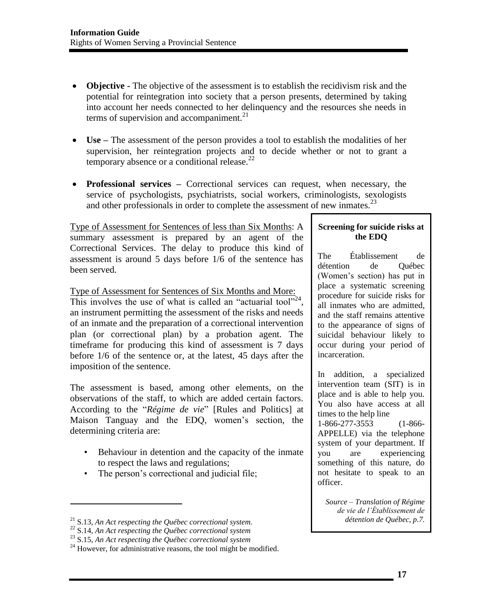- **Objective -** The objective of the assessment is to establish the recidivism risk and the potential for reintegration into society that a person presents, determined by taking into account her needs connected to her delinquency and the resources she needs in terms of supervision and accompaniment. $21$
- **Use –** The assessment of the person provides a tool to establish the modalities of her supervision, her reintegration projects and to decide whether or not to grant a temporary absence or a conditional release. $^{22}$
- **Professional services –** Correctional services can request, when necessary, the service of psychologists, psychiatrists, social workers, criminologists, sexologists and other professionals in order to complete the assessment of new inmates.<sup>23</sup>

Type of Assessment for Sentences of less than Six Months: A summary assessment is prepared by an agent of the Correctional Services. The delay to produce this kind of assessment is around 5 days before 1/6 of the sentence has been served.

Type of Assessment for Sentences of Six Months and More:

This involves the use of what is called an "actuarial tool"<sup>24</sup>, an instrument permitting the assessment of the risks and needs of an inmate and the preparation of a correctional intervention plan (or correctional plan) by a probation agent. The timeframe for producing this kind of assessment is 7 days before 1/6 of the sentence or, at the latest, 45 days after the imposition of the sentence.

The assessment is based, among other elements, on the observations of the staff, to which are added certain factors. According to the "*Régime de vie*" [Rules and Politics] at Maison Tanguay and the EDQ, women's section, the determining criteria are:

- Behaviour in detention and the capacity of the inmate to respect the laws and regulations;
- The person's correctional and judicial file;

l

#### **Screening for suicide risks at the EDQ**

The Établissement de détention de Québec (Women's section) has put in place a systematic screening procedure for suicide risks for all inmates who are admitted, and the staff remains attentive to the appearance of signs of suicidal behaviour likely to occur during your period of incarceration.

In addition, a specialized intervention team (SIT) is in place and is able to help you. You also have access at all times to the help line 1-866-277-3553 (1-866- APPELLE) via the telephone system of your department. If you are experiencing something of this nature, do not hesitate to speak to an officer.

*Source – Translation of Régime de vie de l'Établissement de détention de Québec, p.7.*

<sup>&</sup>lt;sup>21</sup> S.13, An Act respecting the Québec correctional system.<br><sup>22</sup> S.14, An Act respecting the Québec correctional system<br><sup>23</sup> S.15, An Act respecting the Québec correctional system<br><sup>24</sup> However, for administrative reasons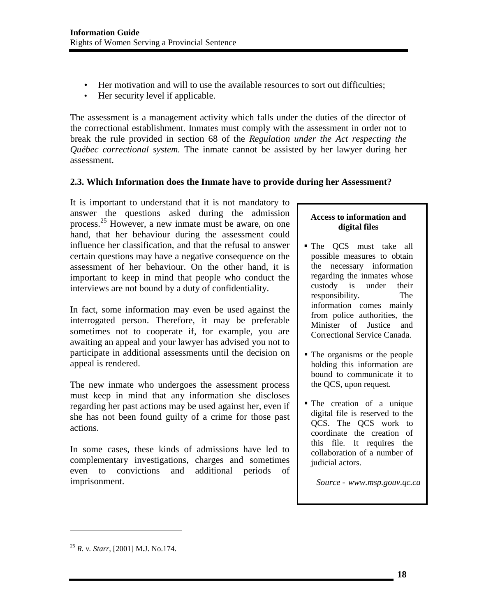- Her motivation and will to use the available resources to sort out difficulties;
- Her security level if applicable.

The assessment is a management activity which falls under the duties of the director of the correctional establishment. Inmates must comply with the assessment in order not to break the rule provided in section 68 of the *Regulation under the Act respecting the Québec correctional system.* The inmate cannot be assisted by her lawyer during her assessment.

# <span id="page-19-0"></span>**2.3. Which Information does the Inmate have to provide during her Assessment?**

It is important to understand that it is not mandatory to answer the questions asked during the admission process.<sup>25</sup> However, a new inmate must be aware, on one hand, that her behaviour during the assessment could influence her classification, and that the refusal to answer certain questions may have a negative consequence on the assessment of her behaviour. On the other hand, it is important to keep in mind that people who conduct the interviews are not bound by a duty of confidentiality.

In fact, some information may even be used against the interrogated person. Therefore, it may be preferable sometimes not to cooperate if, for example, you are awaiting an appeal and your lawyer has advised you not to participate in additional assessments until the decision on appeal is rendered.

The new inmate who undergoes the assessment process must keep in mind that any information she discloses regarding her past actions may be used against her, even if she has not been found guilty of a crime for those past actions.

In some cases, these kinds of admissions have led to complementary investigations, charges and sometimes even to convictions and additional periods of imprisonment.

### **Access to information and digital files**

- The QCS must take all possible measures to obtain the necessary information regarding the inmates whose custody is under their responsibility. The information comes mainly from police authorities, the Minister of Justice and Correctional Service Canada.
- The organisms or the people holding this information are bound to communicate it to the QCS, upon request.
- The creation of a unique digital file is reserved to the QCS. The QCS work to coordinate the creation of this file. It requires the collaboration of a number of judicial actors.

*Source - www.msp.gouv.qc.ca* 

 $\overline{a}$ 

<sup>25</sup> *R. v. Starr*, [2001] M.J. No.174.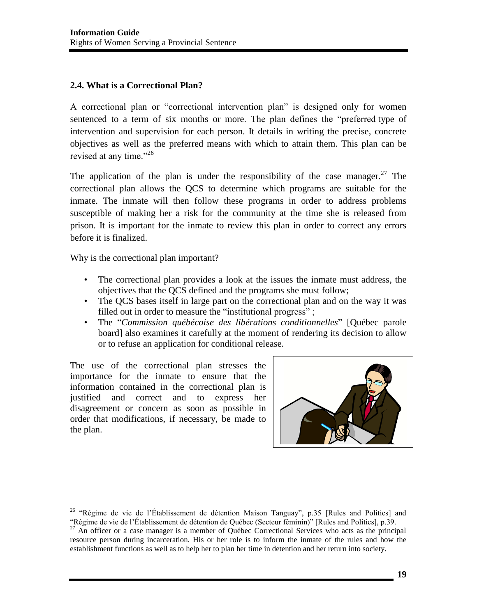# <span id="page-20-0"></span>**2.4. What is a Correctional Plan?**

A correctional plan or "correctional intervention plan" is designed only for women sentenced to a term of six months or more. The plan defines the "preferred type of intervention and supervision for each person. It details in writing the precise, concrete objectives as well as the preferred means with which to attain them. This plan can be revised at any time."<sup>26</sup>

The application of the plan is under the responsibility of the case manager.<sup>27</sup> The correctional plan allows the QCS to determine which programs are suitable for the inmate. The inmate will then follow these programs in order to address problems susceptible of making her a risk for the community at the time she is released from prison. It is important for the inmate to review this plan in order to correct any errors before it is finalized.

Why is the correctional plan important?

- The correctional plan provides a look at the issues the inmate must address, the objectives that the QCS defined and the programs she must follow;
- The QCS bases itself in large part on the correctional plan and on the way it was filled out in order to measure the "institutional progress";
- The "*Commission québécoise des libérations conditionnelles*" [Québec parole board] also examines it carefully at the moment of rendering its decision to allow or to refuse an application for conditional release.

The use of the correctional plan stresses the importance for the inmate to ensure that the information contained in the correctional plan is justified and correct and to express her disagreement or concern as soon as possible in order that modifications, if necessary, be made to the plan.



<sup>&</sup>lt;sup>26</sup> "Régime de vie de l'Établissement de détention Maison Tanguay", p.35 [Rules and Politics] and "Régime de vie de l'Établissement de détention de Québec (Secteur féminin)" [Rules and Politics], p.39.

<sup>&</sup>lt;sup>27</sup> An officer or a case manager is a member of Québec Correctional Services who acts as the principal resource person during incarceration. His or her role is to inform the inmate of the rules and how the establishment functions as well as to help her to plan her time in detention and her return into society.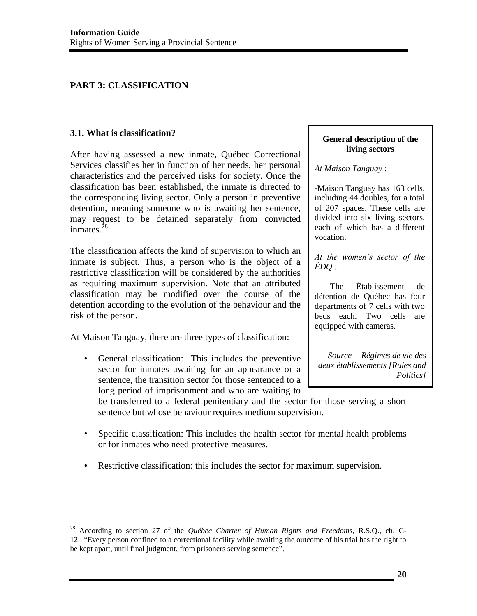# <span id="page-21-0"></span>**PART 3: CLASSIFICATION**

### <span id="page-21-1"></span>**3.1. What is classification?**

 $\overline{\phantom{a}}$ 

After having assessed a new inmate, Québec Correctional Services classifies her in function of her needs, her personal characteristics and the perceived risks for society. Once the classification has been established, the inmate is directed to the corresponding living sector. Only a person in preventive detention, meaning someone who is awaiting her sentence, may request to be detained separately from convicted inmates.<sup>28</sup>

The classification affects the kind of supervision to which an inmate is subject. Thus, a person who is the object of a restrictive classification will be considered by the authorities as requiring maximum supervision. Note that an attributed classification may be modified over the course of the detention according to the evolution of the behaviour and the risk of the person.

At Maison Tanguay, there are three types of classification:

• General classification: This includes the preventive sector for inmates awaiting for an appearance or a sentence, the transition sector for those sentenced to a long period of imprisonment and who are waiting to

#### **General description of the living sectors**

*At Maison Tanguay* :

-Maison Tanguay has 163 cells, including 44 doubles, for a total of 207 spaces. These cells are divided into six living sectors, each of which has a different vocation.

*At the women's sector of the ÉDQ :* 

The Établissement de détention de Québec has four departments of 7 cells with two beds each. Two cells are equipped with cameras.

*Source – Régimes de vie des deux établissements [Rules and Politics]* 

be transferred to a federal penitentiary and the sector for those serving a short sentence but whose behaviour requires medium supervision.

- Specific classification: This includes the health sector for mental health problems or for inmates who need protective measures.
- Restrictive classification: this includes the sector for maximum supervision.

<sup>28</sup> According to section 27 of the *Québec Charter of Human Rights and Freedoms*, R.S.Q., ch. C-12 : "Every person confined to a correctional facility while awaiting the outcome of his trial has the right to be kept apart, until final judgment, from prisoners serving sentence".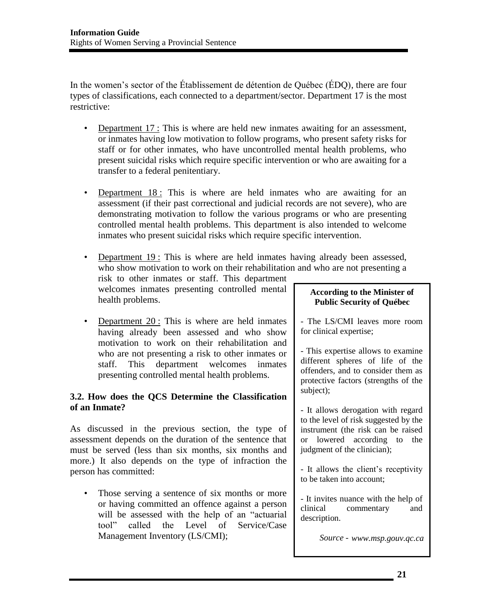In the women's sector of the Établissement de détention de Québec (ÉDQ), there are four types of classifications, each connected to a department/sector. Department 17 is the most restrictive:

- Department 17 : This is where are held new inmates awaiting for an assessment, or inmates having low motivation to follow programs, who present safety risks for staff or for other inmates, who have uncontrolled mental health problems, who present suicidal risks which require specific intervention or who are awaiting for a transfer to a federal penitentiary.
- Department 18 : This is where are held inmates who are awaiting for an assessment (if their past correctional and judicial records are not severe), who are demonstrating motivation to follow the various programs or who are presenting controlled mental health problems. This department is also intended to welcome inmates who present suicidal risks which require specific intervention.
- Department 19 : This is where are held inmates having already been assessed, who show motivation to work on their rehabilitation and who are not presenting a risk to other inmates or staff. This department welcomes inmates presenting controlled mental health problems.
- Department 20 : This is where are held inmates having already been assessed and who show motivation to work on their rehabilitation and who are not presenting a risk to other inmates or staff. This department welcomes inmates presenting controlled mental health problems.

# <span id="page-22-0"></span>**3.2. How does the QCS Determine the Classification of an Inmate?**

As discussed in the previous section, the type of assessment depends on the duration of the sentence that must be served (less than six months, six months and more.) It also depends on the type of infraction the person has committed:

• Those serving a sentence of six months or more or having committed an offence against a person will be assessed with the help of an "actuarial tool" called the Level of Service/Case Management Inventory (LS/CMI);

### **According to the Minister of Public Security of Québec**

- The LS/CMI leaves more room for clinical expertise;

- This expertise allows to examine different spheres of life of the offenders, and to consider them as protective factors (strengths of the subject);

- It allows derogation with regard to the level of risk suggested by the instrument (the risk can be raised or lowered according to the judgment of the clinician);

- It allows the client's receptivity to be taken into account;

- It invites nuance with the help of clinical commentary and description.

*Source - www.msp.gouv.qc.ca*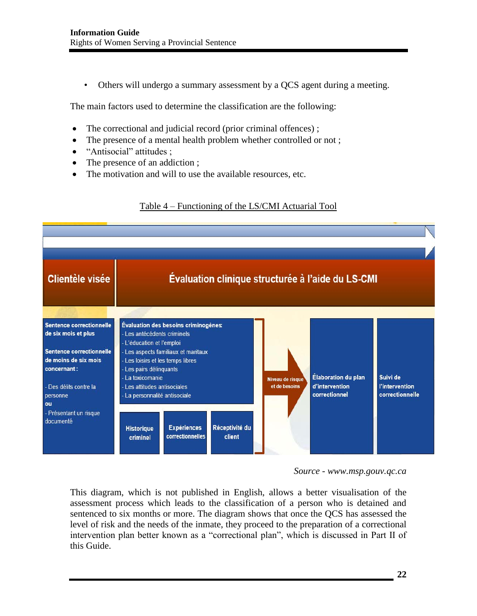• Others will undergo a summary assessment by a QCS agent during a meeting.

The main factors used to determine the classification are the following:

- The correctional and judicial record (prior criminal offences);
- The presence of a mental health problem whether controlled or not;
- "Antisocial" attitudes ;
- The presence of an addiction ;
- The motivation and will to use the available resources, etc.





*Source - www.msp.gouv.qc.ca* 

This diagram, which is not published in English, allows a better visualisation of the assessment process which leads to the classification of a person who is detained and sentenced to six months or more. The diagram shows that once the QCS has assessed the level of risk and the needs of the inmate, they proceed to the preparation of a correctional intervention plan better known as a "correctional plan", which is discussed in Part II of this Guide.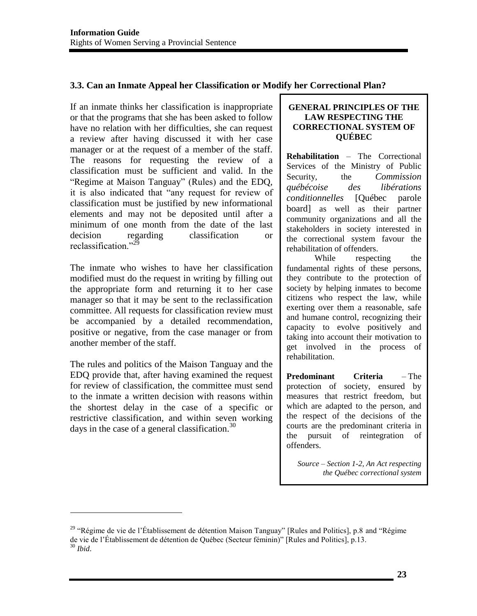# <span id="page-24-0"></span>**3.3. Can an Inmate Appeal her Classification or Modify her Correctional Plan?**

If an inmate thinks her classification is inappropriate or that the programs that she has been asked to follow have no relation with her difficulties, she can request a review after having discussed it with her case manager or at the request of a member of the staff. The reasons for requesting the review of a classification must be sufficient and valid. In the "Regime at Maison Tanguay" (Rules) and the EDQ, it is also indicated that "any request for review of classification must be justified by new informational elements and may not be deposited until after a minimum of one month from the date of the last decision regarding classification or reclassification<sup>"29</sup>

The inmate who wishes to have her classification modified must do the request in writing by filling out the appropriate form and returning it to her case manager so that it may be sent to the reclassification committee. All requests for classification review must be accompanied by a detailed recommendation, positive or negative, from the case manager or from another member of the staff.

The rules and politics of the Maison Tanguay and the EDQ provide that, after having examined the request for review of classification, the committee must send to the inmate a written decision with reasons within the shortest delay in the case of a specific or restrictive classification, and within seven working days in the case of a general classification. $30$ 

 $\overline{\phantom{a}}$ 

#### **GENERAL PRINCIPLES OF THE LAW RESPECTING THE CORRECTIONAL SYSTEM OF QUÉBEC**

**Rehabilitation** – The Correctional Services of the Ministry of Public Security, the *Commission québécoise des libérations conditionnelles* [Québec parole board] as well as their partner community organizations and all the stakeholders in society interested in the correctional system favour the rehabilitation of offenders.

While respecting the fundamental rights of these persons, they contribute to the protection of society by helping inmates to become citizens who respect the law, while exerting over them a reasonable, safe and humane control, recognizing their capacity to evolve positively and taking into account their motivation to get involved in the process of rehabilitation.

**Predominant Criteria** – The protection of society, ensured by measures that restrict freedom, but which are adapted to the person, and the respect of the decisions of the courts are the predominant criteria in the pursuit of reintegration of offenders.

*Source – Section 1-2, An Act respecting the Québec correctional system* 

<sup>&</sup>lt;sup>29</sup> "Régime de vie de l'Établissement de détention Maison Tanguay" [Rules and Politics], p.8 and "Régime de vie de l'Établissement de détention de Québec (Secteur féminin)" [Rules and Politics], p.13. <sup>30</sup> *Ibid*.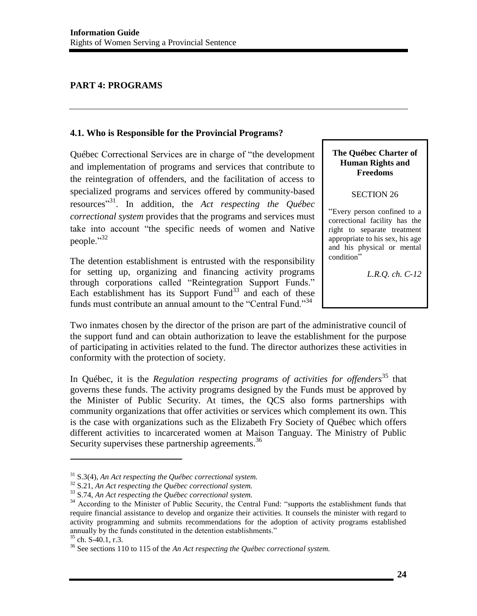# <span id="page-25-0"></span>**PART 4: PROGRAMS**

### <span id="page-25-1"></span>**4.1. Who is Responsible for the Provincial Programs?**

Québec Correctional Services are in charge of "the development and implementation of programs and services that contribute to the reintegration of offenders, and the facilitation of access to specialized programs and services offered by community-based resources" 31. In addition, the *Act respecting the Québec correctional system* provides that the programs and services must take into account "the specific needs of women and Native people."<sup>32</sup>

The detention establishment is entrusted with the responsibility for setting up, organizing and financing activity programs through corporations called "Reintegration Support Funds." Each establishment has its Support Fund<sup>33</sup> and each of these funds must contribute an annual amount to the "Central Fund."<sup>34</sup>

### **The Québec Charter of Human Rights and Freedoms**

#### SECTION 26

"Every person confined to a correctional facility has the right to separate treatment appropriate to his sex, his age and his physical or mental condition"

*L.R.Q. ch. C-12* 

Two inmates chosen by the director of the prison are part of the administrative council of the support fund and can obtain authorization to leave the establishment for the purpose of participating in activities related to the fund. The director authorizes these activities in conformity with the protection of society.

In Québec, it is the *Regulation respecting programs of activities for offenders*<sup>35</sup> that governs these funds. The activity programs designed by the Funds must be approved by the Minister of Public Security. At times, the QCS also forms partnerships with community organizations that offer activities or services which complement its own. This is the case with organizations such as the Elizabeth Fry Society of Québec which offers different activities to incarcerated women at Maison Tanguay. The Ministry of Public Security supervises these partnership agreements.<sup>36</sup>

<sup>&</sup>lt;sup>31</sup> S.3(4), An Act respecting the Québec correctional system.<br><sup>32</sup> S.21, An Act respecting the Québec correctional system.<br><sup>33</sup> S.74, An Act respecting the Québec correctional system.<br><sup>34</sup> According to the Minister of Pu require financial assistance to develop and organize their activities. It counsels the minister with regard to activity programming and submits recommendations for the adoption of activity programs established annually by the funds constituted in the detention establishments."  $35$  ch. S-40.1, r.3.

<sup>&</sup>lt;sup>36</sup> See sections 110 to 115 of the *An Act respecting the Québec correctional system*.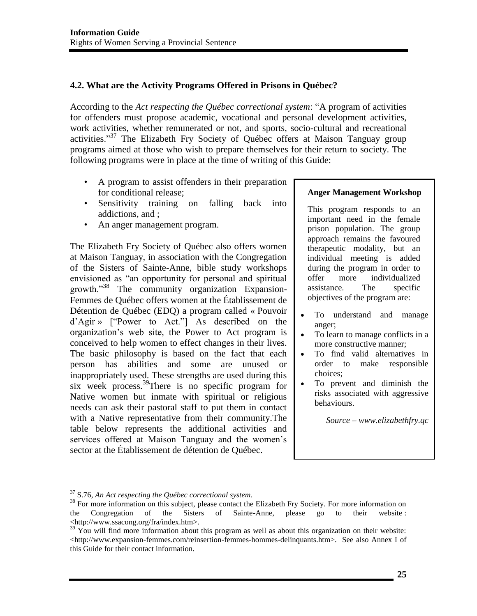# <span id="page-26-0"></span>**4.2. What are the Activity Programs Offered in Prisons in Québec?**

According to the *Act respecting the Québec correctional system*: "A program of activities for offenders must propose academic, vocational and personal development activities, work activities, whether remunerated or not, and sports, socio-cultural and recreational activities."<sup>37</sup> The Elizabeth Fry Society of Québec offers at Maison Tanguay group programs aimed at those who wish to prepare themselves for their return to society. The following programs were in place at the time of writing of this Guide:

- A program to assist offenders in their preparation for conditional release;
- Sensitivity training on falling back into addictions, and ;
- An anger management program.

The Elizabeth Fry Society of Québec also offers women at Maison Tanguay, in association with the Congregation of the Sisters of Sainte-Anne, bible study workshops envisioned as "an opportunity for personal and spiritual growth."38 The community organization Expansion-Femmes de Québec offers women at the Établissement de Détention de Québec (EDQ) a program called « Pouvoir d'Agir » ["Power to Act."] As described on the organization's web site, the Power to Act program is conceived to help women to effect changes in their lives. The basic philosophy is based on the fact that each person has abilities and some are unused or inappropriately used. These strengths are used during this six week process.<sup>39</sup>There is no specific program for Native women but inmate with spiritual or religious needs can ask their pastoral staff to put them in contact with a Native representative from their community.The table below represents the additional activities and services offered at Maison Tanguay and the women's sector at the Établissement de détention de Québec.

#### **Anger Management Workshop**

This program responds to an important need in the female prison population. The group approach remains the favoured therapeutic modality, but an individual meeting is added during the program in order to offer more individualized assistance. The specific objectives of the program are:

- To understand and manage anger;
- To learn to manage conflicts in a more constructive manner;
- To find valid alternatives in order to make responsible choices;
- To prevent and diminish the risks associated with aggressive behaviours.

*Source – www.elizabethfry.qc* 

 $\overline{a}$ 

<sup>&</sup>lt;sup>37</sup> S.76, *An Act respecting the Québec correctional system*.<br><sup>38</sup> For more information on this subject, please contact the Elizabeth Fry Society. For more information on the Congregation of the Sisters of Sainte-Anne, please go to their website : [<http://www.ssacong.org/fra/index.htm>](http://www.ssacong.org/fra/index.htm).

 $39 \text{ You will find more information about this program as well as about this organization on their website:}$ [<http://www.expansion-femmes.com/reinsertion-femmes-hommes-delinquants.htm>](http://www.expansion-femmes.com/reinsertion-femmes-hommes-delinquants.htm). See also Annex I of this Guide for their contact information.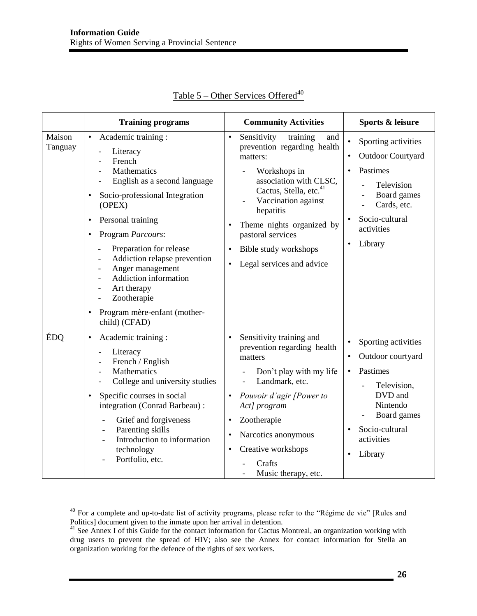|                   | <b>Training programs</b>                                                                                                                                                                                                                                                                                                                                          | <b>Community Activities</b>                                                                                                                                                                                                                                                                                        | Sports & leisure                                                                                                                                                                                                      |
|-------------------|-------------------------------------------------------------------------------------------------------------------------------------------------------------------------------------------------------------------------------------------------------------------------------------------------------------------------------------------------------------------|--------------------------------------------------------------------------------------------------------------------------------------------------------------------------------------------------------------------------------------------------------------------------------------------------------------------|-----------------------------------------------------------------------------------------------------------------------------------------------------------------------------------------------------------------------|
| Maison<br>Tanguay | Academic training :<br>$\bullet$<br>Literacy<br>French<br>Mathematics<br>English as a second language<br>Socio-professional Integration<br>(OPEX)<br>Personal training<br>Program Parcours:<br>Preparation for release<br>Addiction relapse prevention<br>Anger management<br>Addiction information<br>Art therapy<br>Zootherapie<br>Program mère-enfant (mother- | Sensitivity<br>$\bullet$<br>and<br>training<br>prevention regarding health<br>matters:<br>Workshops in<br>association with CLSC,<br>Cactus, Stella, etc. <sup>41</sup><br>Vaccination against<br>hepatitis<br>Theme nights organized by<br>pastoral services<br>Bible study workshops<br>Legal services and advice | Sporting activities<br>$\bullet$<br><b>Outdoor Courtyard</b><br>$\bullet$<br>Pastimes<br>$\bullet$<br>Television<br>Board games<br>Cards, etc.<br>Socio-cultural<br>activities<br>Library<br>$\bullet$                |
| ÉDO               | child) (CFAD)<br>Academic training:<br>$\bullet$<br>Literacy<br>French / English<br>Mathematics<br>College and university studies<br>Specific courses in social<br>$\bullet$<br>integration (Conrad Barbeau):<br>Grief and forgiveness<br>Parenting skills<br>Introduction to information<br>technology<br>Portfolio, etc.                                        | Sensitivity training and<br>$\bullet$<br>prevention regarding health<br>matters<br>Don't play with my life<br>Landmark, etc.<br>Pouvoir d'agir [Power to<br>Act] program<br>Zootherapie<br>$\bullet$<br>Narcotics anonymous<br>$\bullet$<br>Creative workshops<br>$\bullet$<br>Crafts<br>Music therapy, etc.       | Sporting activities<br>$\bullet$<br>Outdoor courtyard<br>$\bullet$<br>Pastimes<br>$\bullet$<br>Television,<br>DVD and<br>Nintendo<br>Board games<br>Socio-cultural<br>$\bullet$<br>activities<br>Library<br>$\bullet$ |

# Table  $5$  – Other Services Offered<sup>40</sup>

 $40$  For a complete and up-to-date list of activity programs, please refer to the "Régime de vie" [Rules and Politics] document given to the inmate upon her arrival in detention.

<sup>&</sup>lt;sup>41</sup> See Annex I of this Guide for the contact information for Cactus Montreal, an organization working with drug users to prevent the spread of HIV; also see the Annex for contact information for Stella an organization working for the defence of the rights of sex workers.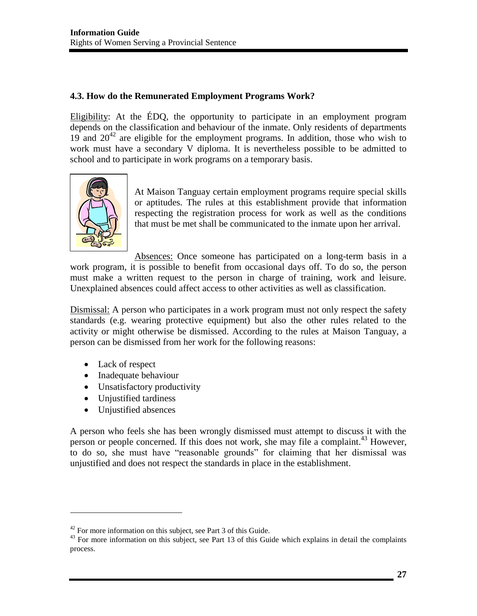# <span id="page-28-0"></span>**4.3. How do the Remunerated Employment Programs Work?**

Eligibility: At the ÉDQ, the opportunity to participate in an employment program depends on the classification and behaviour of the inmate. Only residents of departments  $19$  and  $20^{42}$  are eligible for the employment programs. In addition, those who wish to work must have a secondary V diploma. It is nevertheless possible to be admitted to school and to participate in work programs on a temporary basis.



At Maison Tanguay certain employment programs require special skills or aptitudes. The rules at this establishment provide that information respecting the registration process for work as well as the conditions that must be met shall be communicated to the inmate upon her arrival.

Absences: Once someone has participated on a long-term basis in a work program, it is possible to benefit from occasional days off. To do so, the person must make a written request to the person in charge of training, work and leisure. Unexplained absences could affect access to other activities as well as classification.

Dismissal: A person who participates in a work program must not only respect the safety standards (e.g. wearing protective equipment) but also the other rules related to the activity or might otherwise be dismissed. According to the rules at Maison Tanguay, a person can be dismissed from her work for the following reasons:

• Lack of respect

 $\overline{\phantom{a}}$ 

- Inadequate behaviour
- Unsatisfactory productivity
- Unjustified tardiness
- Unjustified absences

A person who feels she has been wrongly dismissed must attempt to discuss it with the person or people concerned. If this does not work, she may file a complaint.<sup>43</sup> However, to do so, she must have "reasonable grounds" for claiming that her dismissal was unjustified and does not respect the standards in place in the establishment.

<sup>&</sup>lt;sup>42</sup> For more information on this subject, see Part 3 of this Guide.

<sup>&</sup>lt;sup>43</sup> For more information on this subject, see Part 13 of this Guide which explains in detail the complaints process.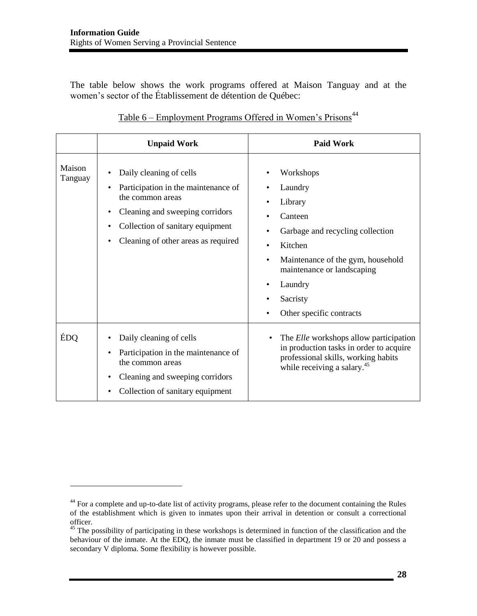$\overline{\phantom{a}}$ 

The table below shows the work programs offered at Maison Tanguay and at the women's sector of the Établissement de détention de Québec:

|                   | <b>Unpaid Work</b>                                                                                                                                                                                    | <b>Paid Work</b>                                                                                                                                                                                                     |
|-------------------|-------------------------------------------------------------------------------------------------------------------------------------------------------------------------------------------------------|----------------------------------------------------------------------------------------------------------------------------------------------------------------------------------------------------------------------|
| Maison<br>Tanguay | Daily cleaning of cells<br>Participation in the maintenance of<br>the common areas<br>Cleaning and sweeping corridors<br>Collection of sanitary equipment<br>٠<br>Cleaning of other areas as required | Workshops<br>Laundry<br>Library<br>Canteen<br>Garbage and recycling collection<br>Kitchen<br>Maintenance of the gym, household<br>٠<br>maintenance or landscaping<br>Laundry<br>Sacristy<br>Other specific contracts |
| ÉDQ               | Daily cleaning of cells<br>Participation in the maintenance of<br>the common areas<br>Cleaning and sweeping corridors<br>Collection of sanitary equipment                                             | The <i>Elle</i> workshops allow participation<br>in production tasks in order to acquire<br>professional skills, working habits<br>while receiving a salary. <sup>45</sup>                                           |

<sup>&</sup>lt;sup>44</sup> For a complete and up-to-date list of activity programs, please refer to the document containing the Rules of the establishment which is given to inmates upon their arrival in detention or consult a correctional officer.

<sup>&</sup>lt;sup>45</sup> The possibility of participating in these workshops is determined in function of the classification and the behaviour of the inmate. At the EDQ, the inmate must be classified in department 19 or 20 and possess a secondary V diploma. Some flexibility is however possible.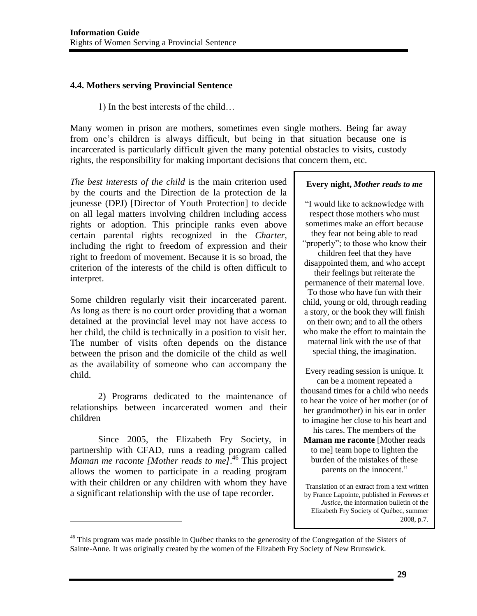### <span id="page-30-0"></span>**4.4. Mothers serving Provincial Sentence**

1) In the best interests of the child…

Many women in prison are mothers, sometimes even single mothers. Being far away from one's children is always difficult, but being in that situation because one is incarcerated is particularly difficult given the many potential obstacles to visits, custody rights, the responsibility for making important decisions that concern them, etc.

*The best interests of the child* is the main criterion used by the courts and the Direction de la protection de la jeunesse (DPJ) [Director of Youth Protection] to decide on all legal matters involving children including access rights or adoption. This principle ranks even above certain parental rights recognized in the *Charter*, including the right to freedom of expression and their right to freedom of movement. Because it is so broad, the criterion of the interests of the child is often difficult to interpret.

Some children regularly visit their incarcerated parent. As long as there is no court order providing that a woman detained at the provincial level may not have access to her child, the child is technically in a position to visit her. The number of visits often depends on the distance between the prison and the domicile of the child as well as the availability of someone who can accompany the child.

 2) Programs dedicated to the maintenance of relationships between incarcerated women and their children

 Since 2005, the Elizabeth Fry Society, in partnership with CFAD, runs a reading program called *Maman me raconte [Mother reads to me]*. 46 This project allows the women to participate in a reading program with their children or any children with whom they have a significant relationship with the use of tape recorder.

 $\overline{\phantom{a}}$ 

#### **Every night,** *Mother reads to me*

"I would like to acknowledge with respect those mothers who must sometimes make an effort because they fear not being able to read "properly"; to those who know their children feel that they have disappointed them, and who accept their feelings but reiterate the permanence of their maternal love. To those who have fun with their child, young or old, through reading a story, or the book they will finish on their own; and to all the others who make the effort to maintain the maternal link with the use of that special thing, the imagination.

Every reading session is unique. It can be a moment repeated a thousand times for a child who needs to hear the voice of her mother (or of her grandmother) in his ear in order to imagine her close to his heart and his cares. The members of the **Maman me raconte** [Mother reads to me] team hope to lighten the burden of the mistakes of these parents on the innocent."

Translation of an extract from a text written by France Lapointe, published in *Femmes et Justice,* the information bulletin of the Elizabeth Fry Society of Québec, summer 2008, p.7*.*

<sup>&</sup>lt;sup>46</sup> This program was made possible in Québec thanks to the generosity of the Congregation of the Sisters of Sainte-Anne. It was originally created by the women of the Elizabeth Fry Society of New Brunswick.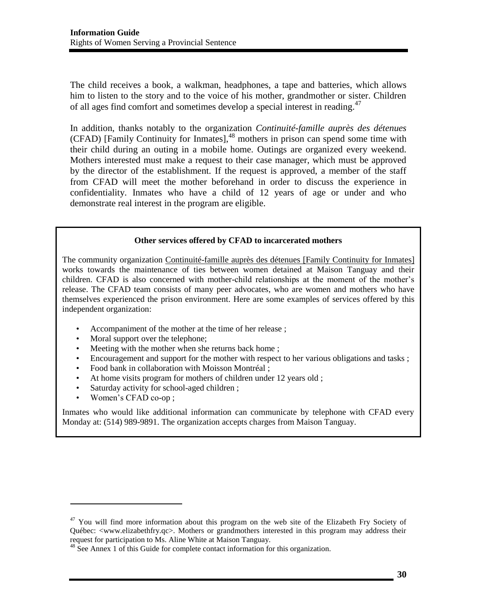The child receives a book, a walkman, headphones, a tape and batteries, which allows him to listen to the story and to the voice of his mother, grandmother or sister. Children of all ages find comfort and sometimes develop a special interest in reading.<sup>47</sup>

In addition, thanks notably to the organization *Continuité-famille auprès des détenues* (CFAD) [Family Continuity for Inmates],<sup>48</sup> mothers in prison can spend some time with their child during an outing in a mobile home. Outings are organized every weekend. Mothers interested must make a request to their case manager, which must be approved by the director of the establishment. If the request is approved, a member of the staff from CFAD will meet the mother beforehand in order to discuss the experience in confidentiality. Inmates who have a child of 12 years of age or under and who demonstrate real interest in the program are eligible.

#### **Other services offered by CFAD to incarcerated mothers**

The community organization Continuité-famille auprès des détenues [Family Continuity for Inmates] works towards the maintenance of ties between women detained at Maison Tanguay and their children. CFAD is also concerned with mother-child relationships at the moment of the mother's release. The CFAD team consists of many peer advocates, who are women and mothers who have themselves experienced the prison environment. Here are some examples of services offered by this independent organization:

- Accompaniment of the mother at the time of her release;
- Moral support over the telephone;
- Meeting with the mother when she returns back home;
- Encouragement and support for the mother with respect to her various obligations and tasks ;
- Food bank in collaboration with Moisson Montréal ;
- At home visits program for mothers of children under 12 years old;
- Saturday activity for school-aged children ;
- Women's CFAD co-op ;

l

Inmates who would like additional information can communicate by telephone with CFAD every Monday at: (514) 989-9891. The organization accepts charges from Maison Tanguay.

 $47$  You will find more information about this program on the web site of the Elizabeth Fry Society of Québec: <www.elizabethfry.qc>. Mothers or grandmothers interested in this program may address their request for participation to Ms. Aline White at Maison Tanguay.

<sup>&</sup>lt;sup>48</sup> See Annex 1 of this Guide for complete contact information for this organization.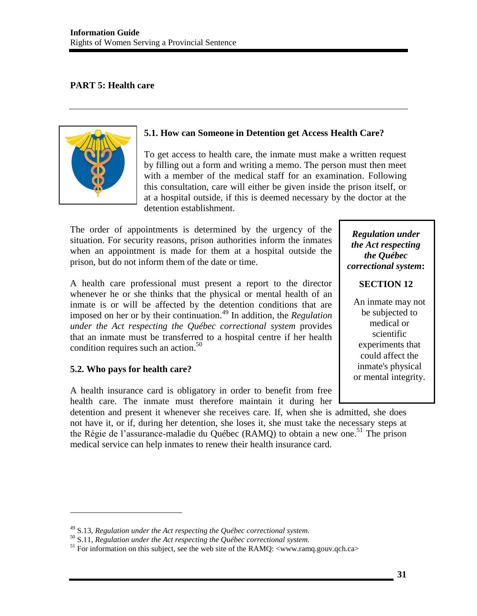# <span id="page-32-0"></span>**PART 5: Health care**



# <span id="page-32-1"></span>**5.1. How can Someone in Detention get Access Health Care?**

To get access to health care, the inmate must make a written request by filling out a form and writing a memo. The person must then meet with a member of the medical staff for an examination. Following this consultation, care will either be given inside the prison itself, or at a hospital outside, if this is deemed necessary by the doctor at the detention establishment.

The order of appointments is determined by the urgency of the situation. For security reasons, prison authorities inform the inmates when an appointment is made for them at a hospital outside the prison, but do not inform them of the date or time.

A health care professional must present a report to the director whenever he or she thinks that the physical or mental health of an inmate is or will be affected by the detention conditions that are imposed on her or by their continuation.49 In addition, the *Regulation under the Act respecting the Québec correctional system* provides that an inmate must be transferred to a hospital centre if her health condition requires such an action.<sup>50</sup>

# <span id="page-32-2"></span>**5.2. Who pays for health care?**

 $\overline{\phantom{a}}$ 

A health insurance card is obligatory in order to benefit from free health care. The inmate must therefore maintain it during her

detention and present it whenever she receives care. If, when she is admitted, she does not have it, or if, during her detention, she loses it, she must take the necessary steps at the Régie de l'assurance-maladie du Québec (RAMQ) to obtain a new one.<sup>51</sup> The prison medical service can help inmates to renew their health insurance card.

# *Regulation under the Act respecting the Québec correctional system***:**

### **SECTION 12**

An inmate may not be subjected to medical or scientific experiments that could affect the inmate's physical or mental integrity.

<sup>&</sup>lt;sup>49</sup> S.13, Regulation under the Act respecting the Québec correctional system.<br><sup>50</sup> S.11, Regulation under the Act respecting the Québec correctional system.<br><sup>51</sup> For information on this subject, see the web site of the R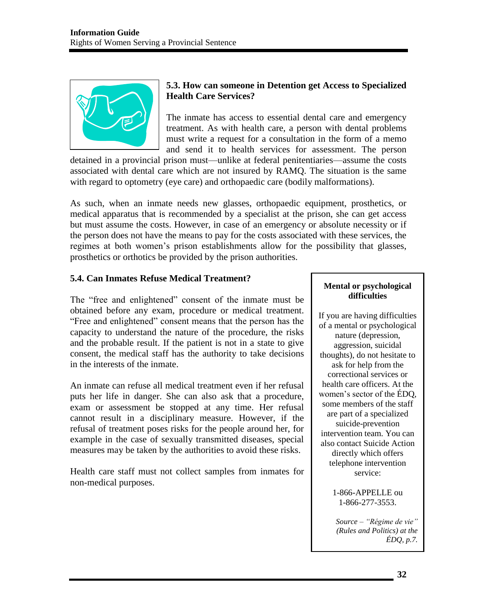

# <span id="page-33-0"></span>**5.3. How can someone in Detention get Access to Specialized Health Care Services?**

The inmate has access to essential dental care and emergency treatment. As with health care, a person with dental problems must write a request for a consultation in the form of a memo and send it to health services for assessment. The person

detained in a provincial prison must—unlike at federal penitentiaries—assume the costs associated with dental care which are not insured by RAMQ. The situation is the same with regard to optometry (eye care) and orthopaedic care (bodily malformations).

As such, when an inmate needs new glasses, orthopaedic equipment, prosthetics, or medical apparatus that is recommended by a specialist at the prison, she can get access but must assume the costs. However, in case of an emergency or absolute necessity or if the person does not have the means to pay for the costs associated with these services, the regimes at both women's prison establishments allow for the possibility that glasses, prosthetics or orthotics be provided by the prison authorities.

# <span id="page-33-1"></span>**5.4. Can Inmates Refuse Medical Treatment?**

The "free and enlightened" consent of the inmate must be obtained before any exam, procedure or medical treatment. "Free and enlightened" consent means that the person has the capacity to understand the nature of the procedure, the risks and the probable result. If the patient is not in a state to give consent, the medical staff has the authority to take decisions in the interests of the inmate.

An inmate can refuse all medical treatment even if her refusal puts her life in danger. She can also ask that a procedure, exam or assessment be stopped at any time. Her refusal cannot result in a disciplinary measure. However, if the refusal of treatment poses risks for the people around her, for example in the case of sexually transmitted diseases, special measures may be taken by the authorities to avoid these risks.

Health care staff must not collect samples from inmates for non-medical purposes.

#### **Mental or psychological difficulties**

If you are having difficulties of a mental or psychological nature (depression, aggression, suicidal thoughts), do not hesitate to ask for help from the correctional services or health care officers. At the women's sector of the ÉDQ, some members of the staff are part of a specialized suicide-prevention intervention team. You can also contact Suicide Action directly which offers telephone intervention service:

> 1-866-APPELLE ou 1-866-277-3553.

*Source – "Régime de vie" (Rules and Politics) at the ÉDQ, p.7.*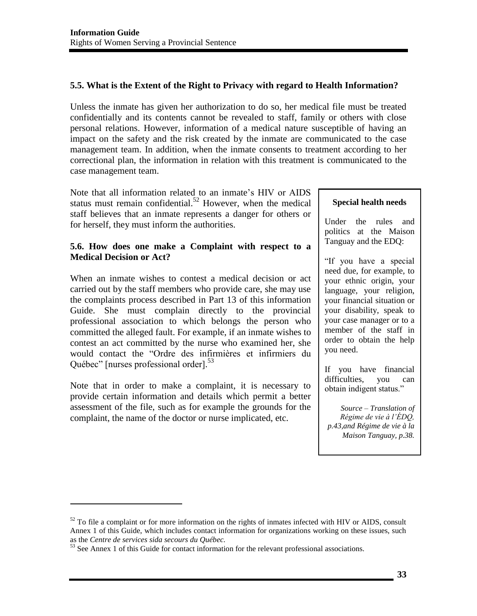# <span id="page-34-0"></span>**5.5. What is the Extent of the Right to Privacy with regard to Health Information?**

Unless the inmate has given her authorization to do so, her medical file must be treated confidentially and its contents cannot be revealed to staff, family or others with close personal relations. However, information of a medical nature susceptible of having an impact on the safety and the risk created by the inmate are communicated to the case management team. In addition, when the inmate consents to treatment according to her correctional plan, the information in relation with this treatment is communicated to the case management team.

Note that all information related to an inmate's HIV or AIDS status must remain confidential.<sup>52</sup> However, when the medical staff believes that an inmate represents a danger for others or for herself, they must inform the authorities.

### <span id="page-34-1"></span>**5.6. How does one make a Complaint with respect to a Medical Decision or Act?**

When an inmate wishes to contest a medical decision or act carried out by the staff members who provide care, she may use the complaints process described in Part 13 of this information Guide. She must complain directly to the provincial professional association to which belongs the person who committed the alleged fault. For example, if an inmate wishes to contest an act committed by the nurse who examined her, she would contact the "Ordre des infirmières et infirmiers du Québec" [nurses professional order]. 53

Note that in order to make a complaint, it is necessary to provide certain information and details which permit a better assessment of the file, such as for example the grounds for the complaint, the name of the doctor or nurse implicated, etc.

l

#### **Special health needs**

Under the rules and politics at the Maison Tanguay and the EDQ:

"If you have a special need due, for example, to your ethnic origin, your language, your religion, your financial situation or your disability, speak to your case manager or to a member of the staff in order to obtain the help you need.

If you have financial difficulties, you can obtain indigent status."

*Source – Translation of Régime de vie à l'ÉDQ, p.43,and Régime de vie à la Maison Tanguay, p.38.* 

 $52$  To file a complaint or for more information on the rights of inmates infected with HIV or AIDS, consult Annex 1 of this Guide, which includes contact information for organizations working on these issues, such as the *Centre de services sida secours du Québec*.<br><sup>53</sup> See Annex 1 of this Guide for contact information for the relevant professional associations.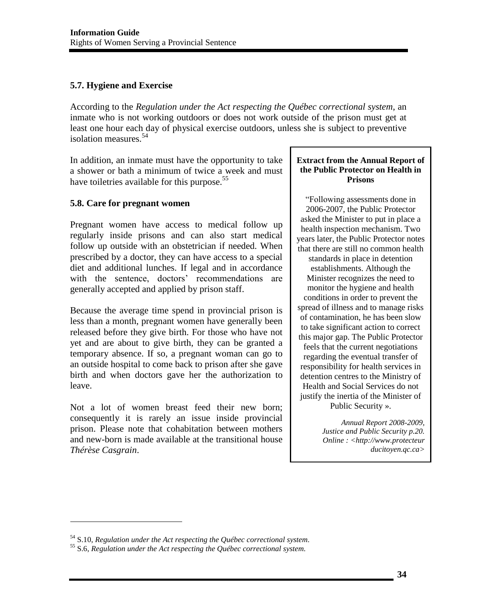# <span id="page-35-0"></span>**5.7. Hygiene and Exercise**

According to the *Regulation under the Act respecting the Québec correctional system*, an inmate who is not working outdoors or does not work outside of the prison must get at least one hour each day of physical exercise outdoors, unless she is subject to preventive isolation measures.<sup>54</sup>

In addition, an inmate must have the opportunity to take a shower or bath a minimum of twice a week and must have toiletries available for this purpose.<sup>55</sup>

# <span id="page-35-1"></span>**5.8. Care for pregnant women**

Pregnant women have access to medical follow up regularly inside prisons and can also start medical follow up outside with an obstetrician if needed. When prescribed by a doctor, they can have access to a special diet and additional lunches. If legal and in accordance with the sentence, doctors' recommendations are generally accepted and applied by prison staff.

Because the average time spend in provincial prison is less than a month, pregnant women have generally been released before they give birth. For those who have not yet and are about to give birth, they can be granted a temporary absence. If so, a pregnant woman can go to an outside hospital to come back to prison after she gave birth and when doctors gave her the authorization to leave.

Not a lot of women breast feed their new born; consequently it is rarely an issue inside provincial prison. Please note that cohabitation between mothers and new-born is made available at the transitional house *Thérèse Casgrain*.

#### **Extract from the Annual Report of the Public Protector on Health in Prisons**

"Following assessments done in 2006-2007, the Public Protector asked the Minister to put in place a health inspection mechanism. Two years later, the Public Protector notes that there are still no common health standards in place in detention establishments. Although the Minister recognizes the need to monitor the hygiene and health conditions in order to prevent the spread of illness and to manage risks of contamination, he has been slow to take significant action to correct this major gap. The Public Protector feels that the current negotiations regarding the eventual transfer of responsibility for health services in detention centres to the Ministry of Health and Social Services do not justify the inertia of the Minister of Public Security ».

> *Annual Report 2008-2009, Justice and Public Security p.20. Online : <http://www.protecteur ducitoyen.qc.ca>*

<sup>54</sup> S.10, *Regulation under the Act respecting the Québec correctional system.* 55 S.6, *Regulation under the Act respecting the Québec correctional system.*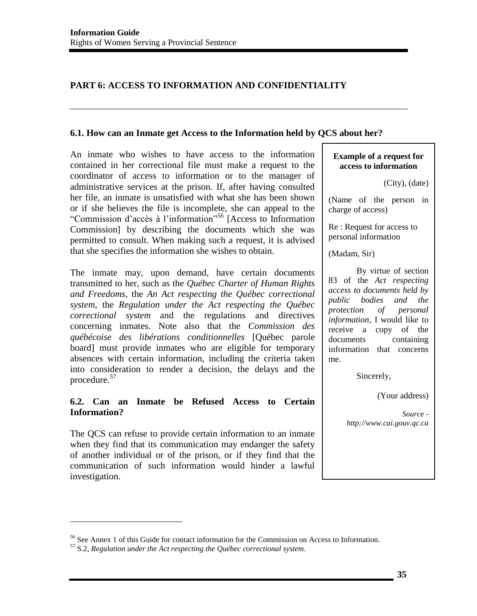# **PART 6: ACCESS TO INFORMATION AND CONFIDENTIALITY**

#### **6.1. How can an Inmate get Access to the Information held by QCS about her?**

An inmate who wishes to have access to the information contained in her correctional file must make a request to the coordinator of access to information or to the manager of administrative services at the prison. If, after having consulted her file, an inmate is unsatisfied with what she has been shown or if she believes the file is incomplete, she can appeal to the "Commission d'accès à l'information"56 [Access to Information Commission] by describing the documents which she was permitted to consult. When making such a request, it is advised that she specifies the information she wishes to obtain.

The inmate may, upon demand, have certain documents transmitted to her, such as the *Québec Charter of Human Rights and Freedoms*, the *An Act respecting the Québec correctional system*, the *Regulation under the Act respecting the Québec correctional system* and the regulations and directives concerning inmates. Note also that the *Commission des québécoise des libérations conditionnelles* [Québec parole board] must provide inmates who are eligible for temporary absences with certain information, including the criteria taken into consideration to render a decision, the delays and the procedure.<sup>57</sup>

### **6.2. Can an Inmate be Refused Access to Certain Information?**

The QCS can refuse to provide certain information to an inmate when they find that its communication may endanger the safety of another individual or of the prison, or if they find that the communication of such information would hinder a lawful investigation.

#### **Example of a request for access to information**

(Name of the person in charge of access)

Re : Request for access to personal information

(Madam, Sir)

 By virtue of section 83 of the *Act respecting access to documents held by public bodies and the protection of personal information*, I would like to receive a copy of the documents containing information that concerns me.

Sincerely,

(Your address)

*Source http://www.cai.gouv.qc.ca* 

<sup>(</sup>City), (date)

<sup>56</sup> See Annex 1 of this Guide for contact information for the Commission on Access to Information.

<sup>57</sup> S.2, *Regulation under the Act respecting the Québec correctional system*.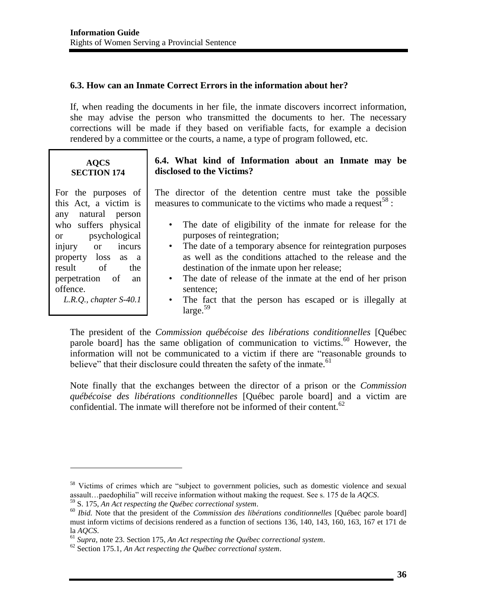## **6.3. How can an Inmate Correct Errors in the information about her?**

If, when reading the documents in her file, the inmate discovers incorrect information, she may advise the person who transmitted the documents to her. The necessary corrections will be made if they based on verifiable facts, for example a decision rendered by a committee or the courts, a name, a type of program followed, etc.

### **AQCS SECTION 174**

For the purposes of this Act, a victim is any natural person who suffers physical or psychological injury or incurs property loss as a result of the perpetration of an offence. *L.R.Q., chapter S-40.1*

 $\overline{\phantom{a}}$ 

# **6.4. What kind of Information about an Inmate may be disclosed to the Victims?**

The director of the detention centre must take the possible measures to communicate to the victims who made a request<sup>58</sup> :

- The date of eligibility of the inmate for release for the purposes of reintegration;
- The date of a temporary absence for reintegration purposes as well as the conditions attached to the release and the destination of the inmate upon her release;
- The date of release of the inmate at the end of her prison sentence;
- The fact that the person has escaped or is illegally at  $\text{large.}^{59}$

The president of the *Commission québécoise des libérations conditionnelles* [Québec parole board] has the same obligation of communication to victims. $60$  However, the information will not be communicated to a victim if there are "reasonable grounds to believe" that their disclosure could threaten the safety of the inmate.<sup>61</sup>

Note finally that the exchanges between the director of a prison or the *Commission québécoise des libérations conditionnelles* [Québec parole board] and a victim are confidential. The inmate will therefore not be informed of their content.<sup>62</sup>

<sup>&</sup>lt;sup>58</sup> Victims of crimes which are "subject to government policies, such as domestic violence and sexual assault...paedophilia" will receive information without making the request. See s. 175 de la  $AQCS$ .<br><sup>59</sup> S. 175, An Act respecting the Québec correctional system.<br><sup>60</sup> Ibid. Note that the president of the *Commission des* 

must inform victims of decisions rendered as a function of sections 136, 140, 143, 160, 163, 167 et 171 de la *AQCS*. 61 *Supra,* note 23. Section 175, *An Act respecting the Québec correctional system*. 62 Section 175.1, *An Act respecting the Québec correctional system*.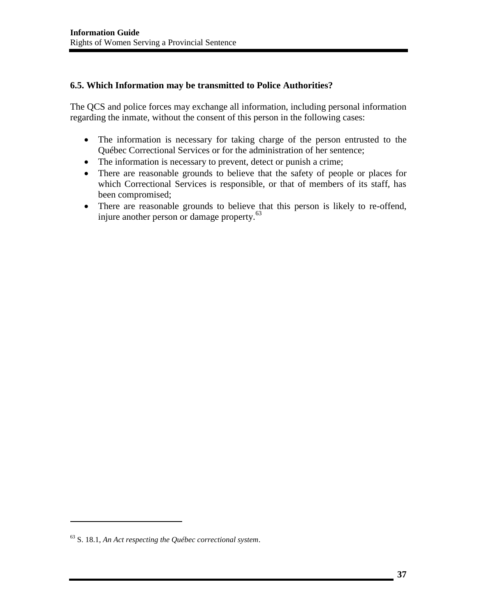## **6.5. Which Information may be transmitted to Police Authorities?**

The QCS and police forces may exchange all information, including personal information regarding the inmate, without the consent of this person in the following cases:

- The information is necessary for taking charge of the person entrusted to the Québec Correctional Services or for the administration of her sentence;
- The information is necessary to prevent, detect or punish a crime;
- There are reasonable grounds to believe that the safety of people or places for which Correctional Services is responsible, or that of members of its staff, has been compromised;
- There are reasonable grounds to believe that this person is likely to re-offend, injure another person or damage property.<sup>63</sup>

<sup>63</sup> S. 18.1, *An Act respecting the Québec correctional system*.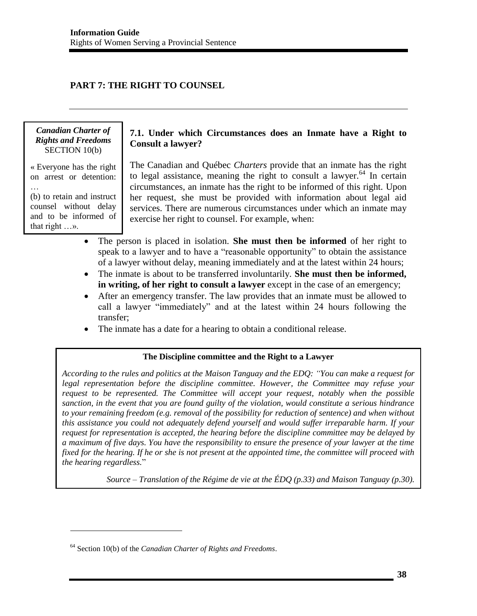# **PART 7: THE RIGHT TO COUNSEL**

#### *Canadian Charter of Rights and Freedoms*  SECTION 10(b)

« Everyone has the right on arrest or detention: … (b) to retain and instruct

counsel without delay and to be informed of that right …».

 $\overline{a}$ 

### **7.1. Under which Circumstances does an Inmate have a Right to Consult a lawyer?**

The Canadian and Québec *Charters* provide that an inmate has the right to legal assistance, meaning the right to consult a lawyer.<sup>64</sup> In certain circumstances, an inmate has the right to be informed of this right. Upon her request, she must be provided with information about legal aid services. There are numerous circumstances under which an inmate may exercise her right to counsel. For example, when:

- The person is placed in isolation. **She must then be informed** of her right to speak to a lawyer and to have a "reasonable opportunity" to obtain the assistance of a lawyer without delay, meaning immediately and at the latest within 24 hours;
- The inmate is about to be transferred involuntarily. **She must then be informed, in writing, of her right to consult a lawyer** except in the case of an emergency;
- After an emergency transfer. The law provides that an inmate must be allowed to call a lawyer "immediately" and at the latest within 24 hours following the transfer;
- The inmate has a date for a hearing to obtain a conditional release.

#### **The Discipline committee and the Right to a Lawyer**

*According to the rules and politics at the Maison Tanguay and the EDQ: "You can make a request for legal representation before the discipline committee. However, the Committee may refuse your request to be represented. The Committee will accept your request, notably when the possible sanction, in the event that you are found guilty of the violation, would constitute a serious hindrance to your remaining freedom (e.g. removal of the possibility for reduction of sentence) and when without this assistance you could not adequately defend yourself and would suffer irreparable harm. If your request for representation is accepted, the hearing before the discipline committee may be delayed by a maximum of five days. You have the responsibility to ensure the presence of your lawyer at the time fixed for the hearing. If he or she is not present at the appointed time, the committee will proceed with the hearing regardless.*"

*Source – Translation of the Régime de vie at the ÉDQ (p.33) and Maison Tanguay (p.30).* 

<sup>64</sup> Section 10(b) of the *Canadian Charter of Rights and Freedoms*.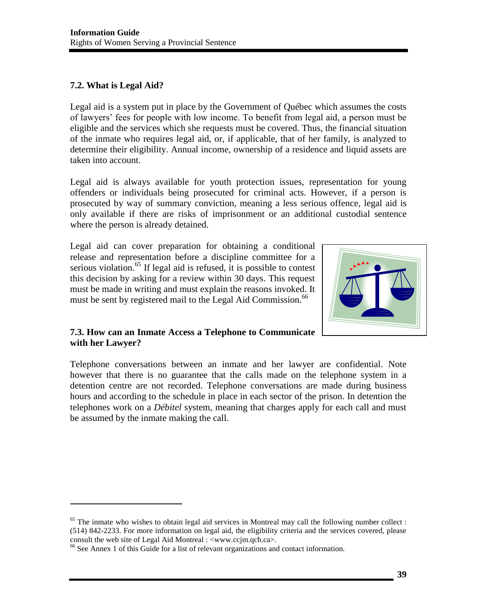# **7.2. What is Legal Aid?**

l

Legal aid is a system put in place by the Government of Québec which assumes the costs of lawyers' fees for people with low income. To benefit from legal aid, a person must be eligible and the services which she requests must be covered. Thus, the financial situation of the inmate who requires legal aid, or, if applicable, that of her family, is analyzed to determine their eligibility. Annual income, ownership of a residence and liquid assets are taken into account.

Legal aid is always available for youth protection issues, representation for young offenders or individuals being prosecuted for criminal acts. However, if a person is prosecuted by way of summary conviction, meaning a less serious offence, legal aid is only available if there are risks of imprisonment or an additional custodial sentence where the person is already detained.

Legal aid can cover preparation for obtaining a conditional release and representation before a discipline committee for a serious violation.<sup>65</sup> If legal aid is refused, it is possible to contest this decision by asking for a review within 30 days. This request must be made in writing and must explain the reasons invoked. It must be sent by registered mail to the Legal Aid Commission.<sup>66</sup>



## **7.3. How can an Inmate Access a Telephone to Communicate with her Lawyer?**

Telephone conversations between an inmate and her lawyer are confidential. Note however that there is no guarantee that the calls made on the telephone system in a detention centre are not recorded. Telephone conversations are made during business hours and according to the schedule in place in each sector of the prison. In detention the telephones work on a *Débitel* system, meaning that charges apply for each call and must be assumed by the inmate making the call.

<sup>&</sup>lt;sup>65</sup> The inmate who wishes to obtain legal aid services in Montreal may call the following number collect : (514) 842-2233. For more information on legal aid, the eligibility criteria and the services covered, please consult the web site of Legal Aid Montreal : <www.ccjm.qch.ca>.

<sup>66</sup> See Annex 1 of this Guide for a list of relevant organizations and contact information.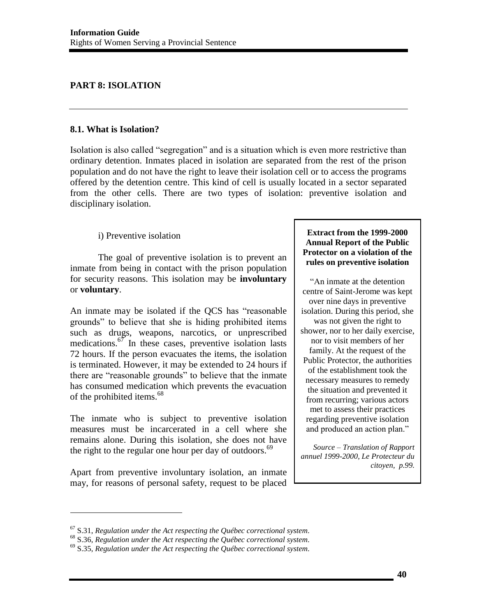## **PART 8: ISOLATION**

### **8.1. What is Isolation?**

Isolation is also called "segregation" and is a situation which is even more restrictive than ordinary detention. Inmates placed in isolation are separated from the rest of the prison population and do not have the right to leave their isolation cell or to access the programs offered by the detention centre. This kind of cell is usually located in a sector separated from the other cells. There are two types of isolation: preventive isolation and disciplinary isolation.

### i) Preventive isolation

 The goal of preventive isolation is to prevent an inmate from being in contact with the prison population for security reasons. This isolation may be **involuntary** or **voluntary**.

An inmate may be isolated if the QCS has "reasonable grounds" to believe that she is hiding prohibited items such as drugs, weapons, narcotics, or unprescribed medications. $67$  In these cases, preventive isolation lasts 72 hours. If the person evacuates the items, the isolation is terminated. However, it may be extended to 24 hours if there are "reasonable grounds" to believe that the inmate has consumed medication which prevents the evacuation of the prohibited items.<sup>68</sup>

The inmate who is subject to preventive isolation measures must be incarcerated in a cell where she remains alone. During this isolation, she does not have the right to the regular one hour per day of outdoors.<sup>69</sup>

Apart from preventive involuntary isolation, an inmate may, for reasons of personal safety, request to be placed

 $\overline{\phantom{a}}$ 

#### **Extract from the 1999-2000 Annual Report of the Public Protector on a violation of the rules on preventive isolation**

"An inmate at the detention centre of Saint-Jerome was kept over nine days in preventive isolation. During this period, she was not given the right to shower, nor to her daily exercise, nor to visit members of her family. At the request of the Public Protector, the authorities of the establishment took the necessary measures to remedy the situation and prevented it from recurring; various actors met to assess their practices regarding preventive isolation and produced an action plan."

*Source – Translation of Rapport annuel 1999-2000, Le Protecteur du citoyen, p.99.*

<sup>&</sup>lt;sup>67</sup> S.31, Regulation under the Act respecting the Québec correctional system.<br><sup>68</sup> S.36, Regulation under the Act respecting the Québec correctional system.<br><sup>69</sup> S.35, Regulation under the Act respecting the Québec corre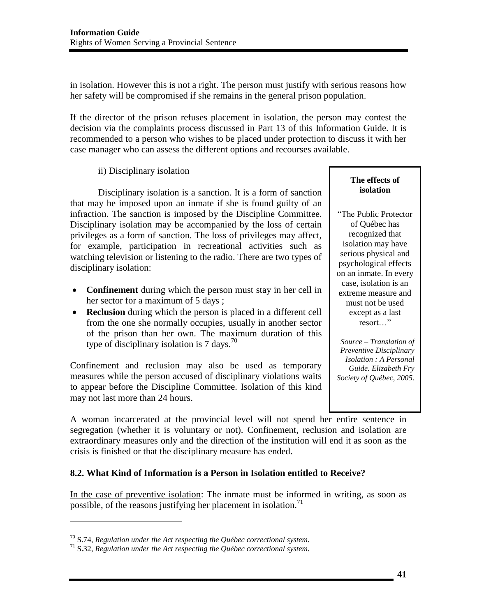in isolation. However this is not a right. The person must justify with serious reasons how her safety will be compromised if she remains in the general prison population.

If the director of the prison refuses placement in isolation, the person may contest the decision via the complaints process discussed in Part 13 of this Information Guide. It is recommended to a person who wishes to be placed under protection to discuss it with her case manager who can assess the different options and recourses available.

ii) Disciplinary isolation

 Disciplinary isolation is a sanction. It is a form of sanction that may be imposed upon an inmate if she is found guilty of an infraction. The sanction is imposed by the Discipline Committee. Disciplinary isolation may be accompanied by the loss of certain privileges as a form of sanction. The loss of privileges may affect, for example, participation in recreational activities such as watching television or listening to the radio. There are two types of disciplinary isolation:

- **Confinement** during which the person must stay in her cell in her sector for a maximum of 5 days ;
- **Reclusion** during which the person is placed in a different cell from the one she normally occupies, usually in another sector of the prison than her own. The maximum duration of this type of disciplinary isolation is  $7 \text{ days}$ .<sup>70</sup>

Confinement and reclusion may also be used as temporary measures while the person accused of disciplinary violations waits to appear before the Discipline Committee. Isolation of this kind may not last more than 24 hours.

**The effects of isolation** 

"The Public Protector of Québec has recognized that isolation may have serious physical and psychological effects on an inmate. In every case, isolation is an extreme measure and must not be used except as a last resort…"

*Source – Translation of Preventive Disciplinary Isolation : A Personal Guide. Elizabeth Fry Society of Québec, 2005.*

A woman incarcerated at the provincial level will not spend her entire sentence in segregation (whether it is voluntary or not). Confinement, reclusion and isolation are extraordinary measures only and the direction of the institution will end it as soon as the crisis is finished or that the disciplinary measure has ended.

## **8.2. What Kind of Information is a Person in Isolation entitled to Receive?**

In the case of preventive isolation: The inmate must be informed in writing, as soon as possible, of the reasons justifying her placement in isolation.<sup>71</sup>

<sup>70</sup> S.74, *Regulation under the Act respecting the Québec correctional system.* 71 S.32, *Regulation under the Act respecting the Québec correctional system.*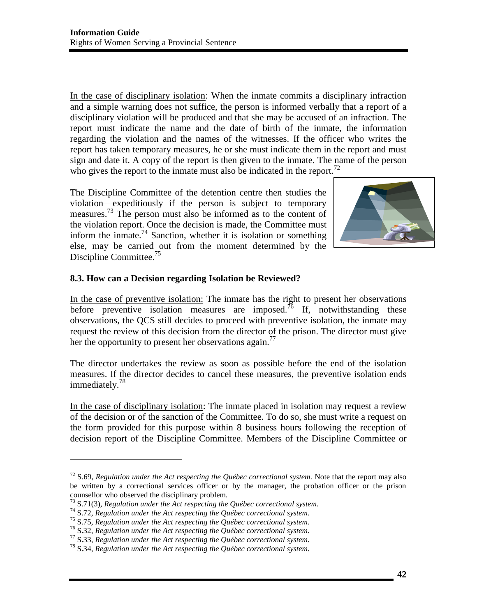In the case of disciplinary isolation: When the inmate commits a disciplinary infraction and a simple warning does not suffice, the person is informed verbally that a report of a disciplinary violation will be produced and that she may be accused of an infraction. The report must indicate the name and the date of birth of the inmate, the information regarding the violation and the names of the witnesses. If the officer who writes the report has taken temporary measures, he or she must indicate them in the report and must sign and date it. A copy of the report is then given to the inmate. The name of the person who gives the report to the inmate must also be indicated in the report.<sup>72</sup>

The Discipline Committee of the detention centre then studies the violation—expeditiously if the person is subject to temporary measures.73 The person must also be informed as to the content of the violation report. Once the decision is made, the Committee must inform the inmate.<sup>74</sup> Sanction, whether it is isolation or something else, may be carried out from the moment determined by the Discipline Committee.<sup>75</sup>



## **8.3. How can a Decision regarding Isolation be Reviewed?**

In the case of preventive isolation: The inmate has the right to present her observations before preventive isolation measures are imposed.<sup>76</sup> If, notwithstanding these observations, the QCS still decides to proceed with preventive isolation, the inmate may request the review of this decision from the director of the prison. The director must give her the opportunity to present her observations again.<sup>77</sup>

The director undertakes the review as soon as possible before the end of the isolation measures. If the director decides to cancel these measures, the preventive isolation ends immediately.<sup>78</sup>

In the case of disciplinary isolation: The inmate placed in isolation may request a review of the decision or of the sanction of the Committee. To do so, she must write a request on the form provided for this purpose within 8 business hours following the reception of decision report of the Discipline Committee. Members of the Discipline Committee or

<sup>72</sup> S.69, *Regulation under the Act respecting the Québec correctional system.* Note that the report may also be written by a correctional services officer or by the manager, the probation officer or the prison counsellor who observed the disciplinary problem.<br>  $^{73}$  S.71(3), Regulation under the Act respecting the Québec correctional system.

<sup>&</sup>lt;sup>74</sup> S.72, Regulation under the Act respecting the Québec correctional system.<br><sup>75</sup> S.75, Regulation under the Act respecting the Québec correctional system.<br><sup>76</sup> S.32, Regulation under the Act respecting the Québec corre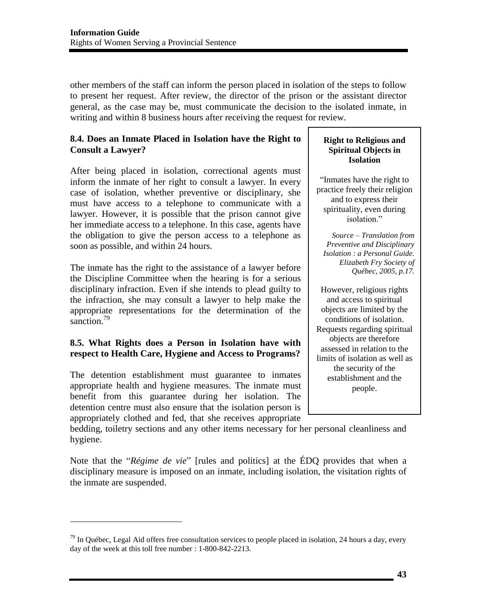other members of the staff can inform the person placed in isolation of the steps to follow to present her request. After review, the director of the prison or the assistant director general, as the case may be, must communicate the decision to the isolated inmate, in writing and within 8 business hours after receiving the request for review.

### **8.4. Does an Inmate Placed in Isolation have the Right to Consult a Lawyer?**

After being placed in isolation, correctional agents must inform the inmate of her right to consult a lawyer. In every case of isolation, whether preventive or disciplinary, she must have access to a telephone to communicate with a lawyer. However, it is possible that the prison cannot give her immediate access to a telephone. In this case, agents have the obligation to give the person access to a telephone as soon as possible, and within 24 hours.

The inmate has the right to the assistance of a lawyer before the Discipline Committee when the hearing is for a serious disciplinary infraction. Even if she intends to plead guilty to the infraction, she may consult a lawyer to help make the appropriate representations for the determination of the sanction.<sup>79</sup>

## **8.5. What Rights does a Person in Isolation have with respect to Health Care, Hygiene and Access to Programs?**

The detention establishment must guarantee to inmates appropriate health and hygiene measures. The inmate must benefit from this guarantee during her isolation. The detention centre must also ensure that the isolation person is appropriately clothed and fed, that she receives appropriate

 $\overline{\phantom{a}}$ 

#### **Right to Religious and Spiritual Objects in Isolation**

"Inmates have the right to practice freely their religion and to express their spirituality, even during isolation."

*Source – Translation from Preventive and Disciplinary Isolation : a Personal Guide. Elizabeth Fry Society of Québec, 2005, p.17.* 

However, religious rights and access to spiritual objects are limited by the conditions of isolation. Requests regarding spiritual objects are therefore assessed in relation to the limits of isolation as well as the security of the establishment and the people.

bedding, toiletry sections and any other items necessary for her personal cleanliness and hygiene.

Note that the "*Régime de vie*" [rules and politics] at the ÉDQ provides that when a disciplinary measure is imposed on an inmate, including isolation, the visitation rights of the inmate are suspended.

 $79$  In Québec, Legal Aid offers free consultation services to people placed in isolation, 24 hours a day, every day of the week at this toll free number : 1-800-842-2213.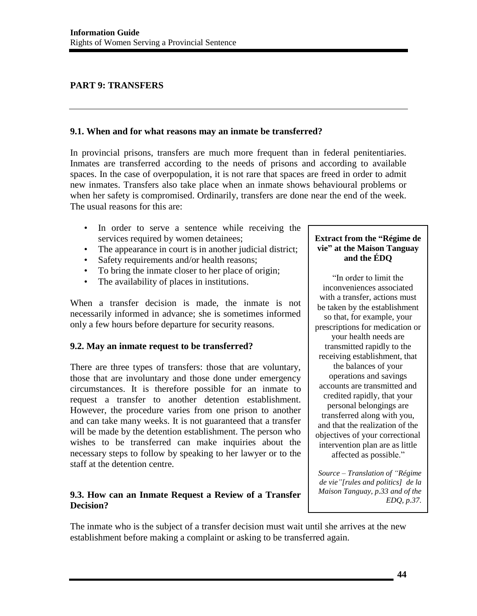# **PART 9: TRANSFERS**

#### **9.1. When and for what reasons may an inmate be transferred?**

In provincial prisons, transfers are much more frequent than in federal penitentiaries. Inmates are transferred according to the needs of prisons and according to available spaces. In the case of overpopulation, it is not rare that spaces are freed in order to admit new inmates. Transfers also take place when an inmate shows behavioural problems or when her safety is compromised. Ordinarily, transfers are done near the end of the week. The usual reasons for this are:

- In order to serve a sentence while receiving the services required by women detainees;
- The appearance in court is in another judicial district;
- Safety requirements and/or health reasons;
- To bring the inmate closer to her place of origin;
- The availability of places in institutions.

When a transfer decision is made, the inmate is not necessarily informed in advance; she is sometimes informed only a few hours before departure for security reasons.

## **9.2. May an inmate request to be transferred?**

There are three types of transfers: those that are voluntary, those that are involuntary and those done under emergency circumstances. It is therefore possible for an inmate to request a transfer to another detention establishment. However, the procedure varies from one prison to another and can take many weeks. It is not guaranteed that a transfer will be made by the detention establishment. The person who wishes to be transferred can make inquiries about the necessary steps to follow by speaking to her lawyer or to the staff at the detention centre.

# **9.3. How can an Inmate Request a Review of a Transfer Decision?**

#### **Extract from the "Régime de vie" at the Maison Tanguay and the ÉDQ**

"In order to limit the inconveniences associated with a transfer, actions must be taken by the establishment so that, for example, your prescriptions for medication or your health needs are transmitted rapidly to the receiving establishment, that the balances of your operations and savings accounts are transmitted and credited rapidly, that your personal belongings are transferred along with you, and that the realization of the objectives of your correctional intervention plan are as little affected as possible."

*Source – Translation of "Régime de vie"[rules and politics] de la Maison Tanguay, p.33 and of the EDQ, p.37.* 

The inmate who is the subject of a transfer decision must wait until she arrives at the new establishment before making a complaint or asking to be transferred again.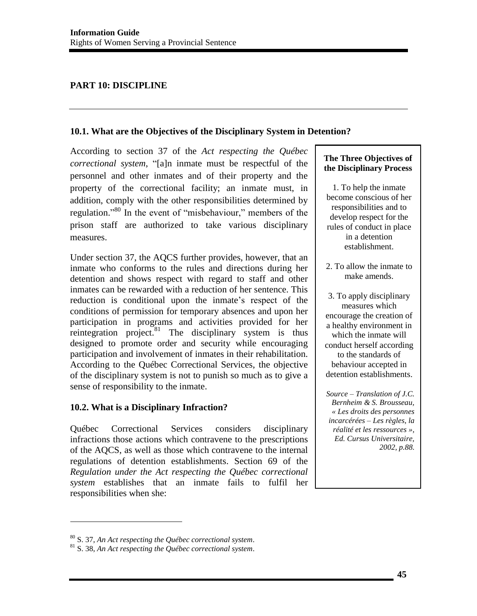# **PART 10: DISCIPLINE**

### **10.1. What are the Objectives of the Disciplinary System in Detention?**

According to section 37 of the *Act respecting the Québec correctional system*, "[a]n inmate must be respectful of the personnel and other inmates and of their property and the property of the correctional facility; an inmate must, in addition, comply with the other responsibilities determined by regulation."<sup>80</sup> In the event of "misbehaviour," members of the prison staff are authorized to take various disciplinary measures.

Under section 37, the AQCS further provides, however, that an inmate who conforms to the rules and directions during her detention and shows respect with regard to staff and other inmates can be rewarded with a reduction of her sentence. This reduction is conditional upon the inmate's respect of the conditions of permission for temporary absences and upon her participation in programs and activities provided for her reintegration project. $81$  The disciplinary system is thus designed to promote order and security while encouraging participation and involvement of inmates in their rehabilitation. According to the Québec Correctional Services, the objective of the disciplinary system is not to punish so much as to give a sense of responsibility to the inmate.

## **10.2. What is a Disciplinary Infraction?**

Québec Correctional Services considers disciplinary infractions those actions which contravene to the prescriptions of the AQCS, as well as those which contravene to the internal regulations of detention establishments. Section 69 of the *Regulation under the Act respecting the Québec correctional system* establishes that an inmate fails to fulfil her responsibilities when she:

### **The Three Objectives of the Disciplinary Process**

1. To help the inmate become conscious of her responsibilities and to develop respect for the rules of conduct in place in a detention establishment.

- 2. To allow the inmate to make amends.
- 3. To apply disciplinary measures which encourage the creation of a healthy environment in which the inmate will conduct herself according to the standards of behaviour accepted in detention establishments.

*Source – Translation of J.C. Bernheim & S. Brousseau, « Les droits des personnes incarcérées – Les règles, la réalité et les ressources », Ed. Cursus Universitaire, 2002, p.88.*

<sup>80</sup> S. 37, *An Act respecting the Québec correctional system*. 81 S. 38, *An Act respecting the Québec correctional system*.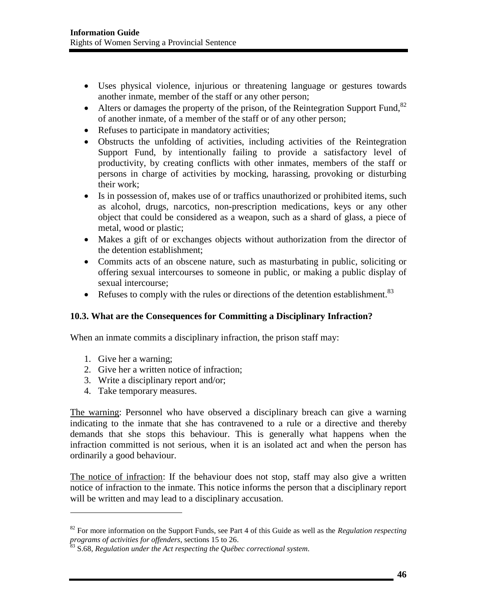- Uses physical violence, injurious or threatening language or gestures towards another inmate, member of the staff or any other person;
- Alters or damages the property of the prison, of the Reintegration Support Fund.<sup>82</sup> of another inmate, of a member of the staff or of any other person;
- Refuses to participate in mandatory activities;
- Obstructs the unfolding of activities, including activities of the Reintegration Support Fund, by intentionally failing to provide a satisfactory level of productivity, by creating conflicts with other inmates, members of the staff or persons in charge of activities by mocking, harassing, provoking or disturbing their work;
- Is in possession of, makes use of or traffics unauthorized or prohibited items, such as alcohol, drugs, narcotics, non-prescription medications, keys or any other object that could be considered as a weapon, such as a shard of glass, a piece of metal, wood or plastic;
- Makes a gift of or exchanges objects without authorization from the director of the detention establishment;
- Commits acts of an obscene nature, such as masturbating in public, soliciting or offering sexual intercourses to someone in public, or making a public display of sexual intercourse;
- Refuses to comply with the rules or directions of the detention establishment. $83$

#### **10.3. What are the Consequences for Committing a Disciplinary Infraction?**

When an inmate commits a disciplinary infraction, the prison staff may:

1. Give her a warning;

 $\overline{\phantom{a}}$ 

- 2. Give her a written notice of infraction;
- 3. Write a disciplinary report and/or;
- 4. Take temporary measures.

The warning: Personnel who have observed a disciplinary breach can give a warning indicating to the inmate that she has contravened to a rule or a directive and thereby demands that she stops this behaviour. This is generally what happens when the infraction committed is not serious, when it is an isolated act and when the person has ordinarily a good behaviour.

The notice of infraction: If the behaviour does not stop, staff may also give a written notice of infraction to the inmate. This notice informs the person that a disciplinary report will be written and may lead to a disciplinary accusation.

<sup>82</sup> For more information on the Support Funds, see Part 4 of this Guide as well as the *Regulation respecting programs of activities for offenders*, sections 15 to 26.<br><sup>83</sup> S.68, *Regulation under the Act respecting the Québec correctional system.*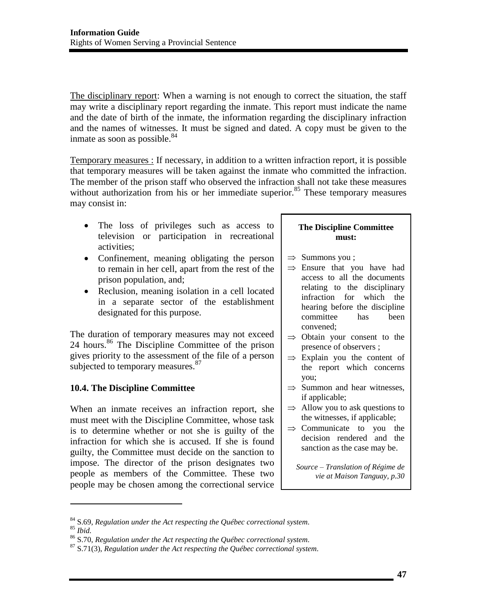The disciplinary report: When a warning is not enough to correct the situation, the staff may write a disciplinary report regarding the inmate. This report must indicate the name and the date of birth of the inmate, the information regarding the disciplinary infraction and the names of witnesses. It must be signed and dated. A copy must be given to the inmate as soon as possible. $84$ 

Temporary measures : If necessary, in addition to a written infraction report, it is possible that temporary measures will be taken against the inmate who committed the infraction. The member of the prison staff who observed the infraction shall not take these measures without authorization from his or her immediate superior. $85$  These temporary measures may consist in:

- The loss of privileges such as access to television or participation in recreational activities;
- Confinement, meaning obligating the person to remain in her cell, apart from the rest of the prison population, and;
- Reclusion, meaning isolation in a cell located in a separate sector of the establishment designated for this purpose.

The duration of temporary measures may not exceed 24 hours. $86$  The Discipline Committee of the prison gives priority to the assessment of the file of a person subjected to temporary measures.<sup>87</sup>

## **10.4. The Discipline Committee**

When an inmate receives an infraction report, she must meet with the Discipline Committee, whose task is to determine whether or not she is guilty of the infraction for which she is accused. If she is found guilty, the Committee must decide on the sanction to impose. The director of the prison designates two people as members of the Committee. These two people may be chosen among the correctional service

#### **The Discipline Committee must:**

- $\Rightarrow$  Summons you ;
- $\Rightarrow$  Ensure that you have had access to all the documents relating to the disciplinary infraction for which the hearing before the discipline committee has been convened;
- $\Rightarrow$  Obtain your consent to the presence of observers ;
- $\Rightarrow$  Explain you the content of the report which concerns you;
- $\Rightarrow$  Summon and hear witnesses, if applicable;
- $\Rightarrow$  Allow you to ask questions to the witnesses, if applicable;
- $\Rightarrow$  Communicate to you the decision rendered and the sanction as the case may be.

*Source – Translation of Régime de vie at Maison Tanguay, p.30* 

l

<sup>&</sup>lt;sup>84</sup> S.69, Regulation under the Act respecting the Québec correctional system.<br><sup>85</sup> Ibid.<br><sup>86</sup> S.70, Regulation under the Act respecting the Québec correctional system.<br><sup>87</sup> S.71(3), Regulation under the Act respecting th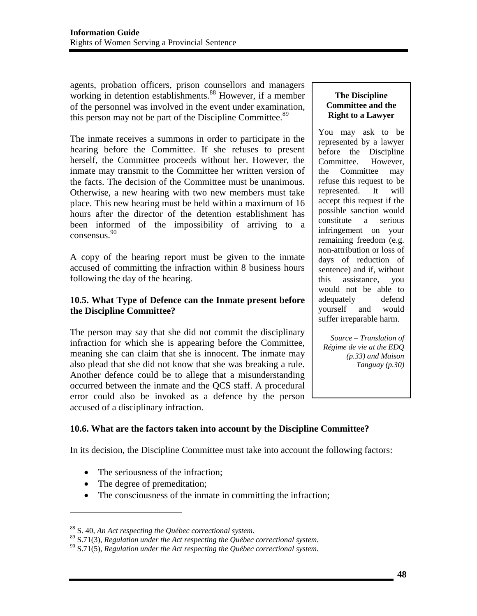agents, probation officers, prison counsellors and managers working in detention establishments.<sup>88</sup> However, if a member of the personnel was involved in the event under examination, this person may not be part of the Discipline Committee.<sup>89</sup>

The inmate receives a summons in order to participate in the hearing before the Committee. If she refuses to present herself, the Committee proceeds without her. However, the inmate may transmit to the Committee her written version of the facts. The decision of the Committee must be unanimous. Otherwise, a new hearing with two new members must take place. This new hearing must be held within a maximum of 16 hours after the director of the detention establishment has been informed of the impossibility of arriving to a consensus.<sup>90</sup>

A copy of the hearing report must be given to the inmate accused of committing the infraction within 8 business hours following the day of the hearing.

### **10.5. What Type of Defence can the Inmate present before the Discipline Committee?**

The person may say that she did not commit the disciplinary infraction for which she is appearing before the Committee, meaning she can claim that she is innocent. The inmate may also plead that she did not know that she was breaking a rule. Another defence could be to allege that a misunderstanding occurred between the inmate and the QCS staff. A procedural error could also be invoked as a defence by the person accused of a disciplinary infraction.

### **The Discipline Committee and the Right to a Lawyer**

You may ask to be represented by a lawyer before the Discipline Committee. However, the Committee may refuse this request to be represented. It will accept this request if the possible sanction would constitute a serious infringement on your remaining freedom (e.g. non-attribution or loss of days of reduction of sentence) and if, without this assistance, you would not be able to adequately defend yourself and would suffer irreparable harm.

*Source – Translation of Régime de vie at the EDQ (p.33) and Maison Tanguay (p.30)* 

# **10.6. What are the factors taken into account by the Discipline Committee?**

In its decision, the Discipline Committee must take into account the following factors:

- The seriousness of the infraction;
- The degree of premeditation;

 $\overline{\phantom{a}}$ 

• The consciousness of the inmate in committing the infraction;

<sup>88</sup> S. 40, *An Act respecting the Québec correctional system*. 89 S.71(3), *Regulation under the Act respecting the Québec correctional system.*

<sup>90</sup> S.71(5), *Regulation under the Act respecting the Québec correctional system.*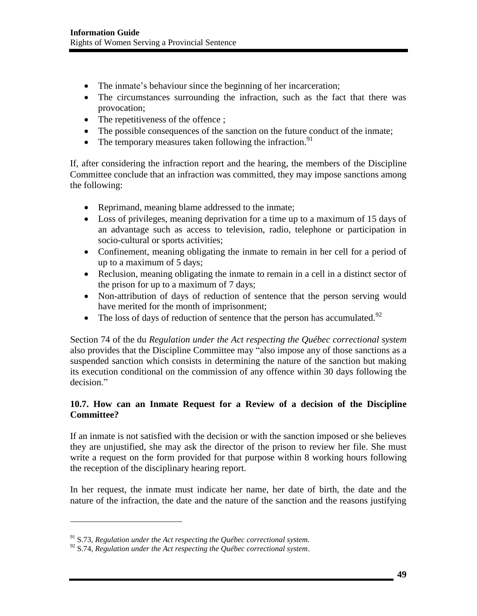- The inmate's behaviour since the beginning of her incarceration;
- The circumstances surrounding the infraction, such as the fact that there was provocation;
- The repetitiveness of the offence ;
- The possible consequences of the sanction on the future conduct of the inmate;
- The temporary measures taken following the infraction.<sup>91</sup>

If, after considering the infraction report and the hearing, the members of the Discipline Committee conclude that an infraction was committed, they may impose sanctions among the following:

- Reprimand, meaning blame addressed to the inmate;
- Loss of privileges, meaning deprivation for a time up to a maximum of 15 days of an advantage such as access to television, radio, telephone or participation in socio-cultural or sports activities;
- Confinement, meaning obligating the inmate to remain in her cell for a period of up to a maximum of 5 days;
- Reclusion, meaning obligating the inmate to remain in a cell in a distinct sector of the prison for up to a maximum of 7 days;
- Non-attribution of days of reduction of sentence that the person serving would have merited for the month of imprisonment;
- The loss of days of reduction of sentence that the person has accumulated.<sup>92</sup>

Section 74 of the du *Regulation under the Act respecting the Québec correctional system* also provides that the Discipline Committee may "also impose any of those sanctions as a suspended sanction which consists in determining the nature of the sanction but making its execution conditional on the commission of any offence within 30 days following the decision."

# **10.7. How can an Inmate Request for a Review of a decision of the Discipline Committee?**

If an inmate is not satisfied with the decision or with the sanction imposed or she believes they are unjustified, she may ask the director of the prison to review her file. She must write a request on the form provided for that purpose within 8 working hours following the reception of the disciplinary hearing report.

In her request, the inmate must indicate her name, her date of birth, the date and the nature of the infraction, the date and the nature of the sanction and the reasons justifying

<sup>91</sup> S.73, *Regulation under the Act respecting the Québec correctional system.*

<sup>92</sup> S.74, *Regulation under the Act respecting the Québec correctional system*.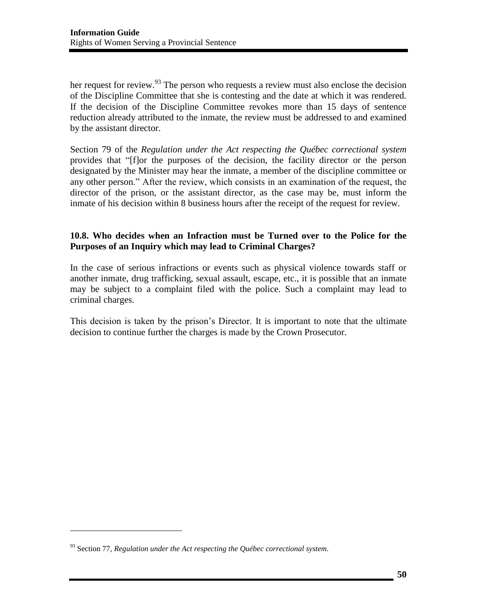her request for review.<sup>93</sup> The person who requests a review must also enclose the decision of the Discipline Committee that she is contesting and the date at which it was rendered. If the decision of the Discipline Committee revokes more than 15 days of sentence reduction already attributed to the inmate, the review must be addressed to and examined by the assistant director.

Section 79 of the *Regulation under the Act respecting the Québec correctional system* provides that "[f]or the purposes of the decision, the facility director or the person designated by the Minister may hear the inmate, a member of the discipline committee or any other person." After the review, which consists in an examination of the request, the director of the prison, or the assistant director, as the case may be, must inform the inmate of his decision within 8 business hours after the receipt of the request for review.

### **10.8. Who decides when an Infraction must be Turned over to the Police for the Purposes of an Inquiry which may lead to Criminal Charges?**

In the case of serious infractions or events such as physical violence towards staff or another inmate, drug trafficking, sexual assault, escape, etc., it is possible that an inmate may be subject to a complaint filed with the police. Such a complaint may lead to criminal charges.

This decision is taken by the prison's Director. It is important to note that the ultimate decision to continue further the charges is made by the Crown Prosecutor.

 $\overline{a}$ 

<sup>93</sup> Section 77, *Regulation under the Act respecting the Québec correctional system.*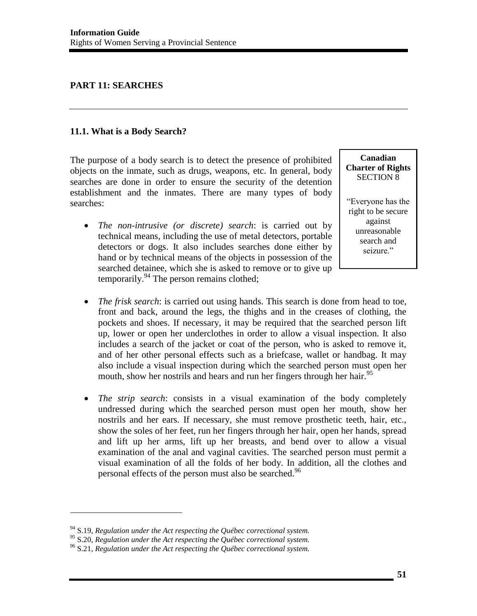## **PART 11: SEARCHES**

### **11.1. What is a Body Search?**

The purpose of a body search is to detect the presence of prohibited objects on the inmate, such as drugs, weapons, etc. In general, body searches are done in order to ensure the security of the detention establishment and the inmates. There are many types of body searches:

 *The non-intrusive (or discrete) search*: is carried out by technical means, including the use of metal detectors, portable detectors or dogs. It also includes searches done either by hand or by technical means of the objects in possession of the searched detainee, which she is asked to remove or to give up temporarily. $94$  The person remains clothed;

**Canadian Charter of Rights**  SECTION 8

"Everyone has the right to be secure against unreasonable search and seizure."

- *The frisk search*: is carried out using hands. This search is done from head to toe, front and back, around the legs, the thighs and in the creases of clothing, the pockets and shoes. If necessary, it may be required that the searched person lift up, lower or open her underclothes in order to allow a visual inspection. It also includes a search of the jacket or coat of the person, who is asked to remove it, and of her other personal effects such as a briefcase, wallet or handbag. It may also include a visual inspection during which the searched person must open her mouth, show her nostrils and hears and run her fingers through her hair.<sup>95</sup>
- *The strip search*: consists in a visual examination of the body completely undressed during which the searched person must open her mouth, show her nostrils and her ears. If necessary, she must remove prosthetic teeth, hair, etc., show the soles of her feet, run her fingers through her hair, open her hands, spread and lift up her arms, lift up her breasts, and bend over to allow a visual examination of the anal and vaginal cavities. The searched person must permit a visual examination of all the folds of her body. In addition, all the clothes and personal effects of the person must also be searched.<sup>96</sup>

<sup>&</sup>lt;sup>94</sup> S.19, *Regulation under the Act respecting the Québec correctional system.*<br><sup>95</sup> S.20, *Regulation under the Act respecting the Québec correctional system.* 

<sup>95</sup> S.20, *Regulation under the Act respecting the Québec correctional system.* 96 S.21, *Regulation under the Act respecting the Québec correctional system.*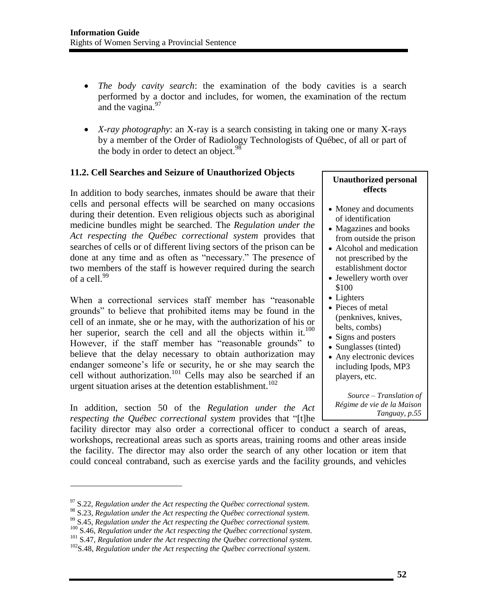- *The body cavity search*: the examination of the body cavities is a search performed by a doctor and includes, for women, the examination of the rectum and the vagina.<sup>97</sup>
- *X-ray photography*: an X-ray is a search consisting in taking one or many X-rays by a member of the Order of Radiology Technologists of Québec, of all or part of the body in order to detect an object.<sup>98</sup>

### **11.2. Cell Searches and Seizure of Unauthorized Objects**

In addition to body searches, inmates should be aware that their cells and personal effects will be searched on many occasions during their detention. Even religious objects such as aboriginal medicine bundles might be searched. The *Regulation under the Act respecting the Québec correctional system* provides that searches of cells or of different living sectors of the prison can be done at any time and as often as "necessary." The presence of two members of the staff is however required during the search of a cell. $^{99}$ 

When a correctional services staff member has "reasonable grounds" to believe that prohibited items may be found in the cell of an inmate, she or he may, with the authorization of his or her superior, search the cell and all the objects within it.<sup>100</sup> However, if the staff member has "reasonable grounds" to believe that the delay necessary to obtain authorization may endanger someone's life or security, he or she may search the cell without authorization.<sup>101</sup> Cells may also be searched if an urgent situation arises at the detention establishment.<sup>102</sup>

In addition, section 50 of the *Regulation under the Act respecting the Québec correctional system* provides that "[t]he

facility director may also order a correctional officer to conduct a search of areas, workshops, recreational areas such as sports areas, training rooms and other areas inside the facility. The director may also order the search of any other location or item that could conceal contraband, such as exercise yards and the facility grounds, and vehicles

 $\overline{\phantom{a}}$ 

#### **Unauthorized personal effects**

- Money and documents of identification
- Magazines and books from outside the prison
- Alcohol and medication not prescribed by the establishment doctor
- Jewellery worth over \$100
- Lighters
- Pieces of metal (penknives, knives, belts, combs)
- Signs and posters
- Sunglasses (tinted)
- Any electronic devices including Ipods, MP3 players, etc.

*Source – Translation of Régime de vie de la Maison Tanguay, p.55* 

<sup>&</sup>lt;sup>97</sup> S.22, *Regulation under the Act respecting the Québec correctional system.*<br><sup>98</sup> S.23, *Regulation under the Act respecting the Québec correctional system.* 

<sup>&</sup>lt;sup>99</sup> S.45, Regulation under the Act respecting the Québec correctional system.<br><sup>100</sup> S.46, Regulation under the Act respecting the Québec correctional system.<br><sup>101</sup> S.47, Regulation under the Act respecting the Québec cor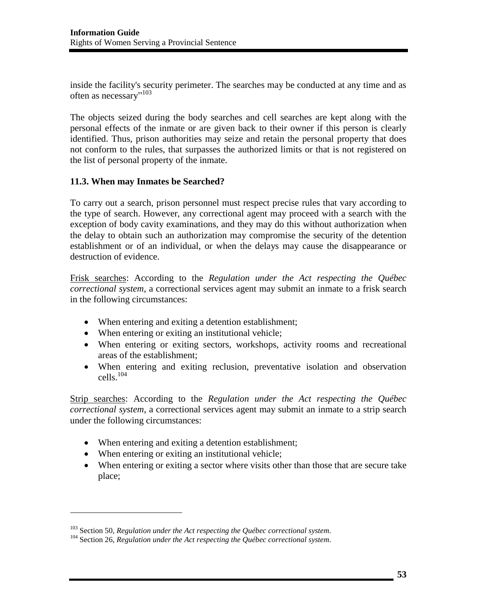inside the facility's security perimeter. The searches may be conducted at any time and as often as necessary"<sup>103</sup>

The objects seized during the body searches and cell searches are kept along with the personal effects of the inmate or are given back to their owner if this person is clearly identified. Thus, prison authorities may seize and retain the personal property that does not conform to the rules, that surpasses the authorized limits or that is not registered on the list of personal property of the inmate.

### **11.3. When may Inmates be Searched?**

To carry out a search, prison personnel must respect precise rules that vary according to the type of search. However, any correctional agent may proceed with a search with the exception of body cavity examinations, and they may do this without authorization when the delay to obtain such an authorization may compromise the security of the detention establishment or of an individual, or when the delays may cause the disappearance or destruction of evidence.

Frisk searches: According to the *Regulation under the Act respecting the Québec correctional system*, a correctional services agent may submit an inmate to a frisk search in the following circumstances:

- When entering and exiting a detention establishment;
- When entering or exiting an institutional vehicle;
- When entering or exiting sectors, workshops, activity rooms and recreational areas of the establishment;
- When entering and exiting reclusion, preventative isolation and observation cells.104

Strip searches: According to the *Regulation under the Act respecting the Québec correctional system*, a correctional services agent may submit an inmate to a strip search under the following circumstances:

- When entering and exiting a detention establishment;
- When entering or exiting an institutional vehicle;

 $\overline{\phantom{a}}$ 

 When entering or exiting a sector where visits other than those that are secure take place;

<sup>&</sup>lt;sup>103</sup> Section 50, *Regulation under the Act respecting the Québec correctional system.*<br><sup>104</sup> Section 26, *Regulation under the Act respecting the Québec correctional system.*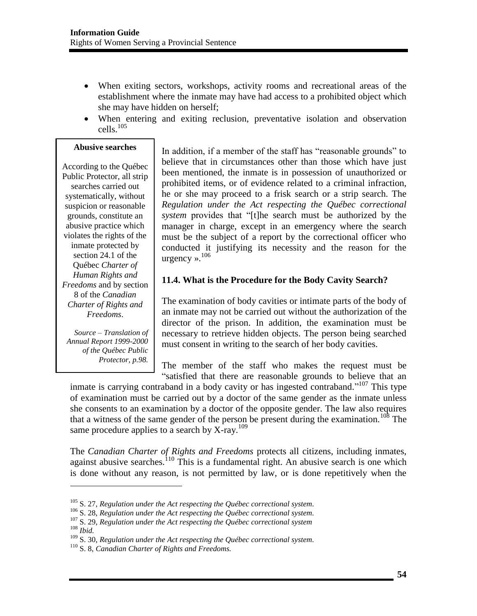- When exiting sectors, workshops, activity rooms and recreational areas of the establishment where the inmate may have had access to a prohibited object which she may have hidden on herself;
- When entering and exiting reclusion, preventative isolation and observation  $cells.<sup>105</sup>$

#### **Abusive searches**

According to the Québec Public Protector, all strip searches carried out systematically, without suspicion or reasonable grounds, constitute an abusive practice which violates the rights of the inmate protected by section 24.1 of the Québec *Charter of Human Rights and Freedoms* and by section 8 of the *Canadian Charter of Rights and Freedoms*.

*Source – Translation of Annual Report 1999-2000 of the Québec Public Protector, p.98.*

 $\overline{\phantom{a}}$ 

In addition, if a member of the staff has "reasonable grounds" to believe that in circumstances other than those which have just been mentioned, the inmate is in possession of unauthorized or prohibited items, or of evidence related to a criminal infraction, he or she may proceed to a frisk search or a strip search. The *Regulation under the Act respecting the Québec correctional system* provides that "[t]he search must be authorized by the manager in charge, except in an emergency where the search must be the subject of a report by the correctional officer who conducted it justifying its necessity and the reason for the urgency ». 106

### **11.4. What is the Procedure for the Body Cavity Search?**

The examination of body cavities or intimate parts of the body of an inmate may not be carried out without the authorization of the director of the prison. In addition, the examination must be necessary to retrieve hidden objects. The person being searched must consent in writing to the search of her body cavities.

The member of the staff who makes the request must be "satisfied that there are reasonable grounds to believe that an

inmate is carrying contraband in a body cavity or has ingested contraband."<sup>107</sup> This type of examination must be carried out by a doctor of the same gender as the inmate unless she consents to an examination by a doctor of the opposite gender. The law also requires that a witness of the same gender of the person be present during the examination.<sup>108</sup> The same procedure applies to a search by X-ray.<sup>109</sup>

The *Canadian Charter of Rights and Freedoms* protects all citizens, including inmates, against abusive searches.<sup>110</sup> This is a fundamental right. An abusive search is one which is done without any reason, is not permitted by law, or is done repetitively when the

<sup>&</sup>lt;sup>105</sup> S. 27, Regulation under the Act respecting the Québec correctional system.<br><sup>106</sup> S. 28, Regulation under the Act respecting the Québec correctional system.<br><sup>107</sup> S. 29, Regulation under the Act respecting the Québec

<sup>109</sup> S. 30, *Regulation under the Act respecting the Québec correctional system.* 110 S. 8, *Canadian Charter of Rights and Freedoms.*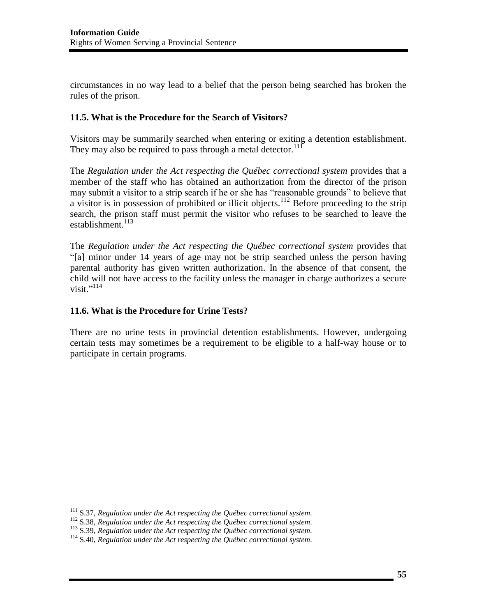circumstances in no way lead to a belief that the person being searched has broken the rules of the prison.

### **11.5. What is the Procedure for the Search of Visitors?**

Visitors may be summarily searched when entering or exiting a detention establishment. They may also be required to pass through a metal detector.<sup>111</sup>

The *Regulation under the Act respecting the Québec correctional system* provides that a member of the staff who has obtained an authorization from the director of the prison may submit a visitor to a strip search if he or she has "reasonable grounds" to believe that a visitor is in possession of prohibited or illicit objects.<sup>112</sup> Before proceeding to the strip search, the prison staff must permit the visitor who refuses to be searched to leave the establishment.<sup>113</sup>

The *Regulation under the Act respecting the Québec correctional system* provides that "[a] minor under 14 years of age may not be strip searched unless the person having parental authority has given written authorization. In the absence of that consent, the child will not have access to the facility unless the manager in charge authorizes a secure visit."<sup>114</sup>

#### **11.6. What is the Procedure for Urine Tests?**

There are no urine tests in provincial detention establishments. However, undergoing certain tests may sometimes be a requirement to be eligible to a half-way house or to participate in certain programs.

<sup>&</sup>lt;sup>111</sup> S.37, Regulation under the Act respecting the Québec correctional system.<br><sup>112</sup> S.38, Regulation under the Act respecting the Québec correctional system.<br><sup>113</sup> S.39, Regulation under the Act respecting the Québec co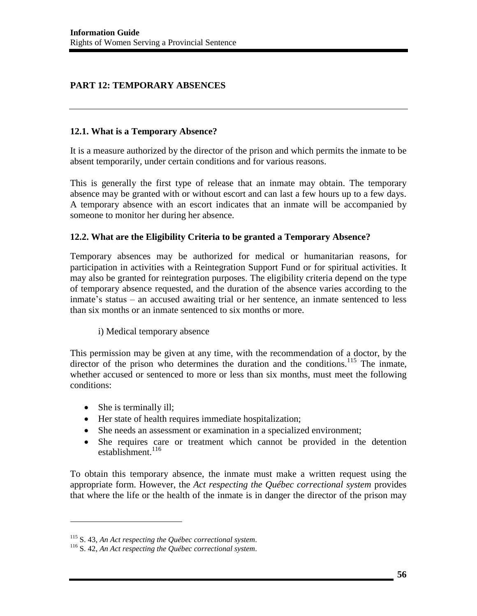# **PART 12: TEMPORARY ABSENCES**

#### **12.1. What is a Temporary Absence?**

It is a measure authorized by the director of the prison and which permits the inmate to be absent temporarily, under certain conditions and for various reasons.

This is generally the first type of release that an inmate may obtain. The temporary absence may be granted with or without escort and can last a few hours up to a few days. A temporary absence with an escort indicates that an inmate will be accompanied by someone to monitor her during her absence.

### **12.2. What are the Eligibility Criteria to be granted a Temporary Absence?**

Temporary absences may be authorized for medical or humanitarian reasons, for participation in activities with a Reintegration Support Fund or for spiritual activities. It may also be granted for reintegration purposes. The eligibility criteria depend on the type of temporary absence requested, and the duration of the absence varies according to the inmate's status – an accused awaiting trial or her sentence, an inmate sentenced to less than six months or an inmate sentenced to six months or more.

#### i) Medical temporary absence

This permission may be given at any time, with the recommendation of a doctor, by the director of the prison who determines the duration and the conditions.<sup>115</sup> The inmate, whether accused or sentenced to more or less than six months, must meet the following conditions:

• She is terminally ill;

 $\overline{\phantom{a}}$ 

- Her state of health requires immediate hospitalization;
- She needs an assessment or examination in a specialized environment;
- She requires care or treatment which cannot be provided in the detention establishment. $116$

To obtain this temporary absence, the inmate must make a written request using the appropriate form. However, the *Act respecting the Québec correctional system* provides that where the life or the health of the inmate is in danger the director of the prison may

<sup>115</sup> S. 43, *An Act respecting the Québec correctional system.* 116 S. 42, *An Act respecting the Québec correctional system.*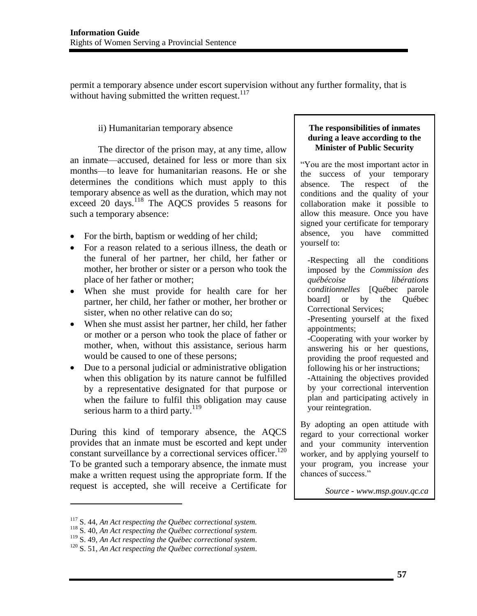permit a temporary absence under escort supervision without any further formality, that is without having submitted the written request. $117$ 

### ii) Humanitarian temporary absence

 The director of the prison may, at any time, allow an inmate—accused, detained for less or more than six months—to leave for humanitarian reasons. He or she determines the conditions which must apply to this temporary absence as well as the duration, which may not exceed 20 days.<sup>118</sup> The AQCS provides 5 reasons for such a temporary absence:

- For the birth, baptism or wedding of her child;
- For a reason related to a serious illness, the death or the funeral of her partner, her child, her father or mother, her brother or sister or a person who took the place of her father or mother;
- When she must provide for health care for her partner, her child, her father or mother, her brother or sister, when no other relative can do so;
- When she must assist her partner, her child, her father or mother or a person who took the place of father or mother, when, without this assistance, serious harm would be caused to one of these persons;
- Due to a personal judicial or administrative obligation when this obligation by its nature cannot be fulfilled by a representative designated for that purpose or when the failure to fulfil this obligation may cause serious harm to a third party.<sup>119</sup>

During this kind of temporary absence, the AQCS provides that an inmate must be escorted and kept under constant surveillance by a correctional services officer.<sup>120</sup> To be granted such a temporary absence, the inmate must make a written request using the appropriate form. If the request is accepted, she will receive a Certificate for

l

#### **The responsibilities of inmates during a leave according to the Minister of Public Security**

"You are the most important actor in the success of your temporary absence. The respect of the conditions and the quality of your collaboration make it possible to allow this measure. Once you have signed your certificate for temporary absence, you have committed yourself to:

-Respecting all the conditions imposed by the *Commission des québécoise libérations conditionnelles* [Québec parole board] or by the Québec Correctional Services;

-Presenting yourself at the fixed appointments;

-Cooperating with your worker by answering his or her questions, providing the proof requested and following his or her instructions;

-Attaining the objectives provided by your correctional intervention plan and participating actively in your reintegration.

By adopting an open attitude with regard to your correctional worker and your community intervention worker, and by applying yourself to your program, you increase your chances of success."

*Source - www.msp.gouv.qc.ca* 

<sup>&</sup>lt;sup>117</sup> S. 44, *An Act respecting the Québec correctional system.*<br><sup>118</sup> S. 40, *An Act respecting the Québec correctional system.*<br><sup>119</sup> S. 49, *An Act respecting the Québec correctional system.* 

<sup>&</sup>lt;sup>120</sup> S. 51, *An Act respecting the Québec correctional system.*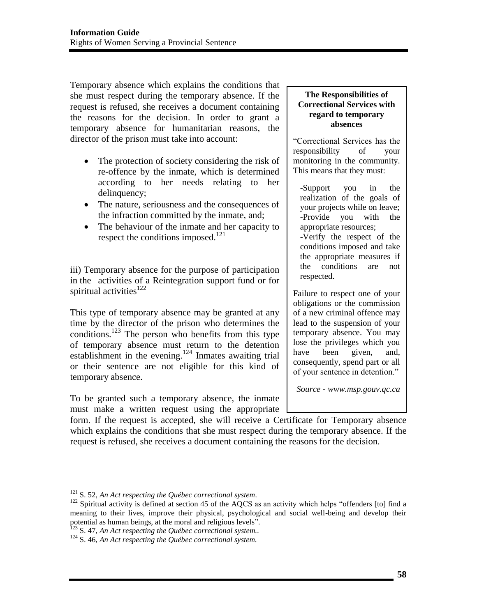Temporary absence which explains the conditions that she must respect during the temporary absence. If the request is refused, she receives a document containing the reasons for the decision. In order to grant a temporary absence for humanitarian reasons, the director of the prison must take into account:

- The protection of society considering the risk of re-offence by the inmate, which is determined according to her needs relating to her delinquency;
- The nature, seriousness and the consequences of the infraction committed by the inmate, and;
- The behaviour of the inmate and her capacity to respect the conditions imposed.<sup>121</sup>

iii) Temporary absence for the purpose of participation in the activities of a Reintegration support fund or for spiritual activities $^{122}$ 

This type of temporary absence may be granted at any time by the director of the prison who determines the conditions.<sup>123</sup> The person who benefits from this type of temporary absence must return to the detention establishment in the evening.<sup>124</sup> Inmates awaiting trial or their sentence are not eligible for this kind of temporary absence.

To be granted such a temporary absence, the inmate must make a written request using the appropriate

#### **The Responsibilities of Correctional Services with regard to temporary absences**

"Correctional Services has the responsibility of your monitoring in the community. This means that they must:

-Support you in the realization of the goals of your projects while on leave; -Provide you with the appropriate resources; -Verify the respect of the conditions imposed and take the appropriate measures if the conditions are not respected.

Failure to respect one of your obligations or the commission of a new criminal offence may lead to the suspension of your temporary absence. You may lose the privileges which you have been given, and, consequently, spend part or all of your sentence in detention."

*Source - www.msp.gouv.qc.ca* 

form. If the request is accepted, she will receive a Certificate for Temporary absence which explains the conditions that she must respect during the temporary absence. If the request is refused, she receives a document containing the reasons for the decision.

 $\overline{a}$ 

<sup>&</sup>lt;sup>121</sup> S. 52, *An Act respecting the Québec correctional system*.<br><sup>122</sup> Spiritual activity is defined at section 45 of the AQCS as an activity which helps "offenders [to] find a meaning to their lives, improve their physical, psychological and social well-being and develop their potential as human beings, at the moral and religious levels".<br><sup>123</sup> S. 47, *An Act respecting the Québec correctional system*.<br><sup>124</sup> S. 46, *An Act respecting the Québec correctional system*.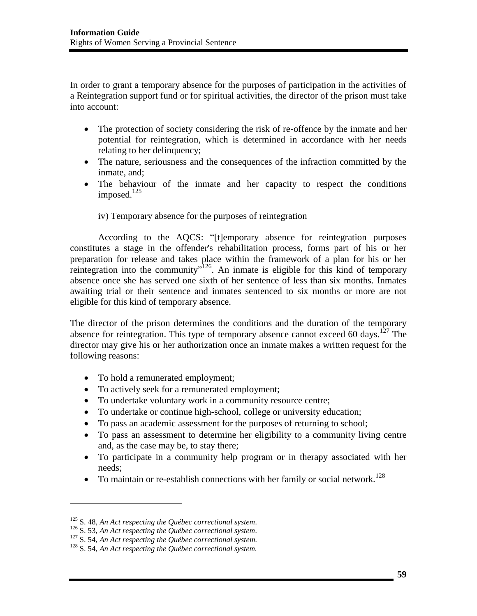In order to grant a temporary absence for the purposes of participation in the activities of a Reintegration support fund or for spiritual activities, the director of the prison must take into account:

- The protection of society considering the risk of re-offence by the inmate and her potential for reintegration, which is determined in accordance with her needs relating to her delinquency;
- The nature, seriousness and the consequences of the infraction committed by the inmate, and;
- The behaviour of the inmate and her capacity to respect the conditions imposed.<sup>125</sup>

iv) Temporary absence for the purposes of reintegration

 According to the AQCS: "[t]emporary absence for reintegration purposes constitutes a stage in the offender's rehabilitation process, forms part of his or her preparation for release and takes place within the framework of a plan for his or her reintegration into the community"<sup>126</sup>. An inmate is eligible for this kind of temporary absence once she has served one sixth of her sentence of less than six months. Inmates awaiting trial or their sentence and inmates sentenced to six months or more are not eligible for this kind of temporary absence.

The director of the prison determines the conditions and the duration of the temporary absence for reintegration. This type of temporary absence cannot exceed 60 days.<sup>127</sup> The director may give his or her authorization once an inmate makes a written request for the following reasons:

- To hold a remunerated employment;
- To actively seek for a remunerated employment;
- To undertake voluntary work in a community resource centre;
- To undertake or continue high-school, college or university education;
- To pass an academic assessment for the purposes of returning to school;
- To pass an assessment to determine her eligibility to a community living centre and, as the case may be, to stay there;
- To participate in a community help program or in therapy associated with her needs;
- To maintain or re-establish connections with her family or social network.<sup>128</sup>

l

<sup>&</sup>lt;sup>125</sup> S. 48, An Act respecting the Québec correctional system.<br><sup>126</sup> S. 53, An Act respecting the Québec correctional system.<br><sup>127</sup> S. 54, An Act respecting the Québec correctional system.<br><sup>128</sup> S. 54, An Act respecting t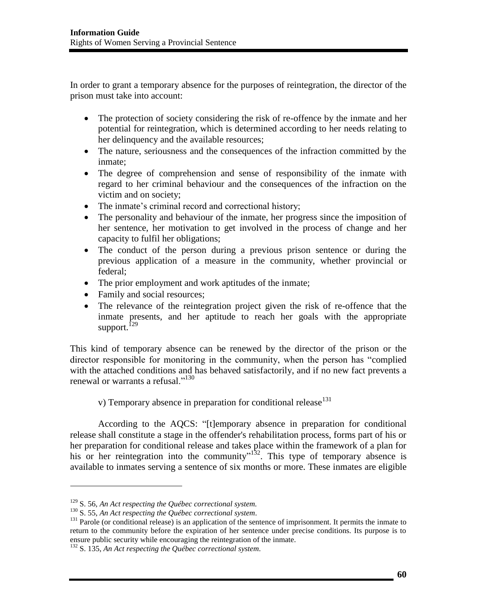In order to grant a temporary absence for the purposes of reintegration, the director of the prison must take into account:

- The protection of society considering the risk of re-offence by the inmate and her potential for reintegration, which is determined according to her needs relating to her delinquency and the available resources;
- The nature, seriousness and the consequences of the infraction committed by the inmate;
- The degree of comprehension and sense of responsibility of the inmate with regard to her criminal behaviour and the consequences of the infraction on the victim and on society;
- The inmate's criminal record and correctional history;
- The personality and behaviour of the inmate, her progress since the imposition of her sentence, her motivation to get involved in the process of change and her capacity to fulfil her obligations;
- The conduct of the person during a previous prison sentence or during the previous application of a measure in the community, whether provincial or federal;
- The prior employment and work aptitudes of the inmate;
- Family and social resources;
- The relevance of the reintegration project given the risk of re-offence that the inmate presents, and her aptitude to reach her goals with the appropriate support.<sup>129</sup>

This kind of temporary absence can be renewed by the director of the prison or the director responsible for monitoring in the community, when the person has "complied with the attached conditions and has behaved satisfactorily, and if no new fact prevents a renewal or warrants a refusal."<sup>130</sup>

v) Temporary absence in preparation for conditional release  $131$ 

 According to the AQCS: "[t]emporary absence in preparation for conditional release shall constitute a stage in the offender's rehabilitation process, forms part of his or her preparation for conditional release and takes place within the framework of a plan for his or her reintegration into the community"<sup>132</sup>. This type of temporary absence is available to inmates serving a sentence of six months or more. These inmates are eligible

<sup>&</sup>lt;sup>129</sup> S. 56, An Act respecting the Québec correctional system.<br><sup>130</sup> S. 55, An Act respecting the Québec correctional system.<br><sup>131</sup> Parole (or conditional release) is an application of the sentence of imprisonment. It per return to the community before the expiration of her sentence under precise conditions. Its purpose is to ensure public security while encouraging the reintegration of the inmate.

<sup>132</sup> S. 135, *An Act respecting the Québec correctional system.*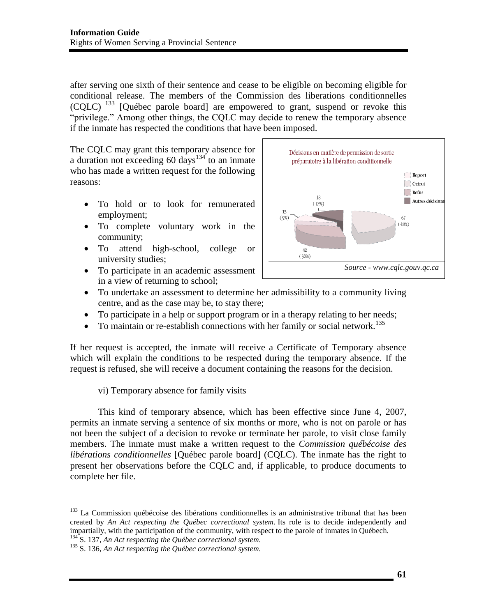after serving one sixth of their sentence and cease to be eligible on becoming eligible for conditional release. The members of the Commission des liberations conditionnelles  $(CQLC)$  <sup>133</sup> [Québec parole board] are empowered to grant, suspend or revoke this "privilege." Among other things, the CQLC may decide to renew the temporary absence if the inmate has respected the conditions that have been imposed.

The CQLC may grant this temporary absence for a duration not exceeding 60 days<sup>134</sup> to an inmate who has made a written request for the following reasons:

- To hold or to look for remunerated employment;
- To complete voluntary work in the community;
- To attend high-school, college or university studies;
- To participate in an academic assessment in a view of returning to school;



- To undertake an assessment to determine her admissibility to a community living centre, and as the case may be, to stay there;
- To participate in a help or support program or in a therapy relating to her needs;
- $\bullet$  To maintain or re-establish connections with her family or social network.<sup>135</sup>

If her request is accepted, the inmate will receive a Certificate of Temporary absence which will explain the conditions to be respected during the temporary absence. If the request is refused, she will receive a document containing the reasons for the decision.

vi) Temporary absence for family visits

 This kind of temporary absence, which has been effective since June 4, 2007, permits an inmate serving a sentence of six months or more, who is not on parole or has not been the subject of a decision to revoke or terminate her parole, to visit close family members. The inmate must make a written request to the *Commission québécoise des libérations conditionnelles* [Québec parole board] (CQLC). The inmate has the right to present her observations before the CQLC and, if applicable, to produce documents to complete her file.

<sup>&</sup>lt;sup>133</sup> La Commission québécoise des libérations conditionnelles is an administrative tribunal that has been created by *An Act respecting the Québec correctional system.* Its role is to decide independently and impartially, with the participation of the community, with respect to the parole of inmates in Québech.<br><sup>134</sup> S. 137, An Act respecting the Québec correctional system.

<sup>&</sup>lt;sup>135</sup> S. 136, *An Act respecting the Québec correctional system.*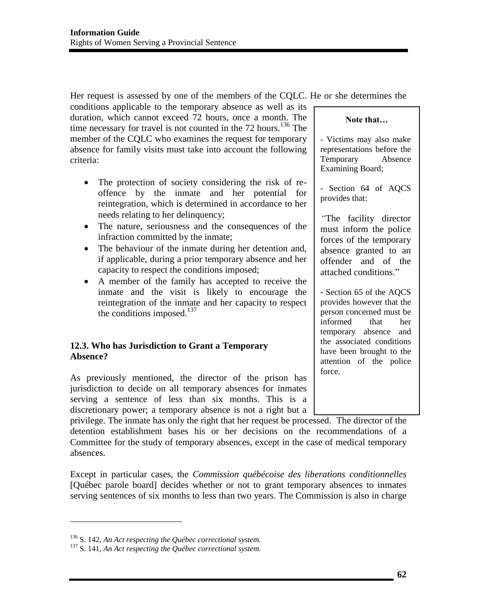Her request is assessed by one of the members of the CQLC. He or she determines the conditions applicable to the temporary absence as well as its duration, which cannot exceed 72 hours, once a month. The time necessary for travel is not counted in the  $72$  hours.<sup>136</sup> The member of the CQLC who examines the request for temporary absence for family visits must take into account the following criteria: **Note that…**

- The protection of society considering the risk of reoffence by the inmate and her potential for reintegration, which is determined in accordance to her needs relating to her delinquency;
- The nature, seriousness and the consequences of the infraction committed by the inmate;
- The behaviour of the inmate during her detention and, if applicable, during a prior temporary absence and her capacity to respect the conditions imposed;
- A member of the family has accepted to receive the inmate and the visit is likely to encourage the reintegration of the inmate and her capacity to respect the conditions imposed. $137$

### **12.3. Who has Jurisdiction to Grant a Temporary Absence?**

As previously mentioned, the director of the prison has jurisdiction to decide on all temporary absences for inmates serving a sentence of less than six months. This is a discretionary power; a temporary absence is not a right but a

- Victims may also make representations before the Temporary Absence Examining Board;

- Section 64 of AQCS provides that:

*"*The facility director must inform the police forces of the temporary absence granted to an offender and of the attached conditions."

- Section 65 of the AQCS provides however that the person concerned must be informed that her temporary absence and the associated conditions have been brought to the attention of the police force.

privilege. The inmate has only the right that her request be processed. The director of the detention establishment bases his or her decisions on the recommendations of a Committee for the study of temporary absences, except in the case of medical temporary absences.

Except in particular cases, the *Commission québécoise des liberations conditionnelles* [Québec parole board] decides whether or not to grant temporary absences to inmates serving sentences of six months to less than two years. The Commission is also in charge

<sup>136</sup> S. 142, *An Act respecting the Québec correctional system.* 137 S. 141, *An Act respecting the Québec correctional system.*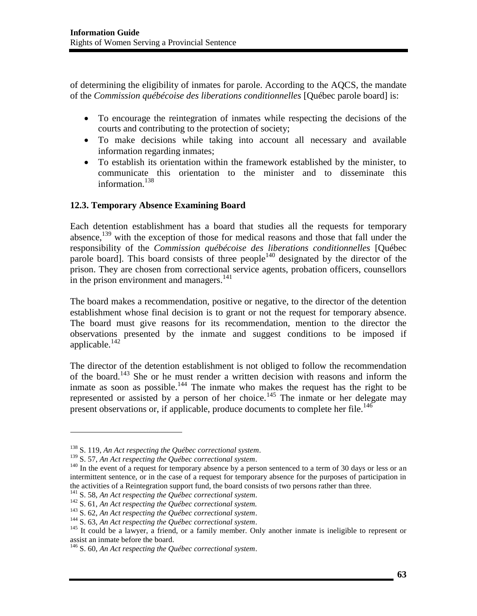of determining the eligibility of inmates for parole. According to the AQCS, the mandate of the *Commission québécoise des liberations conditionnelles* [Québec parole board] is:

- To encourage the reintegration of inmates while respecting the decisions of the courts and contributing to the protection of society;
- To make decisions while taking into account all necessary and available information regarding inmates;
- To establish its orientation within the framework established by the minister, to communicate this orientation to the minister and to disseminate this information.<sup>138</sup>

## **12.3. Temporary Absence Examining Board**

Each detention establishment has a board that studies all the requests for temporary absence,<sup>139</sup> with the exception of those for medical reasons and those that fall under the responsibility of the *Commission québécoise des liberations conditionnelles* [Québec parole board]. This board consists of three people<sup>140</sup> designated by the director of the prison. They are chosen from correctional service agents, probation officers, counsellors in the prison environment and managers.<sup>141</sup>

The board makes a recommendation, positive or negative, to the director of the detention establishment whose final decision is to grant or not the request for temporary absence. The board must give reasons for its recommendation, mention to the director the observations presented by the inmate and suggest conditions to be imposed if applicable. $142$ 

The director of the detention establishment is not obliged to follow the recommendation of the board.<sup>143</sup> She or he must render a written decision with reasons and inform the inmate as soon as possible.<sup>144</sup> The inmate who makes the request has the right to be represented or assisted by a person of her choice.<sup>145</sup> The inmate or her delegate may present observations or, if applicable, produce documents to complete her file.<sup>146</sup>

<sup>&</sup>lt;sup>138</sup> S. 119, An Act respecting the Québec correctional system.<br><sup>139</sup> S. 57, An Act respecting the Québec correctional system.<br><sup>140</sup> In the event of a request for temporary absence by a person sentenced to a term of 30 da intermittent sentence, or in the case of a request for temporary absence for the purposes of participation in the activities of a Reintegration support fund, the board consists of two persons rather than three.<br><sup>141</sup> S. 58, An Act respecting the Québec correctional system.

<sup>&</sup>lt;sup>142</sup> S. 61, An Act respecting the Québec correctional system.<br><sup>143</sup> S. 62, An Act respecting the Québec correctional system.<br><sup>143</sup> S. 63, An Act respecting the Québec correctional system.<br><sup>145</sup> It could be a lawyer, a fr assist an inmate before the board.

<sup>146</sup> S. 60, *An Act respecting the Québec correctional system*.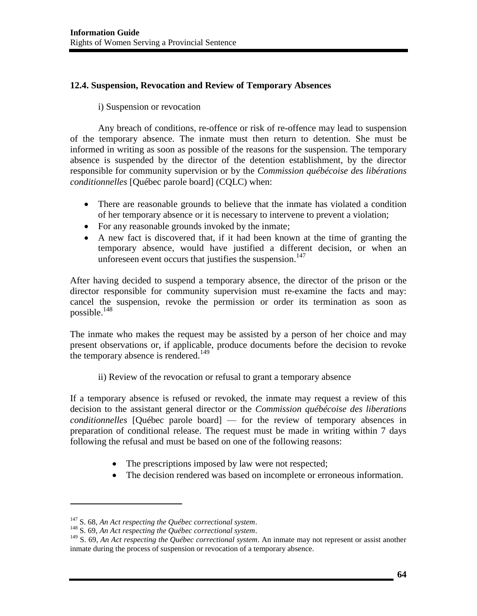### **12.4. Suspension, Revocation and Review of Temporary Absences**

### i) Suspension or revocation

 Any breach of conditions, re-offence or risk of re-offence may lead to suspension of the temporary absence. The inmate must then return to detention. She must be informed in writing as soon as possible of the reasons for the suspension. The temporary absence is suspended by the director of the detention establishment, by the director responsible for community supervision or by the *Commission québécoise des libérations conditionnelles* [Québec parole board] (CQLC) when:

- There are reasonable grounds to believe that the inmate has violated a condition of her temporary absence or it is necessary to intervene to prevent a violation;
- For any reasonable grounds invoked by the inmate;
- A new fact is discovered that, if it had been known at the time of granting the temporary absence, would have justified a different decision, or when an unforeseen event occurs that justifies the suspension.<sup>147</sup>

After having decided to suspend a temporary absence, the director of the prison or the director responsible for community supervision must re-examine the facts and may: cancel the suspension, revoke the permission or order its termination as soon as possible. $^{148}$ 

The inmate who makes the request may be assisted by a person of her choice and may present observations or, if applicable, produce documents before the decision to revoke the temporary absence is rendered.<sup>149</sup>

ii) Review of the revocation or refusal to grant a temporary absence

If a temporary absence is refused or revoked, the inmate may request a review of this decision to the assistant general director or the *Commission québécoise des liberations conditionnelles* [Québec parole board] — for the review of temporary absences in preparation of conditional release. The request must be made in writing within 7 days following the refusal and must be based on one of the following reasons:

- The prescriptions imposed by law were not respected;
- The decision rendered was based on incomplete or erroneous information.

l

<sup>&</sup>lt;sup>147</sup> S. 68, An Act respecting the Québec correctional system.<br><sup>148</sup> S. 69, An Act respecting the Québec correctional system.<br><sup>149</sup> S. 69, An Act respecting the Québec correctional system. An inmate may not represent or a inmate during the process of suspension or revocation of a temporary absence.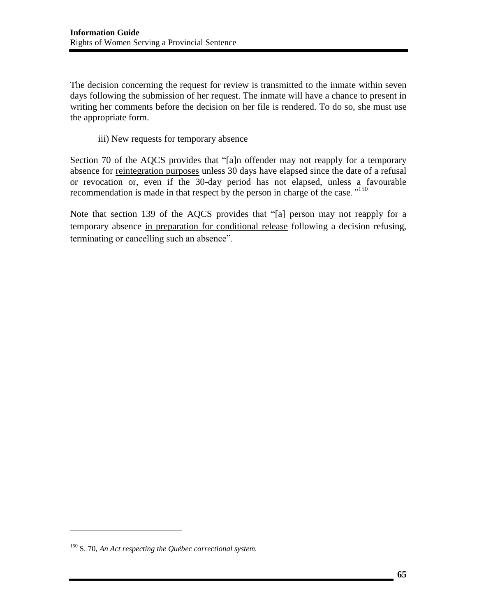The decision concerning the request for review is transmitted to the inmate within seven days following the submission of her request. The inmate will have a chance to present in writing her comments before the decision on her file is rendered. To do so, she must use the appropriate form.

iii) New requests for temporary absence

Section 70 of the AQCS provides that "[a]n offender may not reapply for a temporary absence for reintegration purposes unless 30 days have elapsed since the date of a refusal or revocation or, even if the 30-day period has not elapsed, unless a favourable recommendation is made in that respect by the person in charge of the case*."*<sup>150</sup>

Note that section 139 of the AQCS provides that "[a] person may not reapply for a temporary absence in preparation for conditional release following a decision refusing, terminating or cancelling such an absence".

 $\overline{a}$ 

<sup>150</sup> S. 70, *An Act respecting the Québec correctional system.*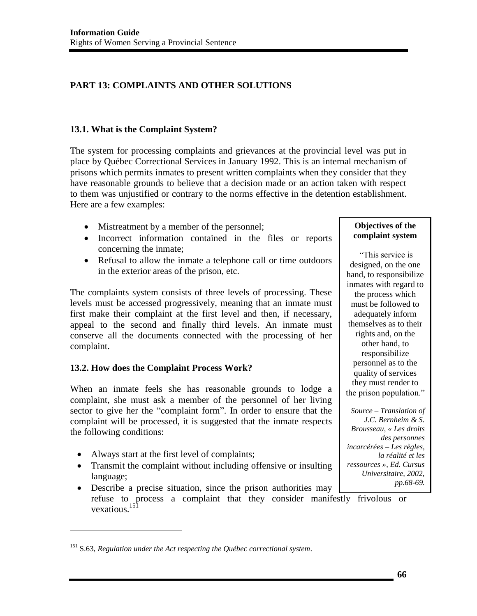# **PART 13: COMPLAINTS AND OTHER SOLUTIONS**

### **13.1. What is the Complaint System?**

The system for processing complaints and grievances at the provincial level was put in place by Québec Correctional Services in January 1992. This is an internal mechanism of prisons which permits inmates to present written complaints when they consider that they have reasonable grounds to believe that a decision made or an action taken with respect to them was unjustified or contrary to the norms effective in the detention establishment. Here are a few examples:

- Mistreatment by a member of the personnel;
- Incorrect information contained in the files or reports concerning the inmate;
- Refusal to allow the inmate a telephone call or time outdoors in the exterior areas of the prison, etc.

The complaints system consists of three levels of processing. These levels must be accessed progressively, meaning that an inmate must first make their complaint at the first level and then, if necessary, appeal to the second and finally third levels. An inmate must conserve all the documents connected with the processing of her complaint.

## **13.2. How does the Complaint Process Work?**

When an inmate feels she has reasonable grounds to lodge a complaint, she must ask a member of the personnel of her living sector to give her the "complaint form". In order to ensure that the complaint will be processed, it is suggested that the inmate respects the following conditions:

• Always start at the first level of complaints;

 $\overline{a}$ 

- Transmit the complaint without including offensive or insulting language;
- Describe a precise situation, since the prison authorities may refuse to process a complaint that they consider manifestly frivolous or vexatious.<sup>151</sup>

#### **Objectives of the complaint system**

"This service is designed, on the one hand, to responsibilize inmates with regard to the process which must be followed to adequately inform themselves as to their rights and, on the other hand, to responsibilize personnel as to the quality of services they must render to the prison population."

*Source – Translation of J.C. Bernheim & S. Brousseau, « Les droits des personnes incarcérées – Les règles, la réalité et les ressources », Ed. Cursus Universitaire, 2002, pp.68-69.*

<sup>151</sup> S.63, *Regulation under the Act respecting the Québec correctional system*.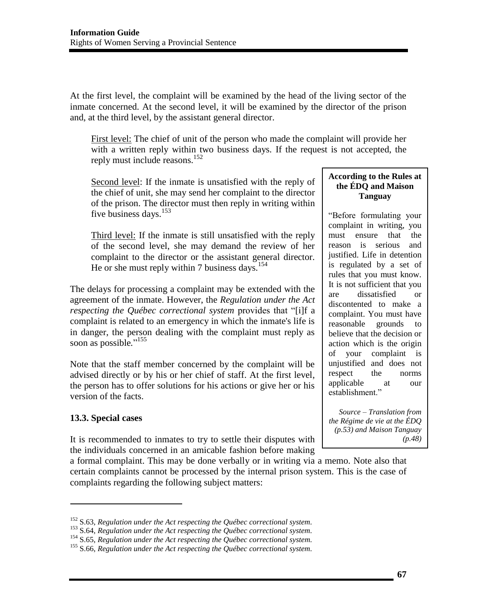At the first level, the complaint will be examined by the head of the living sector of the inmate concerned. At the second level, it will be examined by the director of the prison and, at the third level, by the assistant general director.

First level: The chief of unit of the person who made the complaint will provide her with a written reply within two business days. If the request is not accepted, the reply must include reasons.<sup>152</sup>

Second level: If the inmate is unsatisfied with the reply of the chief of unit, she may send her complaint to the director of the prison. The director must then reply in writing within five business days.<sup>153</sup>

Third level: If the inmate is still unsatisfied with the reply of the second level, she may demand the review of her complaint to the director or the assistant general director. He or she must reply within 7 business days.<sup>154</sup>

The delays for processing a complaint may be extended with the agreement of the inmate. However, the *Regulation under the Act respecting the Québec correctional system* provides that "[i]f a complaint is related to an emergency in which the inmate's life is in danger, the person dealing with the complaint must reply as soon as possible."<sup>155</sup>

Note that the staff member concerned by the complaint will be advised directly or by his or her chief of staff. At the first level, the person has to offer solutions for his actions or give her or his version of the facts.

## **13.3. Special cases**

l

It is recommended to inmates to try to settle their disputes with the individuals concerned in an amicable fashion before making

a formal complaint. This may be done verbally or in writing via a memo. Note also that certain complaints cannot be processed by the internal prison system. This is the case of complaints regarding the following subject matters:

### **According to the Rules at the ÉDQ and Maison Tanguay**

"Before formulating your complaint in writing, you must ensure that the reason is serious and justified. Life in detention is regulated by a set of rules that you must know. It is not sufficient that you are dissatisfied or discontented to make a complaint. You must have reasonable grounds to believe that the decision or action which is the origin of your complaint is unjustified and does not respect the norms applicable at our establishment."

*Source – Translation from the Régime de vie at the ÉDQ (p.53) and Maison Tanguay (p.48)*

<sup>&</sup>lt;sup>152</sup> S.63, Regulation under the Act respecting the Québec correctional system.<br><sup>153</sup> S.64, Regulation under the Act respecting the Québec correctional system.<br><sup>154</sup> S.65, Regulation under the Act respecting the Québec co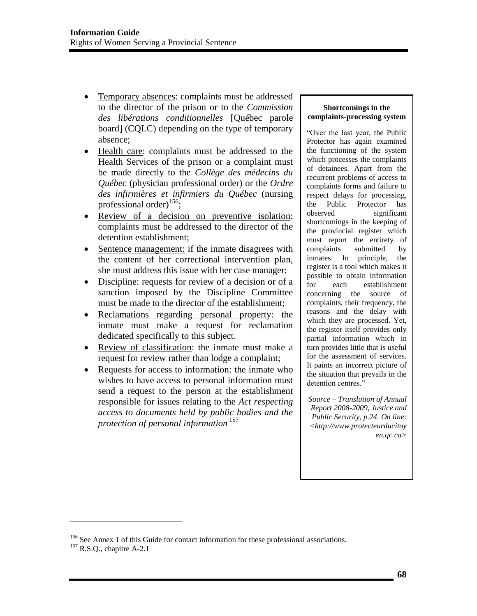- Temporary absences: complaints must be addressed to the director of the prison or to the *Commission des libérations conditionnelles* [Québec parole board] (CQLC) depending on the type of temporary absence;
- Health care: complaints must be addressed to the Health Services of the prison or a complaint must be made directly to the *Collège des médecins du Québec* (physician professional order) or the *Ordre des infirmières et infirmiers du Québec* (nursing professional order)<sup>156</sup>;
- Review of a decision on preventive isolation: complaints must be addressed to the director of the detention establishment;
- Sentence management: if the inmate disagrees with the content of her correctional intervention plan, she must address this issue with her case manager;
- Discipline: requests for review of a decision or of a sanction imposed by the Discipline Committee must be made to the director of the establishment;
- Reclamations regarding personal property: the inmate must make a request for reclamation dedicated specifically to this subject.
- Review of classification: the inmate must make a request for review rather than lodge a complaint;
- Requests for access to information: the inmate who wishes to have access to personal information must send a request to the person at the establishment responsible for issues relating to the *Act respecting access to documents held by public bodies and the protection of personal information* 157

#### **Shortcomings in the complaints-processing system**

"Over the last year, the Public Protector has again examined the functioning of the system which processes the complaints of detainees. Apart from the recurrent problems of access to complaints forms and failure to respect delays for processing, the Public Protector has observed significant shortcomings in the keeping of the provincial register which must report the entirety of complaints submitted by inmates. In principle, the register is a tool which makes it possible to obtain information for each establishment concerning the source of complaints, their frequency, the reasons and the delay with which they are processed. Yet, the register itself provides only partial information which in turn provides little that is useful for the assessment of services. It paints an incorrect picture of the situation that prevails in the detention centres."

*Source – Translation of Annual Report 2008-2009, Justice and Public Security, p.24. On line: <http://www.protecteurducitoy en.qc.ca>* 

<sup>&</sup>lt;sup>156</sup> See Annex 1 of this Guide for contact information for these professional associations. <sup>157</sup> R.S.O., chapitre A-2.1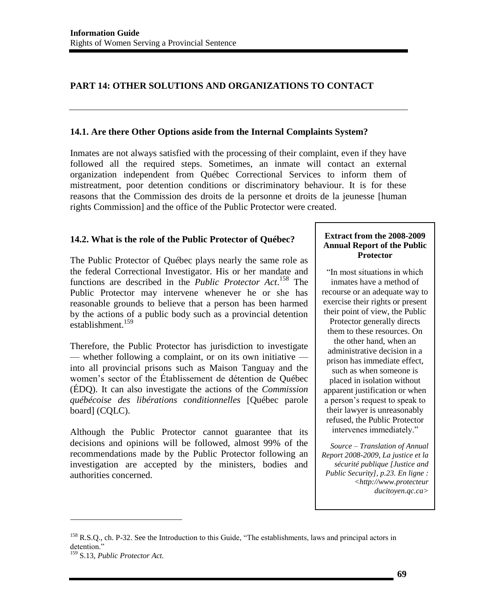# **PART 14: OTHER SOLUTIONS AND ORGANIZATIONS TO CONTACT**

#### **14.1. Are there Other Options aside from the Internal Complaints System?**

Inmates are not always satisfied with the processing of their complaint, even if they have followed all the required steps. Sometimes, an inmate will contact an external organization independent from Québec Correctional Services to inform them of mistreatment, poor detention conditions or discriminatory behaviour. It is for these reasons that the Commission des droits de la personne et droits de la jeunesse [human rights Commission] and the office of the Public Protector were created.

#### **14.2. What is the role of the Public Protector of Québec?**

The Public Protector of Québec plays nearly the same role as the federal Correctional Investigator. His or her mandate and functions are described in the *Public Protector Act*. 158 The Public Protector may intervene whenever he or she has reasonable grounds to believe that a person has been harmed by the actions of a public body such as a provincial detention establishment.<sup>159</sup>

Therefore, the Public Protector has jurisdiction to investigate — whether following a complaint, or on its own initiative into all provincial prisons such as Maison Tanguay and the women's sector of the Établissement de détention de Québec (ÉDQ). It can also investigate the actions of the *Commission québécoise des libérations conditionnelles* [Québec parole board] (CQLC).

Although the Public Protector cannot guarantee that its decisions and opinions will be followed, almost 99% of the recommendations made by the Public Protector following an investigation are accepted by the ministers, bodies and authorities concerned.

#### **Extract from the 2008-2009 Annual Report of the Public Protector**

"In most situations in which inmates have a method of recourse or an adequate way to exercise their rights or present their point of view, the Public Protector generally directs them to these resources. On the other hand, when an administrative decision in a prison has immediate effect, such as when someone is placed in isolation without apparent justification or when a person's request to speak to their lawyer is unreasonably refused, the Public Protector intervenes immediately."

*Source – Translation of Annual Report 2008-2009, La justice et la sécurité publique [Justice and Public Security], p.23. En ligne : <http://www.protecteur ducitoyen.qc.ca>* 

<sup>&</sup>lt;sup>158</sup> R.S.Q., ch. P-32. See the Introduction to this Guide, "The establishments, laws and principal actors in detention."

<sup>159</sup> S.13, *Public Protector Act.*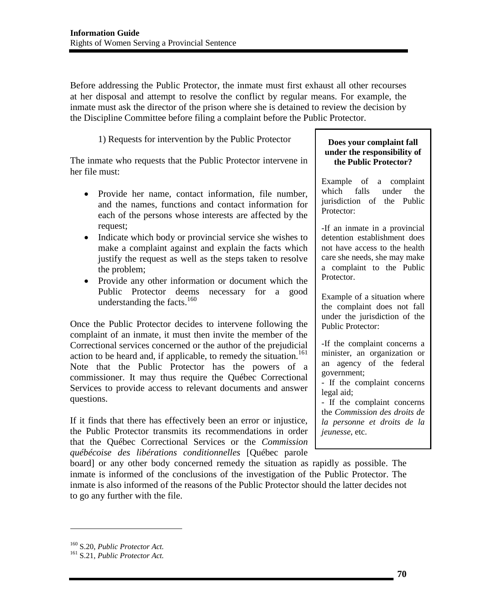Before addressing the Public Protector, the inmate must first exhaust all other recourses at her disposal and attempt to resolve the conflict by regular means. For example, the inmate must ask the director of the prison where she is detained to review the decision by the Discipline Committee before filing a complaint before the Public Protector.

1) Requests for intervention by the Public Protector

The inmate who requests that the Public Protector intervene in her file must:

- Provide her name, contact information, file number, and the names, functions and contact information for each of the persons whose interests are affected by the request;
- Indicate which body or provincial service she wishes to make a complaint against and explain the facts which justify the request as well as the steps taken to resolve the problem;
- Provide any other information or document which the Public Protector deems necessary for a good understanding the facts. $160$

Once the Public Protector decides to intervene following the complaint of an inmate, it must then invite the member of the Correctional services concerned or the author of the prejudicial action to be heard and, if applicable, to remedy the situation.<sup>161</sup> Note that the Public Protector has the powers of a commissioner. It may thus require the Québec Correctional Services to provide access to relevant documents and answer questions.

If it finds that there has effectively been an error or injustice, the Public Protector transmits its recommendations in order that the Québec Correctional Services or the *Commission québécoise des libérations conditionnelles* [Québec parole

#### **Does your complaint fall under the responsibility of the Public Protector?**

Example of a complaint which falls under the jurisdiction of the Public Protector:

-If an inmate in a provincial detention establishment does not have access to the health care she needs, she may make a complaint to the Public Protector.

Example of a situation where the complaint does not fall under the jurisdiction of the Public Protector:

-If the complaint concerns a minister, an organization or an agency of the federal government;

- If the complaint concerns legal aid;

- If the complaint concerns the *Commission des droits de la personne et droits de la jeunesse*, etc.

*Source*  board] or any other body concerned remedy the situation as rapidly as possible. The inmate is informed of the conclusions of the investigation of the Public Protector. The inmate is also informed of the reasons of the Public Protector should the latter decides not to go any further with the file.

 $\overline{a}$ 

<sup>160</sup> S.20, *Public Protector Act.* 161 S.21, *Public Protector Act.*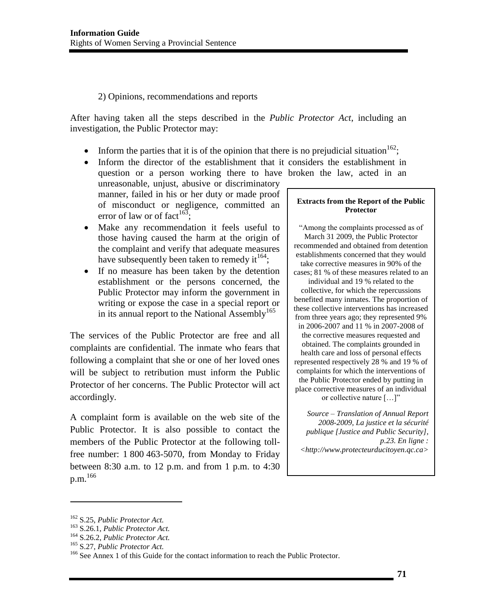#### 2) Opinions, recommendations and reports

After having taken all the steps described in the *Public Protector Act*, including an investigation, the Public Protector may:

- Inform the parties that it is of the opinion that there is no prejudicial situation<sup>162</sup>;
- Inform the director of the establishment that it considers the establishment in
- question or a person working there to have broken the law, acted in an unreasonable, unjust, abusive or discriminatory manner, failed in his or her duty or made proof of misconduct or negligence, committed an error of law or of fact<sup>163</sup>:
- Make any recommendation it feels useful to those having caused the harm at the origin of the complaint and verify that adequate measures have subsequently been taken to remedy it  $164$ ;
- If no measure has been taken by the detention establishment or the persons concerned, the Public Protector may inform the government in writing or expose the case in a special report or in its annual report to the National Assembly<sup>165</sup>

The services of the Public Protector are free and all complaints are confidential. The inmate who fears that following a complaint that she or one of her loved ones will be subject to retribution must inform the Public Protector of her concerns. The Public Protector will act accordingly.

A complaint form is available on the web site of the Public Protector. It is also possible to contact the members of the Public Protector at the following tollfree number: 1 800 463-5070, from Monday to Friday between 8:30 a.m. to 12 p.m. and from 1 p.m. to 4:30  $p.m.<sup>166</sup>$ 

#### **Extracts from the Report of the Public Protector**

"Among the complaints processed as of March 31 2009, the Public Protector recommended and obtained from detention establishments concerned that they would take corrective measures in 90% of the cases; 81 % of these measures related to an

individual and 19 % related to the collective, for which the repercussions benefited many inmates. The proportion of these collective interventions has increased from three years ago; they represented 9% in 2006-2007 and 11 % in 2007-2008 of the corrective measures requested and obtained. The complaints grounded in health care and loss of personal effects represented respectively 28 % and 19 % of complaints for which the interventions of the Public Protector ended by putting in place corrective measures of an individual or collective nature […]"

*Source – Translation of Annual Report 2008-2009, La justice et la sécurité publique [Justice and Public Security], p.23. En ligne : <http://www.protecteurducitoyen.qc.ca>* 

l

<sup>&</sup>lt;sup>162</sup> S.25, *Public Protector Act.*<br><sup>163</sup> S.26.1, *Public Protector Act.*<br><sup>164</sup> S.26.2, *Public Protector Act.*<br><sup>165</sup> S.27, *Public Protector Act.*<br><sup>165</sup> See Annex 1 of this Guide for the contact information to reach the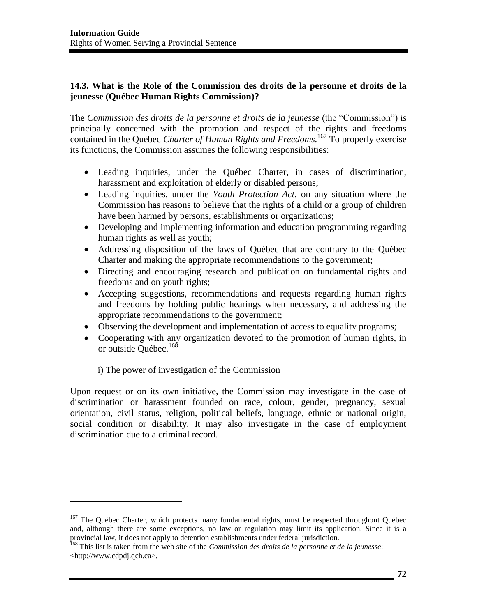### **14.3. What is the Role of the Commission des droits de la personne et droits de la jeunesse (Québec Human Rights Commission)?**

The *Commission des droits de la personne et droits de la jeunesse* (the "Commission") is principally concerned with the promotion and respect of the rights and freedoms contained in the Québec *Charter of Human Rights and Freedoms.*167 To properly exercise its functions, the Commission assumes the following responsibilities:

- Leading inquiries, under the Québec Charter, in cases of discrimination, harassment and exploitation of elderly or disabled persons;
- Leading inquiries, under the *Youth Protection Act*, on any situation where the Commission has reasons to believe that the rights of a child or a group of children have been harmed by persons, establishments or organizations;
- Developing and implementing information and education programming regarding human rights as well as youth;
- Addressing disposition of the laws of Québec that are contrary to the Québec Charter and making the appropriate recommendations to the government;
- Directing and encouraging research and publication on fundamental rights and freedoms and on youth rights;
- Accepting suggestions, recommendations and requests regarding human rights and freedoms by holding public hearings when necessary, and addressing the appropriate recommendations to the government;
- Observing the development and implementation of access to equality programs;
- Cooperating with any organization devoted to the promotion of human rights, in or outside Québec.<sup>168</sup>

i) The power of investigation of the Commission

l

Upon request or on its own initiative, the Commission may investigate in the case of discrimination or harassment founded on race, colour, gender, pregnancy, sexual orientation, civil status, religion, political beliefs, language, ethnic or national origin, social condition or disability. It may also investigate in the case of employment discrimination due to a criminal record.

<sup>&</sup>lt;sup>167</sup> The Québec Charter, which protects many fundamental rights, must be respected throughout Québec and, although there are some exceptions, no law or regulation may limit its application. Since it is a provincial law, it does not apply to detention establishments under federal jurisdiction.

<sup>168</sup> This list is taken from the web site of the *Commission des droits de la personne et de la jeunesse*: <http://www.cdpdj.qch.ca>.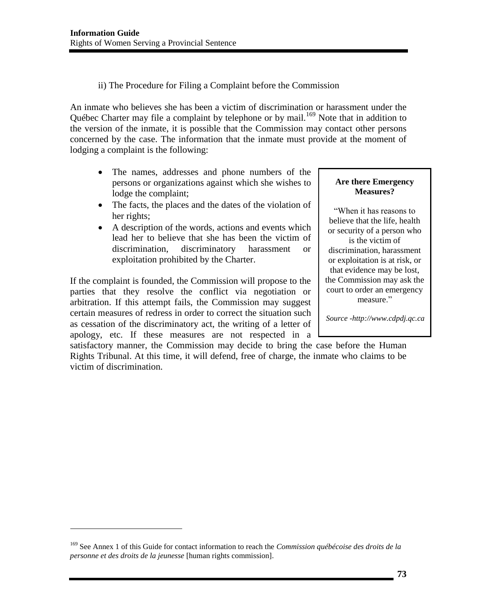ii) The Procedure for Filing a Complaint before the Commission

An inmate who believes she has been a victim of discrimination or harassment under the Québec Charter may file a complaint by telephone or by mail.<sup>169</sup> Note that in addition to the version of the inmate, it is possible that the Commission may contact other persons concerned by the case. The information that the inmate must provide at the moment of lodging a complaint is the following:

- The names, addresses and phone numbers of the persons or organizations against which she wishes to lodge the complaint;
- The facts, the places and the dates of the violation of her rights;
- A description of the words, actions and events which lead her to believe that she has been the victim of discrimination, discriminatory harassment or exploitation prohibited by the Charter.

If the complaint is founded, the Commission will propose to the parties that they resolve the conflict via negotiation or arbitration. If this attempt fails, the Commission may suggest certain measures of redress in order to correct the situation such as cessation of the discriminatory act, the writing of a letter of apology, etc. If these measures are not respected in a

 $\overline{a}$ 

#### **Are there Emergency Measures?**

"When it has reasons to believe that the life, health or security of a person who is the victim of discrimination, harassment or exploitation is at risk, or that evidence may be lost, the Commission may ask the court to order an emergency measure."

*Source -http://www.cdpdj.qc.ca* 

satisfactory manner, the Commission may decide to bring the case before the Human Rights Tribunal. At this time, it will defend, free of charge, the inmate who claims to be victim of discrimination.

<sup>169</sup> See Annex 1 of this Guide for contact information to reach the *Commission québécoise des droits de la personne et des droits de la jeunesse* [human rights commission].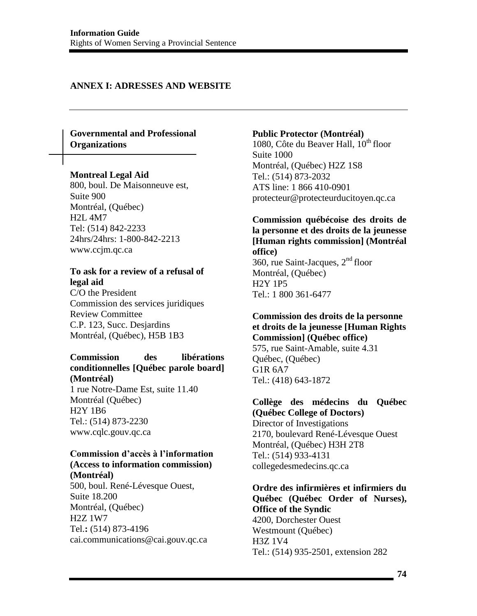#### **ANNEX I: ADRESSES AND WEBSITE**

#### **Governmental and Professional Organizations**

#### **Montreal Legal Aid**

800, boul. De Maisonneuve est, Suite 900 Montréal, (Québec) H2L 4M7 Tel: (514) 842-2233 24hrs/24hrs: 1-800-842-2213 www.ccjm.qc.ca

#### **To ask for a review of a refusal of legal aid**

C/O the President Commission des services juridiques Review Committee C.P. 123, Succ. Desjardins Montréal, (Québec), H5B 1B3

#### **Commission des libérations conditionnelles [Québec parole board] (Montréal)**

1 rue Notre-Dame Est, suite 11.40 Montréal (Québec) H2Y 1B6 Tel.: (514) 873-2230 www.cqlc.gouv.qc.ca

# **Commission d'accès à l'information (Access to information commission)**

**(Montréal)** 500, boul. René-Lévesque Ouest, Suite 18.200 Montréal, (Québec) H2Z 1W7 Tel.**:** (514) 873-4196 [cai.communications@cai.gouv.qc.ca](mailto:cai.communications@cai.gouv.qc.ca)

#### **Public Protector (Montréal)**

1080, Côte du Beaver Hall, 10<sup>th</sup> floor Suite 1000 Montréal, (Québec) H2Z 1S8 Tel.: (514) 873-2032 ATS line: 1 866 410-0901 [protecteur@protecteurducitoyen.qc.ca](mailto:protecteur@protecteurducitoyen.qc.ca) 

**Commission québécoise des droits de la personne et des droits de la jeunesse [Human rights commission] (Montréal office)**  360, rue Saint-Jacques,  $2<sup>nd</sup>$  floor Montréal, (Québec) H2Y 1P5 Tel.: 1 800 361-6477

#### **Commission des droits de la personne et droits de la jeunesse [Human Rights Commission] (Québec office)** 575, rue Saint-Amable, suite 4.31

Québec, (Québec) G1R 6A7 Tel.: (418) 643-187[2](mailto:quebec@cdpdj.qc.ca) 

#### **Collège des médecins du Québec (Québec College of Doctors)**  Director of Investigations

2170, boulevard René-Lévesque Ouest Montréal, (Québec) H3H 2T8 Tel.: (514) 933-4131 collegedesmedecins.qc.ca

#### **Ordre des infirmières et infirmiers du Québec (Québec Order of Nurses), Office of the Syndic**  4200, Dorchester Ouest Westmount (Québec) H3Z 1V4 Tel.: (514) 935-2501, extension 282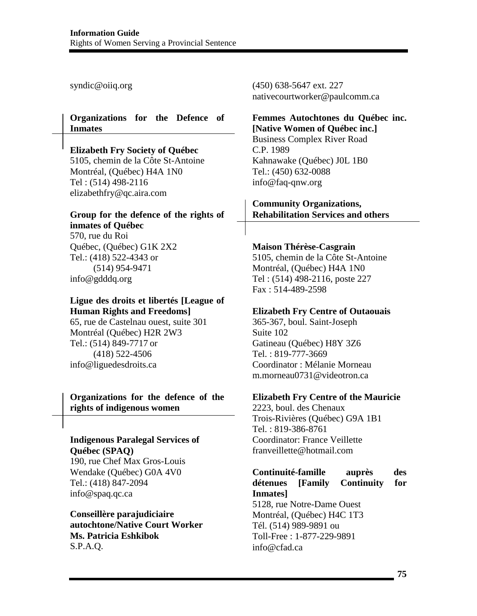[syndic@oiiq.org](mailto:syndic@oiiq.org) 

#### **Organizations for the Defence of Inmates**

### **Elizabeth Fry Society of Québec**

5105, chemin de la Côte St-Antoine Montréal, (Québec) H4A 1N0 Tel : (514) 498-2116 elizabethfry@qc.aira.com

#### **Group for the defence of the rights of inmates of Québec**

570, rue du Roi Québec, (Québec) G1K 2X2 Tel.: (418) 522-4343 or (514) 954-9471 [info@gdddq.org](mailto:info@gdddq.org) 

# **Ligue des droits et libertés [League of Human Rights and Freedoms]**

65, rue de Castelnau ouest, suite 301 Montréal (Québec) H2R 2W3 Tel.: (514) 849-7717 or (418) 522-4506 [info@liguedesdroits.ca](mailto:info@liguedesdroits.ca)

#### **Organizations for the defence of the rights of indigenous women**

### **Indigenous Paralegal Services of Québec (SPAQ)**

190, rue Chef Max Gros-Louis Wendake (Québec) G0A 4V0 Tel.: (418) 847-2094 [info@spaq.qc.ca](mailto:info@spaq.qc.ca)

**Conseillère parajudiciaire autochtone/Native Court Worker Ms. Patricia Eshkibok**  S.P.A.Q.

(450) 638-5647 ext. 227 nativecourtworker@paulcomm.ca

## **Femmes Autochtones du Québec inc. [Native Women of Québec inc.]**

Business Complex River Road C.P. 1989 Kahnawake (Québec) J0L 1B0 Tel.: (450) 632-0088 [info@faq-qnw.org](mailto:info@faq-qnw.org) 

#### **Community Organizations, Rehabilitation Services and others**

#### **Maison Thérèse-Casgrain**

5105, chemin de la Côte St-Antoine Montréal, (Québec) H4A 1N0 Tel : (514) 498-2116, poste 227 Fax : 514-489-2598

#### **Elizabeth Fry Centre of Outaouais**

365-367, boul. Saint-Joseph Suite 102 Gatineau (Québec) H8Y 3Z6 Tel. : 819-777-3669 Coordinator : Mélanie Morneau m.morneau0731@videotron.ca

#### **Elizabeth Fry Centre of the Mauricie**

2223, boul. des Chenaux Trois-Rivières (Québec) G9A 1B1 Tel. : 819-386-8761 Coordinator: France Veillette franveillette@hotmail.com

### **Continuité-famille auprès des détenues [Family Continuity for Inmates]** 5128, rue Notre-Dame Ouest Montréal, (Québec) H4C 1T3

Tél. (514) 989-9891 ou Toll-Free : 1-877-229-9891 info@cfad.ca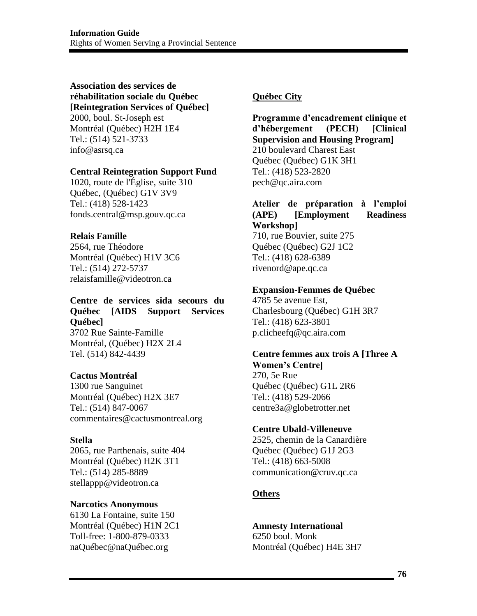#### **Association des services de réhabilitation sociale du Québec [Reintegration Services of Québec]**  2000, boul. St-Joseph est Montréal (Québec) H2H 1E4

Tel.: (514) 521-3733 [info@asrsq.ca](mailto:info@asrsq.ca) 

#### **Central Reintegration Support Fund**

1020, route de l'Église, suite 310 Québec, (Québec) G1V 3V9 Tel.: (418) 528-1423 [fonds.central@msp.gouv.qc.ca](mailto:fonds.central@msp.gouv.qc.ca) 

#### **Relais Famille**

2564, rue Théodore Montréal (Québec) H1V 3C6 Tel.: (514) 272-5737 [relaisfamille@videotron.ca](mailto:relaisfamille@videotron.ca) 

## **Centre de services sida secours du Québec [AIDS Support Services Québec]**

3702 Rue Sainte-Famille Montréal, (Québec) H2X 2L4 Tel. (514) 842-4439

#### **Cactus Montréal**

1300 rue Sanguinet Montréal (Québec) H2X 3E7 Tel.: (514) 847-0067 commentaires@cactusmontreal.org

#### **Stella**

2065, rue Parthenais, suite 404 Montréal (Québec) H2K 3T1 Tel.: (514) 285-8889 [stellappp@videotron.ca](mailto:stellappp@videotron.ca) 

#### **Narcotics Anonymous**

6130 La Fontaine, suite 150 Montréal (Québec) H1N 2C1 Toll-free: 1-800-879-0333 naQuébec@naQuébec.org

### **Québec City**

**Programme d'encadrement clinique et d'hébergement (PECH) [Clinical Supervision and Housing Program]** 210 boulevard Charest East Québec (Québec) G1K 3H1 Tel.: (418) 523-2820 [pech@qc.aira.com](mailto:pech@qc.aira.com) 

## **Atelier de préparation à l'emploi (APE) [Employment Readiness Workshop]**

710, rue Bouvier, suite 275 Québec (Québec) G2J 1C2 Tel.: (418) 628-6389 [rivenord@ape.qc.ca](mailto:rivenord@ape.qc.ca) 

#### **Expansion-Femmes de Québec**

4785 5e avenue Est, Charlesbourg (Québec) G1H 3R7 Tel.: (418) 623-3801 [p.clicheefq@qc.aira.com](mailto:p.clicheefq@qc.aira.com) 

# **Centre femmes aux trois A [Three A**

**Women's Centre]** 270, 5e Rue Québec (Québec) G1L 2R6 Tel.: (418) 529-2066 [centre3a@globetrotter.net](mailto:centre3a@globetrotter.net?subject=Site%20Internet) 

#### **Centre Ubald-Villeneuve**

2525, chemin de la Canardière Québec (Québec) G1J 2G3 Tel.: (418) 663-5008 [communication@cruv.qc.ca](mailto:communication@cruv.qc.ca) 

### **Others**

**Amnesty International**  6250 boul. Monk Montréal (Québec) H4E 3H7